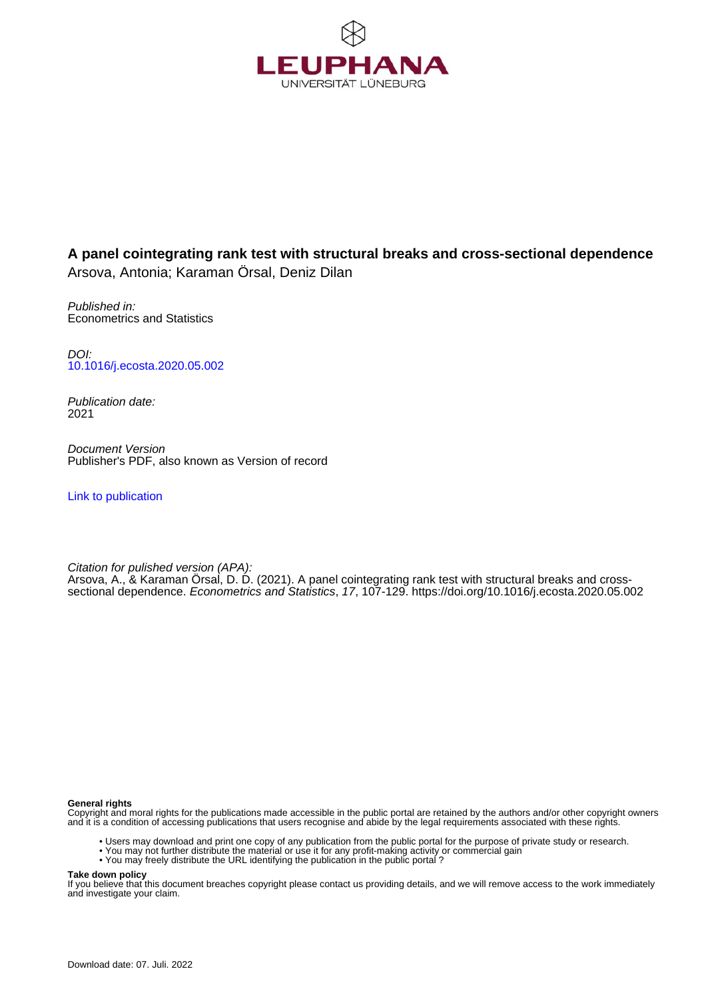

## **A panel cointegrating rank test with structural breaks and cross-sectional dependence** Arsova, Antonia; Karaman Örsal, Deniz Dilan

Published in: Econometrics and Statistics

DOI: [10.1016/j.ecosta.2020.05.002](https://doi.org/10.1016/j.ecosta.2020.05.002)

Publication date: 2021

Document Version Publisher's PDF, also known as Version of record

[Link to publication](http://fox.leuphana.de/portal/en/publications/a-panel-cointegrating-rank-test-with-structural-breaks-and-crosssectional-dependence(177a6a2c-77c7-45ea-bf96-03a784593793).html)

Citation for pulished version (APA): [Arsova, A.](http://fox.leuphana.de/portal/de/persons/antonia-arsova(10d6420a-6e5b-4a2c-9ffa-13c6956057ce).html)[, & Karaman Örsal, D. D.](http://fox.leuphana.de/portal/de/persons/deniz-karaman-oersal(f5a0eefe-0ec0-4abd-bef8-109a6cad47ce).html) (2021). [A panel cointegrating rank test with structural breaks and cross](http://fox.leuphana.de/portal/de/publications/a-panel-cointegrating-rank-test-with-structural-breaks-and-crosssectional-dependence(177a6a2c-77c7-45ea-bf96-03a784593793).html)[sectional dependence](http://fox.leuphana.de/portal/de/publications/a-panel-cointegrating-rank-test-with-structural-breaks-and-crosssectional-dependence(177a6a2c-77c7-45ea-bf96-03a784593793).html). [Econometrics and Statistics](http://fox.leuphana.de/portal/de/journals/econometrics-and-statistics(f86c97e9-0b90-49bd-bad6-dba6cff78e62)/publications.html), 17, 107-129.<https://doi.org/10.1016/j.ecosta.2020.05.002>

**General rights**

Copyright and moral rights for the publications made accessible in the public portal are retained by the authors and/or other copyright owners and it is a condition of accessing publications that users recognise and abide by the legal requirements associated with these rights.

- Users may download and print one copy of any publication from the public portal for the purpose of private study or research.
- You may not further distribute the material or use it for any profit-making activity or commercial gain
- You may freely distribute the URL identifying the publication in the public portal ?

**Take down policy**

If you believe that this document breaches copyright please contact us providing details, and we will remove access to the work immediately and investigate your claim.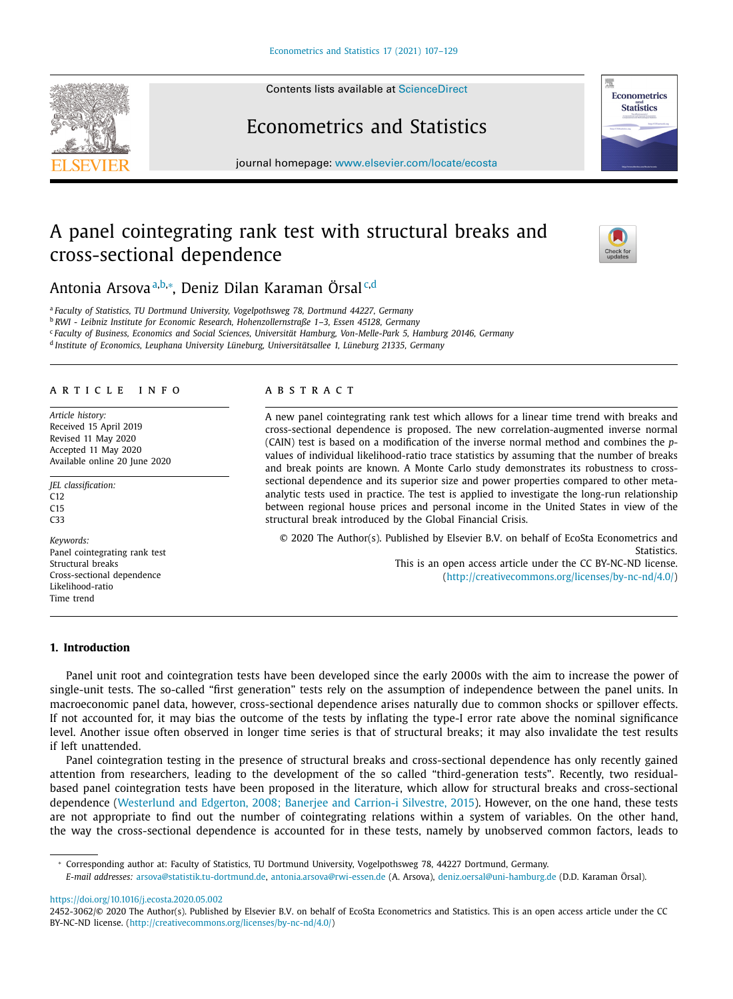Contents lists available at [ScienceDirect](http://www.ScienceDirect.com)

# Econometrics and Statistics

journal homepage: [www.elsevier.com/locate/ecosta](http://www.elsevier.com/locate/ecosta)

## A panel cointegrating rank test with structural breaks and cross-sectional dependence

Antonia Arsova <sup>a,b,</sup>∗, Deniz Dilan Karaman Örsal<sup>c,d</sup>

<sup>a</sup> *Faculty of Statistics, TU Dortmund University, Vogelpothsweg 78, Dortmund 44227, Germany* <sup>b</sup> *RWI - Leibniz Institute for Economic Research, Hohenzollernstraße 1–3, Essen 45128, Germany* <sup>c</sup> *Faculty of Business, Economics and Social Sciences, Universität Hamburg, Von-Melle-Park 5, Hamburg 20146, Germany* <sup>d</sup> *Institute of Economics, Leuphana University Lüneburg, Universitätsallee 1, Lüneburg 21335, Germany*

### a r t i c l e i n f o

*Article history:* Received 15 April 2019 Revised 11 May 2020 Accepted 11 May 2020 Available online 20 June 2020

*JEL classification:* C12 C15 C33

*Keywords:* Panel cointegrating rank test Structural breaks Cross-sectional dependence Likelihood-ratio Time trend

## **1. Introduction**

a b s t r a c t

A new panel cointegrating rank test which allows for a linear time trend with breaks and cross-sectional dependence is proposed. The new correlation-augmented inverse normal (CAIN) test is based on a modification of the inverse normal method and combines the *p*values of individual likelihood-ratio trace statistics by assuming that the number of breaks and break points are known. A Monte Carlo study demonstrates its robustness to crosssectional dependence and its superior size and power properties compared to other metaanalytic tests used in practice. The test is applied to investigate the long-run relationship between regional house prices and personal income in the United States in view of the structural break introduced by the Global Financial Crisis.

© 2020 The Author(s). Published by Elsevier B.V. on behalf of EcoSta Econometrics and Statistics. This is an open access article under the CC BY-NC-ND license. [\(http://creativecommons.org/licenses/by-nc-nd/4.0/\)](http://creativecommons.org/licenses/by-nc-nd/4.0/)

Panel unit root and cointegration tests have been developed since the early 2000s with the aim to increase the power of single-unit tests. The so-called "first generation" tests rely on the assumption of independence between the panel units. In macroeconomic panel data, however, cross-sectional dependence arises naturally due to common shocks or spillover effects. If not accounted for, it may bias the outcome of the tests by inflating the type-I error rate above the nominal significance level. Another issue often observed in longer time series is that of structural breaks; it may also invalidate the test results if left unattended.

Panel cointegration testing in the presence of structural breaks and cross-sectional dependence has only recently gained attention from researchers, leading to the development of the so called "third-generation tests". Recently, two residualbased panel cointegration tests have been proposed in the literature, which allow for structural breaks and cross-sectional dependence [\(Westerlund](#page-23-0) and Edgerton, 2008; Banerjee and Carrion-i Silvestre, 2015). However, on the one hand, these tests are not appropriate to find out the number of cointegrating relations within a system of variables. On the other hand, the way the cross-sectional dependence is accounted for in these tests, namely by unobserved common factors, leads to







<sup>∗</sup> Corresponding author at: Faculty of Statistics, TU Dortmund University, Vogelpothsweg 78, 44227 Dortmund, Germany.

*E-mail addresses:* [arsova@statistik.tu-dortmund.de,](mailto:arsova@statistik.tu-dortmund.de) [antonia.arsova@rwi-essen.de](mailto:antonia.arsova@rwi-essen.de) (A. Arsova), [deniz.oersal@uni-hamburg.de](mailto:deniz.oersal@uni-hamburg.de) (D.D. Karaman Örsal).

<https://doi.org/10.1016/j.ecosta.2020.05.002>

<sup>2452-3062/© 2020</sup> The Author(s). Published by Elsevier B.V. on behalf of EcoSta Econometrics and Statistics. This is an open access article under the CC BY-NC-ND license. [\(http://creativecommons.org/licenses/by-nc-nd/4.0/\)](http://creativecommons.org/licenses/by-nc-nd/4.0/)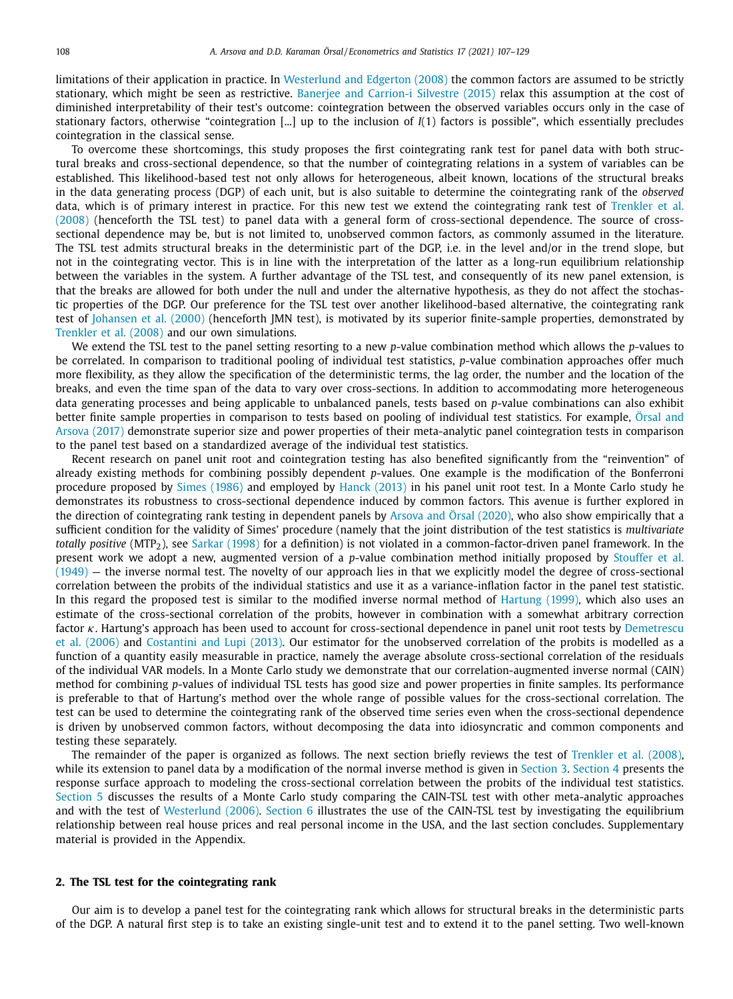limitations of their application in practice. In [Westerlund](#page-23-0) and Edgerton (2008) the common factors are assumed to be strictly stationary, which might be seen as restrictive. Banerjee and [Carrion-i](#page-22-0) Silvestre (2015) relax this assumption at the cost of diminished interpretability of their test's outcome: cointegration between the observed variables occurs only in the case of stationary factors, otherwise "cointegration [...] up to the inclusion of *I*(1) factors is possible", which essentially precludes cointegration in the classical sense.

To overcome these shortcomings, this study proposes the first cointegrating rank test for panel data with both structural breaks and cross-sectional dependence, so that the number of cointegrating relations in a system of variables can be established. This likelihood-based test not only allows for heterogeneous, albeit known, locations of the structural breaks in the data generating process (DGP) of each unit, but is also suitable to determine the cointegrating rank of the *observed* data, which is of primary interest in practice. For this new test we extend the cointegrating rank test of Trenkler et al. (2008) (henceforth the TSL test) to panel data with a general form of [cross-sectional](#page-23-0) dependence. The source of crosssectional dependence may be, but is not limited to, unobserved common factors, as commonly assumed in the literature. The TSL test admits structural breaks in the deterministic part of the DGP, i.e. in the level and/or in the trend slope, but not in the cointegrating vector. This is in line with the interpretation of the latter as a long-run equilibrium relationship between the variables in the system. A further advantage of the TSL test, and consequently of its new panel extension, is that the breaks are allowed for both under the null and under the alternative hypothesis, as they do not affect the stochastic properties of the DGP. Our preference for the TSL test over another likelihood-based alternative, the cointegrating rank test of [Johansen](#page-23-0) et al. (2000) (henceforth JMN test), is motivated by its superior finite-sample properties, demonstrated by [Trenkler](#page-23-0) et al. (2008) and our own simulations.

We extend the TSL test to the panel setting resorting to a new *p*-value combination method which allows the *p*-values to be correlated. In comparison to traditional pooling of individual test statistics, *p*-value combination approaches offer much more flexibility, as they allow the specification of the deterministic terms, the lag order, the number and the location of the breaks, and even the time span of the data to vary over cross-sections. In addition to accommodating more heterogeneous data generating processes and being applicable to unbalanced panels, tests based on *p*-value combinations can also exhibit better finite sample properties in comparison to tests based on pooling of individual test statistics. For example, Örsal and Arsova (2017) demonstrate superior size and power properties of their [meta-analytic](#page-23-0) panel cointegration tests in comparison to the panel test based on a standardized average of the individual test statistics.

Recent research on panel unit root and cointegration testing has also benefited significantly from the "reinvention" of already existing methods for combining possibly dependent *p*-values. One example is the modification of the Bonferroni procedure proposed by Simes [\(1986\)](#page-23-0) and employed by Hanck [\(2013\)](#page-22-0) in his panel unit root test. In a Monte Carlo study he demonstrates its robustness to cross-sectional dependence induced by common factors. This avenue is further explored in the direction of cointegrating rank testing in dependent panels by Arsova and Örsal [\(2020\),](#page-22-0) who also show empirically that a sufficient condition for the validity of Simes' procedure (namely that the joint distribution of the test statistics is *multivariate totally positive* (MTP<sub>2</sub>), see Sarkar [\(1998\)](#page-23-0) for a definition) is not violated in a common-factor-driven panel framework. In the present work we adopt a new, augmented version of a *p*-value combination method initially proposed by Stouffer et al. (1949) — the inverse normal test. The novelty of our approach lies in that we explicitly model the degree of [cross-sectional](#page-23-0) correlation between the probits of the individual statistics and use it as a variance-inflation factor in the panel test statistic. In this regard the proposed test is similar to the modified inverse normal method of [Hartung](#page-23-0) (1999), which also uses an estimate of the cross-sectional correlation of the probits, however in combination with a somewhat arbitrary correction factor  $\kappa$ . Hartung's approach has been used to account for [cross-sectional](#page-22-0) dependence in panel unit root tests by Demetrescu et al. (2006) and [Costantini](#page-22-0) and Lupi (2013). Our estimator for the unobserved correlation of the probits is modelled as a function of a quantity easily measurable in practice, namely the average absolute cross-sectional correlation of the residuals of the individual VAR models. In a Monte Carlo study we demonstrate that our correlation-augmented inverse normal (CAIN) method for combining *p*-values of individual TSL tests has good size and power properties in finite samples. Its performance is preferable to that of Hartung's method over the whole range of possible values for the cross-sectional correlation. The test can be used to determine the cointegrating rank of the observed time series even when the cross-sectional dependence is driven by unobserved common factors, without decomposing the data into idiosyncratic and common components and testing these separately.

The remainder of the paper is organized as follows. The next section briefly reviews the test of [Trenkler](#page-23-0) et al. (2008), while its extension to panel data by a modification of the normal inverse method is given in [Section](#page-6-0) 3. Section 4 presents the response surface approach to modeling the cross-sectional correlation between the probits of the individual test statistics. [Section](#page-8-0) 5 discusses the results of a Monte Carlo study comparing the CAIN-TSL test with other meta-analytic approaches and with the test of [Westerlund](#page-23-0) (2006). [Section](#page-12-0) 6 illustrates the use of the CAIN-TSL test by investigating the equilibrium relationship between real house prices and real personal income in the USA, and the last section concludes. Supplementary material is provided in the Appendix.

## **2. The TSL test for the cointegrating rank**

Our aim is to develop a panel test for the cointegrating rank which allows for structural breaks in the deterministic parts of the DGP. A natural first step is to take an existing single-unit test and to extend it to the panel setting. Two well-known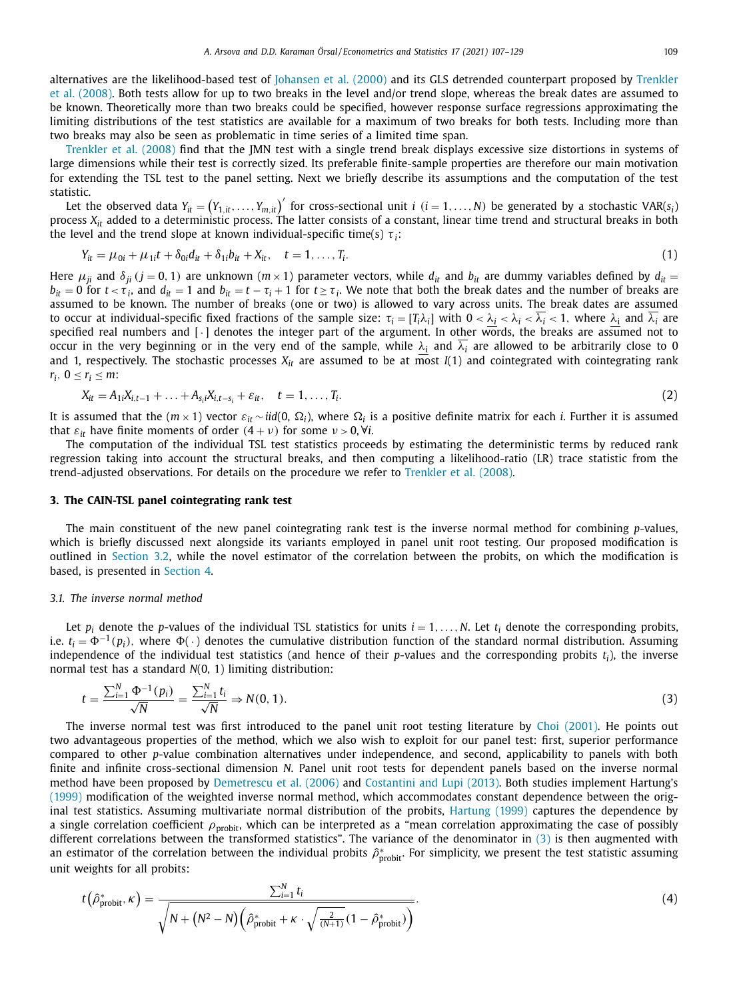<span id="page-3-0"></span>alternatives are the [likelihood-based](#page-23-0) test of [Johansen](#page-23-0) et al. (2000) and its GLS detrended counterpart proposed by Trenkler et al. (2008). Both tests allow for up to two breaks in the level and/or trend slope, whereas the break dates are assumed to be known. Theoretically more than two breaks could be specified, however response surface regressions approximating the limiting distributions of the test statistics are available for a maximum of two breaks for both tests. Including more than two breaks may also be seen as problematic in time series of a limited time span.

[Trenkler](#page-23-0) et al. (2008) find that the JMN test with a single trend break displays excessive size distortions in systems of large dimensions while their test is correctly sized. Its preferable finite-sample properties are therefore our main motivation for extending the TSL test to the panel setting. Next we briefly describe its assumptions and the computation of the test statistic.

Let the observed data  $Y_{it} = (Y_{1,it}, \ldots, Y_{m,it})'$  for cross-sectional unit *i* (*i* = 1, ..., *N*) be generated by a stochastic VAR(s<sub>i</sub>) process  $X_{it}$  added to a deterministic process. The latter consists of a constant, linear time trend and structural breaks in both the level and the trend slope at known individual-specific time(s)  $\tau_i$ :

$$
Y_{it} = \mu_{0i} + \mu_{1i}t + \delta_{0i}d_{it} + \delta_{1i}b_{it} + X_{it}, \quad t = 1, ..., T_{i}.
$$
 (1)

Here  $\mu_{ji}$  and  $\delta_{ji}$  ( $j = 0, 1$ ) are unknown ( $m \times 1$ ) parameter vectors, while  $d_{it}$  and  $b_{it}$  are dummy variables defined by  $d_{it}$  =  $b_{it} = 0$  for  $t < \tau_i$ , and  $d_{it} = 1$  and  $b_{it} = t - \tau_i + 1$  for  $t \ge \tau_i$ . We note that both the break dates and the number of breaks are assumed to be known. The number of breaks (one or two) is allowed to vary across units. The break dates are assumed to occur at individual-specific fixed fractions of the sample size:  $\tau_i = [T_i \lambda_i]$  with  $0 < \lambda_i < \lambda_i < \lambda_i < 1$ , where  $\lambda_i$  and  $\lambda_i$  are specified real numbers and [·] denotes the integer part of the argument. In other words, the breaks are assumed not to occur in the very beginning or in the very end of the sample, while  $\lambda_i$  and  $\lambda_i$  are allowed to be arbitrarily close to 0 and 1, respectively. The stochastic processes  $X_{it}$  are assumed to be at most  $I(1)$  and cointegrated with cointegrating rank *r<sub>i</sub>*,  $0 \le r_i \le m$ :

$$
X_{it} = A_{1i}X_{i,t-1} + \ldots + A_{s_i}X_{i,t-s_i} + \varepsilon_{it}, \quad t = 1, \ldots, T_i.
$$
 (2)

It is assumed that the  $(m \times 1)$  vector  $\varepsilon_{it} \sim \text{iid}(0, \Omega_i)$ , where  $\Omega_i$  is a positive definite matrix for each *i*. Further it is assumed that  $\varepsilon_{it}$  have finite moments of order  $(4 + v)$  for some  $v > 0$ ,  $\forall i$ .

The computation of the individual TSL test statistics proceeds by estimating the deterministic terms by reduced rank regression taking into account the structural breaks, and then computing a likelihood-ratio (LR) trace statistic from the trend-adjusted observations. For details on the procedure we refer to [Trenkler](#page-23-0) et al. (2008).

### **3. The CAIN-TSL panel cointegrating rank test**

The main constituent of the new panel cointegrating rank test is the inverse normal method for combining *p*-values, which is briefly discussed next alongside its variants employed in panel unit root testing. Our proposed modification is outlined in [Section](#page-4-0) 3.2, while the novel estimator of the correlation between the probits, on which the modification is based, is presented in [Section](#page-6-0) 4.

#### *3.1. The inverse normal method*

Let  $p_i$  denote the *p*-values of the individual TSL statistics for units  $i = 1, \ldots, N$ . Let  $t_i$  denote the corresponding probits, i.e.  $t_i = \Phi^{-1}(p_i)$ , where  $\Phi(\cdot)$  denotes the cumulative distribution function of the standard normal distribution. Assuming independence of the individual test statistics (and hence of their  $p$ -values and the corresponding probits  $t_i$ ), the inverse normal test has a standard *N*(0, 1) limiting distribution:

$$
t = \frac{\sum_{i=1}^{N} \Phi^{-1}(p_i)}{\sqrt{N}} = \frac{\sum_{i=1}^{N} t_i}{\sqrt{N}} \Rightarrow N(0, 1).
$$
 (3)

The inverse normal test was first introduced to the panel unit root testing literature by Choi [\(2001\).](#page-22-0) He points out two advantageous properties of the method, which we also wish to exploit for our panel test: first, superior performance compared to other *p*-value combination alternatives under independence, and second, applicability to panels with both finite and infinite cross-sectional dimension *N*. Panel unit root tests for dependent panels based on the inverse normal method have been proposed by [Demetrescu](#page-22-0) et al. (2006) and [Costantini](#page-22-0) and Lupi (2013). Both studies implement Hartung's [\(1999\)](#page-23-0) modification of the weighted inverse normal method, which accommodates constant dependence between the original test statistics. Assuming multivariate normal distribution of the probits, [Hartung](#page-23-0) (1999) captures the dependence by a single correlation coefficient  $\rho_{\text{probit}}$ , which can be interpreted as a "mean correlation approximating the case of possibly different correlations between the transformed statistics". The variance of the denominator in (3) is then augmented with an estimator of the correlation between the individual probits  $\hat{\rho}^*_{\text{probit}}$ . For simplicity, we present the test statistic assuming unit weights for all probits:

$$
t(\hat{\rho}_{\text{probit}}^*, \kappa) = \frac{\sum_{i=1}^N t_i}{\sqrt{N + (N^2 - N)\left(\hat{\rho}_{\text{probit}}^* + \kappa \cdot \sqrt{\frac{2}{(N+1)}} (1 - \hat{\rho}_{\text{probit}}^*)\right)}}.
$$
(4)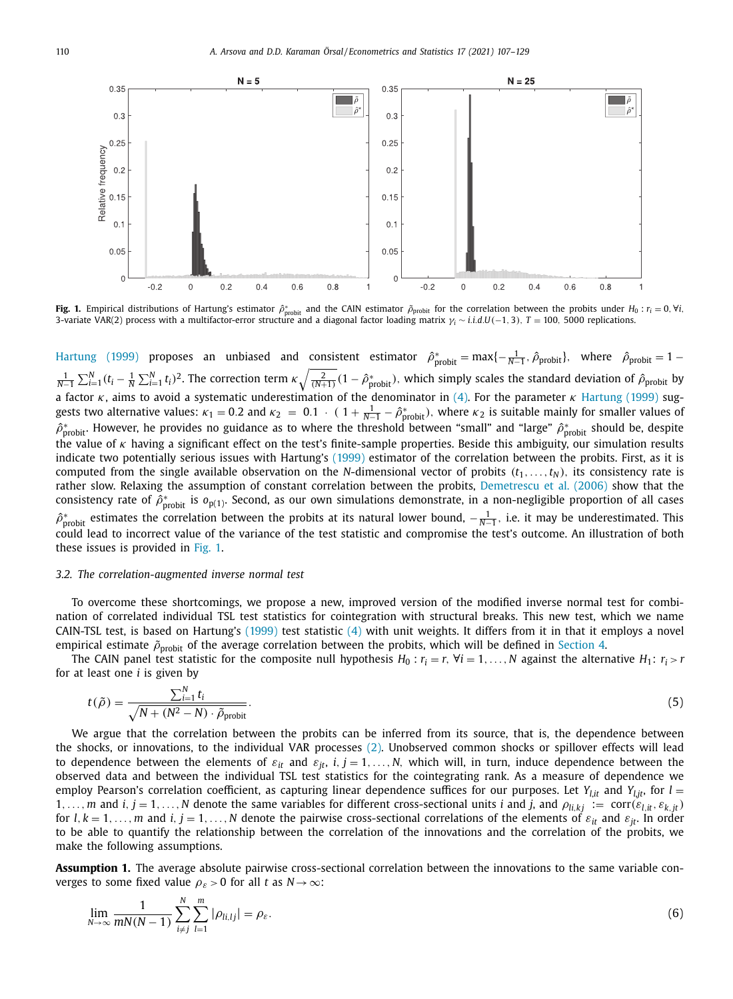<span id="page-4-0"></span>

**Fig. 1.** Empirical distributions of Hartung's estimator  $\hat{\rho}_{\text{probit}}$  and the CAIN estimator  $\tilde{\rho}_{\text{probit}}$  for the correlation between the probits under  $H_0$  :  $r_i = 0, \forall i$ , 3-variate VAR(2) process with a multifactor-error structure and a diagonal factor loading matrix γ*<sup>i</sup>* ∼ *i*.*i*.*d*.*U*(−1, 3), *T* = 100, 5000 replications.

[Hartung](#page-23-0) (1999) proposes an unbiased and consistent estimator  $\hat{\rho}_{\text{probit}}^* = \max\{-\frac{1}{N-1},\hat{\rho}_{\text{probit}}\}$ , where  $\hat{\rho}_{\text{probit}} = 1 \frac{1}{N-1}\sum_{i=1}^N(t_i-\frac{1}{N}\sum_{i=1}^Nt_i)^2$ . The correction term  $\kappa\sqrt{\frac{2}{(N+1)}}(1-\hat{\rho}^*_{\text{probit}})$ , which simply scales the standard deviation of  $\hat{\rho}_{\text{probit}}$  by a factor  $\kappa$ , aims to avoid a systematic underestimation of the denominator in [\(4\).](#page-3-0) For the parameter  $\kappa$  [Hartung](#page-23-0) (1999) suggests two alternative values:  $\kappa_1 = 0.2$  and  $\kappa_2 = 0.1$   $\cdot$  (  $1 + \frac{1}{N-1} - \hat{\rho}^*_{\text{probit}}$ ), where  $\kappa_2$  is suitable mainly for smaller values of  $\hat{\rho}^*_{\rm probit}$ . However, he provides no guidance as to where the threshold between "small" and "large"  $\hat{\rho}^*_{\rm probit}$  should be, despite the value of  $\kappa$  having a significant effect on the test's finite-sample properties. Beside this ambiguity, our simulation results indicate two potentially serious issues with Hartung's [\(1999\)](#page-23-0) estimator of the correlation between the probits. First, as it is computed from the single available observation on the *N*-dimensional vector of probits  $(t_1, \ldots, t_N)$ , its consistency rate is rather slow. Relaxing the assumption of constant correlation between the probits, [Demetrescu](#page-22-0) et al. (2006) show that the consistency rate of  $\hat{\rho}^*_{\rm{probit}}$  is  $o_{{\rm{p}}(1)}$ . Second, as our own simulations demonstrate, in a non-negligible proportion of all cases  $\hat{\rho}^*_{\rm probit}$  estimates the correlation between the probits at its natural lower bound,  $-\frac{1}{N-1}$ , i.e. it may be underestimated. This could lead to incorrect value of the variance of the test statistic and compromise the test's outcome. An illustration of both these issues is provided in Fig. 1.

## *3.2. The correlation-augmented inverse normal test*

To overcome these shortcomings, we propose a new, improved version of the modified inverse normal test for combination of correlated individual TSL test statistics for cointegration with structural breaks. This new test, which we name CAIN-TSL test, is based on Hartung's [\(1999\)](#page-23-0) test statistic [\(4\)](#page-3-0) with unit weights. It differs from it in that it employs a novel empirical estimate  $\tilde{\rho}_{\text{probit}}$  of the average correlation between the probits, which will be defined in [Section](#page-6-0) 4.

The CAIN panel test statistic for the composite null hypothesis  $H_0: r_i = r$ ,  $\forall i = 1, \ldots, N$  against the alternative  $H_1: r_i > r$ for at least one *i* is given by

$$
t(\tilde{\rho}) = \frac{\sum_{i=1}^{N} t_i}{\sqrt{N + (N^2 - N) \cdot \tilde{\rho}_{\text{probit}}}}.
$$
\n
$$
(5)
$$

We argue that the correlation between the probits can be inferred from its source, that is, the dependence between the shocks, or innovations, to the individual VAR processes [\(2\).](#page-3-0) Unobserved common shocks or spillover effects will lead to dependence between the elements of  $\varepsilon_{it}$  and  $\varepsilon_{it}$ , *i*, *j* = 1, ..., *N*, which will, in turn, induce dependence between the observed data and between the individual TSL test statistics for the cointegrating rank. As a measure of dependence we employ Pearson's correlation coefficient, as capturing linear dependence suffices for our purposes. Let  $Y_{lit}$  and  $Y_{l,i}$ , for  $l =$ 1, ..., *m* and *i*,  $j = 1, ..., N$  denote the same variables for different cross-sectional units *i* and *j*, and  $\rho_{li,kj} := \text{corr}(\varepsilon_{l,i}, \varepsilon_{k,j},)$ for  $l, k = 1, \ldots, m$  and  $i, j = 1, \ldots, N$  denote the pairwise cross-sectional correlations of the elements of  $\varepsilon_{it}$  and  $\varepsilon_{jt}$ . In order to be able to quantify the relationship between the correlation of the innovations and the correlation of the probits, we make the following assumptions.

**Assumption 1.** The average absolute pairwise cross-sectional correlation between the innovations to the same variable converges to some fixed value  $\rho_{\varepsilon} > 0$  for all *t* as  $N \to \infty$ :

$$
\lim_{N\to\infty}\frac{1}{mN(N-1)}\sum_{i\neq j}^{N}\sum_{l=1}^{m}|\rho_{li,lj}|=\rho_{\varepsilon}.
$$
\n(6)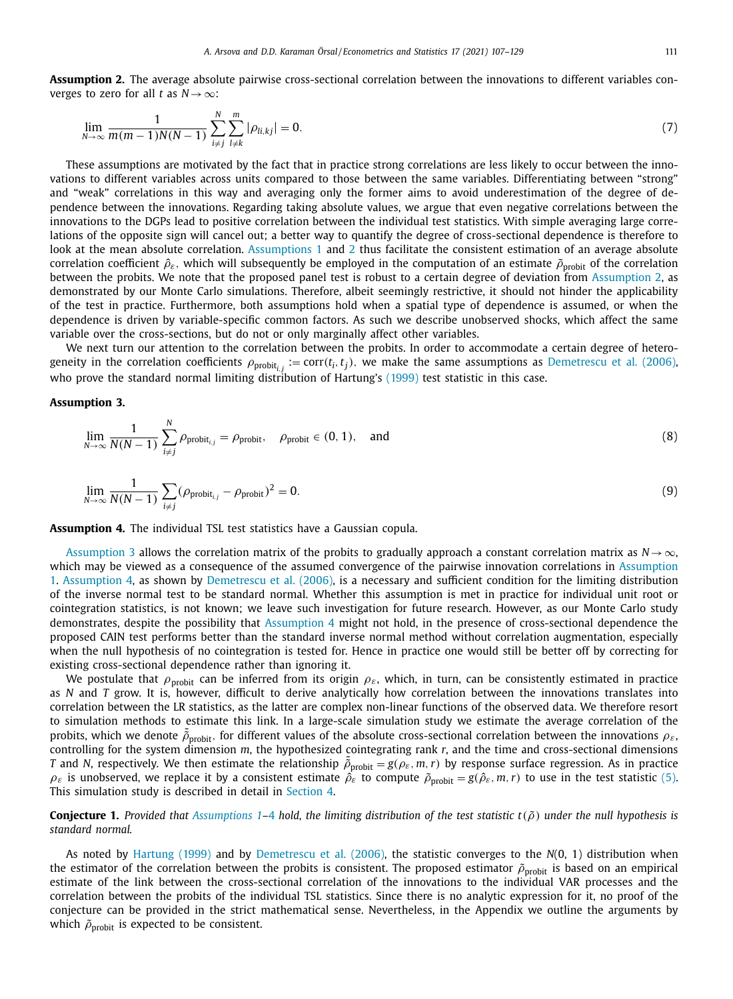<span id="page-5-0"></span>**Assumption 2.** The average absolute pairwise cross-sectional correlation between the innovations to different variables converges to zero for all *t* as  $N \rightarrow \infty$ :

$$
\lim_{N \to \infty} \frac{1}{m(m-1)N(N-1)} \sum_{i \neq j}^{N} \sum_{l \neq k}^{m} |\rho_{li,kj}| = 0.
$$
\n(7)

These assumptions are motivated by the fact that in practice strong correlations are less likely to occur between the innovations to different variables across units compared to those between the same variables. Differentiating between "strong" and "weak" correlations in this way and averaging only the former aims to avoid underestimation of the degree of dependence between the innovations. Regarding taking absolute values, we argue that even negative correlations between the innovations to the DGPs lead to positive correlation between the individual test statistics. With simple averaging large correlations of the opposite sign will cancel out; a better way to quantify the degree of cross-sectional dependence is therefore to look at the mean absolute correlation. [Assumptions](#page-4-0) 1 and 2 thus facilitate the consistent estimation of an average absolute correlation coefficient  $\hat{\rho}_{\varepsilon}$ , which will subsequently be employed in the computation of an estimate  $\tilde{\rho}_{\text{probit}}$  of the correlation between the probits. We note that the proposed panel test is robust to a certain degree of deviation from Assumption 2, as demonstrated by our Monte Carlo simulations. Therefore, albeit seemingly restrictive, it should not hinder the applicability of the test in practice. Furthermore, both assumptions hold when a spatial type of dependence is assumed, or when the dependence is driven by variable-specific common factors. As such we describe unobserved shocks, which affect the same variable over the cross-sections, but do not or only marginally affect other variables.

We next turn our attention to the correlation between the probits. In order to accommodate a certain degree of heterogeneity in the correlation coefficients  $\rho_{\text{probit}_{i,j}} := \text{corr}(t_i, t_j)$ , we make the same assumptions as [Demetrescu](#page-22-0) et al. (2006), who prove the standard normal limiting distribution of Hartung's [\(1999\)](#page-23-0) test statistic in this case.

## **Assumption 3.**

$$
\lim_{N \to \infty} \frac{1}{N(N-1)} \sum_{i \neq j}^{N} \rho_{\text{probit},j} = \rho_{\text{probit}}, \quad \rho_{\text{probit}} \in (0, 1), \quad \text{and} \tag{8}
$$

$$
\lim_{N \to \infty} \frac{1}{N(N-1)} \sum_{i \neq j} (\rho_{\text{probit}} - \rho_{\text{probit}})^2 = 0.
$$
\n(9)

**Assumption 4.** The individual TSL test statistics have a Gaussian copula.

Assumption 3 allows the correlation matrix of the probits to gradually approach a constant correlation matrix as *N*→∞, which may be viewed as a [consequence](#page-4-0) of the assumed convergence of the pairwise innovation correlations in Assumption 1. Assumption 4, as shown by [Demetrescu](#page-22-0) et al. (2006), is a necessary and sufficient condition for the limiting distribution of the inverse normal test to be standard normal. Whether this assumption is met in practice for individual unit root or cointegration statistics, is not known; we leave such investigation for future research. However, as our Monte Carlo study demonstrates, despite the possibility that Assumption 4 might not hold, in the presence of cross-sectional dependence the proposed CAIN test performs better than the standard inverse normal method without correlation augmentation, especially when the null hypothesis of no cointegration is tested for. Hence in practice one would still be better off by correcting for existing cross-sectional dependence rather than ignoring it.

We postulate that  $\rho_{\text{probit}}$  can be inferred from its origin  $\rho_{\varepsilon}$ , which, in turn, can be consistently estimated in practice as *N* and *T* grow. It is, however, difficult to derive analytically how correlation between the innovations translates into correlation between the LR statistics, as the latter are complex non-linear functions of the observed data. We therefore resort to simulation methods to estimate this link. In a large-scale simulation study we estimate the average correlation of the probits, which we denote  $\bar{\rho}_{\text{probit}}$ , for different values of the absolute cross-sectional correlation between the innovations  $\rho_{\varepsilon}$ , controlling for the system dimension *m*, the hypothesized cointegrating rank *r*, and the time and cross-sectional dimensions *T* and *N*, respectively. We then estimate the relationship  $\bar{\rho}_{\text{probit}} = g(\rho_{\varepsilon}, m, r)$  by response surface regression. As in practice  $\rho_{\varepsilon}$  is unobserved, we replace it by a consistent estimate  $\hat{\rho}_{\varepsilon}$  to compute  $\tilde{\rho}_{\text{probit}} = g(\hat{\rho}_{\varepsilon}, m, r)$  to use in the test statistic [\(5\).](#page-4-0) This simulation study is described in detail in [Section](#page-6-0) 4.

**Conjecture 1.** Provided that [Assumptions](#page-4-0) 1-4 hold, the limiting distribution of the test statistic  $t(\tilde{\rho})$  under the null hypothesis is *standard normal.*

As noted by [Hartung](#page-23-0) (1999) and by [Demetrescu](#page-22-0) et al. (2006), the statistic converges to the *N*(0, 1) distribution when the estimator of the correlation between the probits is consistent. The proposed estimator  $\tilde{\rho}_{probit}$  is based on an empirical estimate of the link between the cross-sectional correlation of the innovations to the individual VAR processes and the correlation between the probits of the individual TSL statistics. Since there is no analytic expression for it, no proof of the conjecture can be provided in the strict mathematical sense. Nevertheless, in the Appendix we outline the arguments by which  $\tilde{\rho}_{\text{probit}}$  is expected to be consistent.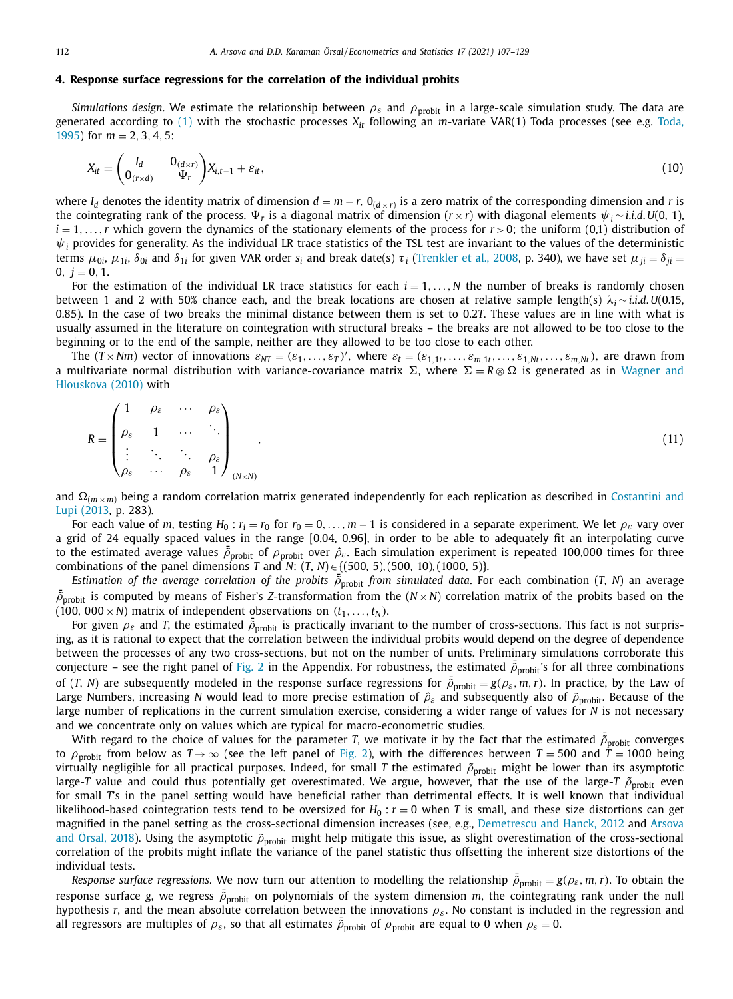## <span id="page-6-0"></span>**4. Response surface regressions for the correlation of the individual probits**

*Simulations design*. We estimate the relationship between  $\rho_{\varepsilon}$  and  $\rho_{\text{probit}}$  in a large-scale simulation study. The data are [generated](#page-23-0) according to  $(1)$  with the stochastic processes  $X_{it}$  following an *m*-variate VAR(1) Toda processes (see e.g. Toda, 1995) for *m* = 2, 3, 4, 5:

$$
X_{it} = \begin{pmatrix} I_d & 0_{(d \times r)} \\ 0_{(r \times d)} & \Psi_r \end{pmatrix} X_{i, t-1} + \varepsilon_{it},\tag{10}
$$

where  $I_d$  denotes the identity matrix of dimension  $d = m - r$ ,  $0_{(d \times r)}$  is a zero matrix of the corresponding dimension and *r* is the cointegrating rank of the process.  $\Psi_r$  is a diagonal matrix of dimension (*r* × *r*) with diagonal elements  $\psi_i \sim i.i.d. U(0, 1)$ ,  $i = 1, \ldots, r$  which govern the dynamics of the stationary elements of the process for  $r > 0$ ; the uniform (0,1) distribution of  $\psi_i$  provides for generality. As the individual LR trace statistics of the TSL test are invariant to the values of the deterministic terms  $μ_{0i}$ ,  $μ_{1i}$ ,  $δ_{0i}$  and  $δ_{1i}$  for given VAR order  $s_i$  and break date(s)  $τ_i$  [\(Trenkler](#page-23-0) et al., 2008, p. 340), we have set  $μ_{ii} = δ_{ii}$  $0, i = 0, 1.$ 

For the estimation of the individual LR trace statistics for each  $i = 1, \ldots, N$  the number of breaks is randomly chosen between 1 and 2 with 50% chance each, and the break locations are chosen at relative sample length(s) λ*<sup>i</sup>* ∼ *i*.*i*.*d*.*U*(0.15, 0.85). In the case of two breaks the minimal distance between them is set to 0.2*T*. These values are in line with what is usually assumed in the literature on cointegration with structural breaks – the breaks are not allowed to be too close to the beginning or to the end of the sample, neither are they allowed to be too close to each other.

The  $(T \times Nm)$  vector of innovations  $\varepsilon_{NT} = (\varepsilon_1, \ldots, \varepsilon_T)'$ , where  $\varepsilon_t = (\varepsilon_{1,1t}, \ldots, \varepsilon_{m,1t}, \ldots, \varepsilon_{1,Nt}, \ldots, \varepsilon_{m,Nt})$ , are drawn from a multivariate normal distribution with [variance-covariance](#page-23-0) matrix  $\Sigma$ , where  $\Sigma = R \otimes \Omega$  is generated as in Wagner and Hlouskova (2010) with

|  | $\rho_{\varepsilon} \quad \cdots \quad \rho_{\varepsilon} \setminus$ |                                                                                                                                                                                                                                  |  |
|--|----------------------------------------------------------------------|----------------------------------------------------------------------------------------------------------------------------------------------------------------------------------------------------------------------------------|--|
|  |                                                                      | $R = \begin{pmatrix} \cdots & \cdots & \cdots \\ \rho_{\varepsilon} & 1 & \cdots & \ddots \\ \vdots & \ddots & \ddots & \rho_{\varepsilon} \\ \rho_{\varepsilon} & \cdots & \rho_{\varepsilon} & 1 \end{pmatrix}_{(N \times N)}$ |  |
|  |                                                                      |                                                                                                                                                                                                                                  |  |
|  |                                                                      |                                                                                                                                                                                                                                  |  |

and  $\Omega(m \times m)$  being a random correlation matrix generated [independently](#page-22-0) for each replication as described in Costantini and Lupi (2013, p. 283).

For each value of *m*, testing  $H_0$ :  $r_i = r_0$  for  $r_0 = 0, \ldots, m-1$  is considered in a separate experiment. We let  $\rho_{\varepsilon}$  vary over a grid of 24 equally spaced values in the range [0.04, 0.96], in order to be able to adequately fit an interpolating curve to the estimated average values  $\bar{\rho}_{\rm probit}$  of  $\rho_{\rm probit}$  over  $\hat{\rho}_{\varepsilon}$ . Each simulation experiment is repeated 100,000 times for three combinations of the panel dimensions *T* and *N*: (*T*, *N*) ∈ {(500, 5),(500, 10),(1000, 5)}.

*Estimation of the average correlation of the probits*  $\bar{\rho}_{\text{probit}}$  *from simulated data*. For each combination (*T*, *N*) an average  $\bar{\rho}_{\rm probit}$  is computed by means of Fisher's *Z*-transformation from the  $(N \times N)$  correlation matrix of the probits based on the (100, 000  $\times$  *N*) matrix of independent observations on  $(t_1, \ldots, t_N)$ .

For given  $\rho_{\varepsilon}$  and *T*, the estimated  $\bar{\rho}_{\text{probit}}$  is practically invariant to the number of cross-sections. This fact is not surprising, as it is rational to expect that the correlation between the individual probits would depend on the degree of dependence between the processes of any two cross-sections, but not on the number of units. Preliminary simulations corroborate this conjecture – see the right panel of [Fig.](#page-16-0) 2 in the Appendix. For robustness, the estimated  $\bar{\rho}_{\text{probit}}$ 's for all three combinations of (*T*, *N*) are subsequently modeled in the response surface regressions for  $\tilde{\rho}_{\text{probit}} = g(\rho_{\varepsilon}, m, r)$ . In practice, by the Law of Large Numbers, increasing *N* would lead to more precise estimation of  $\hat{\rho}_{\varepsilon}$  and subsequently also of  $\tilde{\rho}_{\text{probit}}$ . Because of the large number of replications in the current simulation exercise, considering a wider range of values for *N* is not necessary and we concentrate only on values which are typical for macro-econometric studies.

With regard to the choice of values for the parameter *T*, we motivate it by the fact that the estimated  $\bar{\rho}_{\text{probit}}$  converges to  $\rho$ <sub>probit</sub> from below as  $T\rightarrow\infty$  (see the left panel of [Fig.](#page-16-0) 2), with the differences between  $T = 500$  and  $\dot{T} = 1000$  being virtually negligible for all practical purposes. Indeed, for small *T* the estimated  $\tilde{\rho}_{probit}$  might be lower than its asymptotic large-*T* value and could thus potentially get overestimated. We argue, however, that the use of the large-*T*  $\tilde{\rho}_{\rm{probit}}$  even for small *T*'s in the panel setting would have beneficial rather than detrimental effects. It is well known that individual likelihood-based cointegration tests tend to be oversized for  $H_0: r = 0$  when  $T$  is small, and these size distortions can get magnified in the panel setting as the cross-sectional dimension increases (see, e.g., [Demetrescu](#page-22-0) and Hanck, 2012 and Arsova and Örsal, 2018). Using the asymptotic  $\tilde{\rho}_{\text{probit}}$  might help mitigate this issue, [as slight overestimation](#page-22-0) of the cross-sectional correlation of the probits might inflate the variance of the panel statistic thus offsetting the inherent size distortions of the individual tests.

*Response surface regressions.* We now turn our attention to modelling the relationship  $\bar{\rho}_{probit} = g(\rho_{\varepsilon}, m, r)$ . To obtain the response surface *g*, we regress  $\bar{\rho}_{\text{probit}}$  on polynomials of the system dimension *m*, the cointegrating rank under the null hypothesis  $r$ , and the mean absolute correlation between the innovations  $\rho_{\varepsilon}$ . No constant is included in the regression and all regressors are multiples of  $\rho_{\varepsilon}$ , so that all estimates  $\tilde{\rho}_{\text{probit}}$  of  $\rho_{\text{probit}}$  are equal to 0 when  $\rho_{\varepsilon} = 0$ .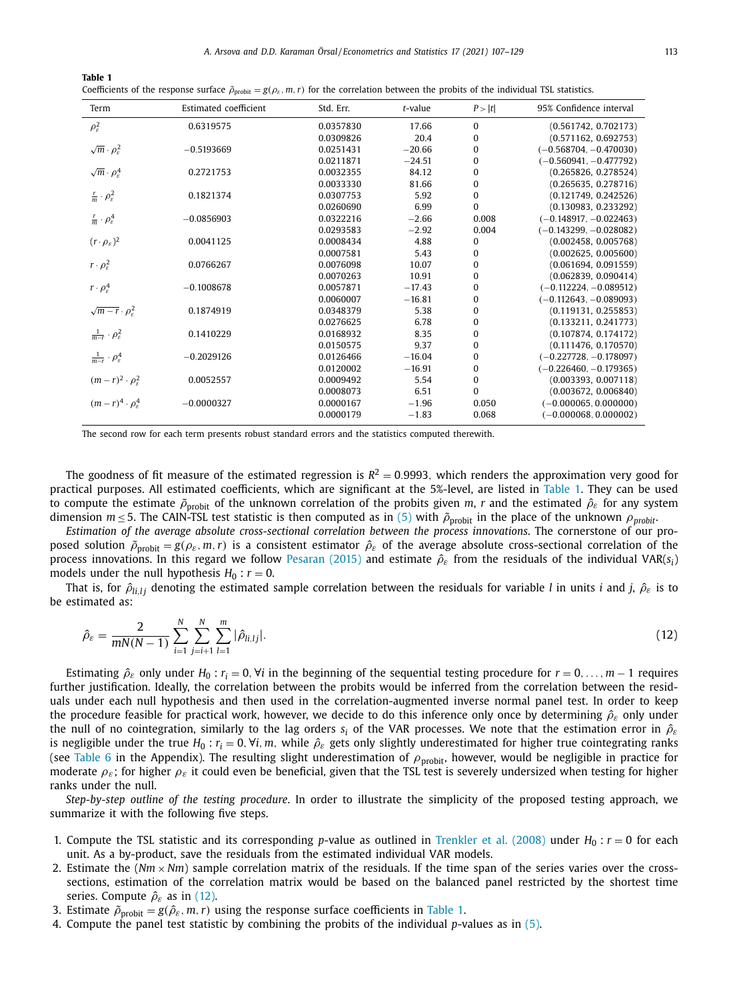<span id="page-7-0"></span>

| Table 1                                                                                                                                                                    |  |
|----------------------------------------------------------------------------------------------------------------------------------------------------------------------------|--|
| Coefficients of the response surface $\tilde{\rho}_{\text{probit}} = g(\rho_{\varepsilon}, m, r)$ for the correlation between the probits of the individual TSL statistics |  |

| Term                                       | Estimated coefficient | Std. Err. | $t$ -value | P >  t   | 95% Confidence interval  |
|--------------------------------------------|-----------------------|-----------|------------|----------|--------------------------|
| $\rho_{\varepsilon}^2$                     | 0.6319575             | 0.0357830 | 17.66      | 0        | (0.561742, 0.702173)     |
|                                            |                       | 0.0309826 | 20.4       | 0        | (0.571162, 0.692753)     |
| $\sqrt{m} \cdot \rho_{\rm s}^2$            | $-0.5193669$          | 0.0251431 | $-20.66$   | 0        | $(-0.568704, -0.470030)$ |
|                                            |                       | 0.0211871 | $-24.51$   | 0        | $(-0.560941, -0.477792)$ |
| $\sqrt{m} \cdot \rho_s^4$                  | 0.2721753             | 0.0032355 | 84.12      | 0        | (0.265826, 0.278524)     |
|                                            |                       | 0.0033330 | 81.66      | 0        | (0.265635, 0.278716)     |
| $rac{r}{m} \cdot \rho_{\varepsilon}^2$     | 0.1821374             | 0.0307753 | 5.92       | 0        | (0.121749, 0.242526)     |
|                                            |                       | 0.0260690 | 6.99       | 0        | (0.130983, 0.233292)     |
| $rac{r}{m} \cdot \rho_{\varepsilon}^4$     | $-0.0856903$          | 0.0322216 | $-2.66$    | 0.008    | $(-0.148917, -0.022463)$ |
|                                            |                       | 0.0293583 | $-2.92$    | 0.004    | $(-0.143299, -0.028082)$ |
| $(r \cdot \rho_{\varepsilon})^2$           | 0.0041125             | 0.0008434 | 4.88       | 0        | (0.002458, 0.005768)     |
|                                            |                       | 0.0007581 | 5.43       | 0        | (0.002625, 0.005600)     |
| $r \cdot \rho_s^2$                         | 0.0766267             | 0.0076098 | 10.07      | 0        | (0.061694, 0.091559)     |
|                                            |                       | 0.0070263 | 10.91      | 0        | (0.062839, 0.090414)     |
| $r \cdot \rho_s^4$                         | $-0.1008678$          | 0.0057871 | $-17.43$   | 0        | $(-0.112224, -0.089512)$ |
|                                            |                       | 0.0060007 | $-16.81$   | 0        | $(-0.112643, -0.089093)$ |
| $\sqrt{m-r} \cdot \rho_{\varepsilon}^2$    | 0.1874919             | 0.0348379 | 5.38       | 0        | (0.119131, 0.255853)     |
|                                            |                       | 0.0276625 | 6.78       | 0        | (0.133211, 0.241773)     |
| $\frac{1}{m-r} \cdot \rho_{\varepsilon}^2$ | 0.1410229             | 0.0168932 | 8.35       | 0        | (0.107874, 0.174172)     |
|                                            |                       | 0.0150575 | 9.37       | 0        | (0.111476, 0.170570)     |
| $\frac{1}{m-r} \cdot \rho_{\varepsilon}^4$ | $-0.2029126$          | 0.0126466 | $-16.04$   | 0        | $(-0.227728, -0.178097)$ |
|                                            |                       | 0.0120002 | $-16.91$   | 0        | $(-0.226460, -0.179365)$ |
| $(m-r)^2 \cdot \rho_s^2$                   | 0.0052557             | 0.0009492 | 5.54       | 0        | (0.003393, 0.007118)     |
|                                            |                       | 0.0008073 | 6.51       | $\Omega$ | (0.003672, 0.006840)     |
| $(m-r)^4 \cdot \rho_{s}^4$                 | $-0.0000327$          | 0.0000167 | $-1.96$    | 0.050    | $(-0.000065, 0.000000)$  |
|                                            |                       | 0.0000179 | $-1.83$    | 0.068    | $(-0.000068, 0.000002)$  |

The second row for each term presents robust standard errors and the statistics computed therewith.

The goodness of fit measure of the estimated regression is  $R^2 = 0.9993$ , which renders the approximation very good for practical purposes. All estimated coefficients, which are significant at the 5%-level, are listed in Table 1. They can be used to compute the estimate  $\tilde{\rho}_{\text{probit}}$  of the unknown correlation of the probits given *m*, *r* and the estimated  $\hat{\rho}_{\varepsilon}$  for any system dimension  $m \le 5$ . The CAIN-TSL test statistic is then computed as in [\(5\)](#page-4-0) with  $\tilde{\rho}_{\text{probit}}$  in the place of the unknown  $\rho_{\text{probit}}$ .

*Estimation of the average absolute cross-sectional correlation between the process innovations*. The cornerstone of our proposed solution  $\tilde{\rho}_{\text{probit}} = g(\rho_{\varepsilon}, m, r)$  is a consistent estimator  $\hat{\rho}_{\varepsilon}$  of the average absolute cross-sectional correlation of the process innovations. In this regard we follow [Pesaran](#page-23-0) (2015) and estimate  $\hat{\rho}_{\varepsilon}$  from the residuals of the individual VAR( $s_i$ ) models under the null hypothesis  $H_0$ :  $r = 0$ .

That is, for  $\hat{\rho}_{i_l}$ *i* denoting the estimated sample correlation between the residuals for variable *l* in units *i* and *j*,  $\hat{\rho}_{\varepsilon}$  is to be estimated as:

$$
\hat{\rho}_{\varepsilon} = \frac{2}{mN(N-1)} \sum_{i=1}^{N} \sum_{j=i+1}^{N} \sum_{l=1}^{m} |\hat{\rho}_{li,lj}|.
$$
\n(12)

Estimating  $\hat{\rho}_{\varepsilon}$  only under  $H_0 : r_i = 0$ ,  $\forall i$  in the beginning of the sequential testing procedure for  $r = 0, \ldots, m - 1$  requires further justification. Ideally, the correlation between the probits would be inferred from the correlation between the residuals under each null hypothesis and then used in the correlation-augmented inverse normal panel test. In order to keep the procedure feasible for practical work, however, we decide to do this inference only once by determining  $\hat{\rho}_{\varepsilon}$  only under the null of no cointegration, similarly to the lag orders  $s_i$  of the VAR processes. We note that the estimation error in  $\hat{\rho}_{\varepsilon}$ is negligible under the true  $H_0: r_i = 0$ ,  $\forall i$ , *m*, while  $\hat{\rho}_{\varepsilon}$  gets only slightly underestimated for higher true cointegrating ranks (see [Table](#page-15-0) 6 in the Appendix). The resulting slight underestimation of  $\rho_{\text{probit}}$ , however, would be negligible in practice for moderate  $\rho_{\varepsilon}$ ; for higher  $\rho_{\varepsilon}$  it could even be beneficial, given that the TSL test is severely undersized when testing for higher ranks under the null.

*Step-by-step outline of the testing procedure*. In order to illustrate the simplicity of the proposed testing approach, we summarize it with the following five steps.

- 1. Compute the TSL statistic and its corresponding *p*-value as outlined in [Trenkler](#page-23-0) et al. (2008) under  $H_0: r = 0$  for each unit. As a by-product, save the residuals from the estimated individual VAR models.
- 2. Estimate the  $(Nm \times Nm)$  sample correlation matrix of the residuals. If the time span of the series varies over the crosssections, estimation of the correlation matrix would be based on the balanced panel restricted by the shortest time series. Compute  $\hat{\rho}_{\varepsilon}$  as in (12).
- 3. Estimate  $\tilde{\rho}_{\text{probit}} = g(\hat{\rho}_{\varepsilon}, m, r)$  using the response surface coefficients in Table 1.
- 4. Compute the panel test statistic by combining the probits of the individual *p*-values as in [\(5\).](#page-4-0)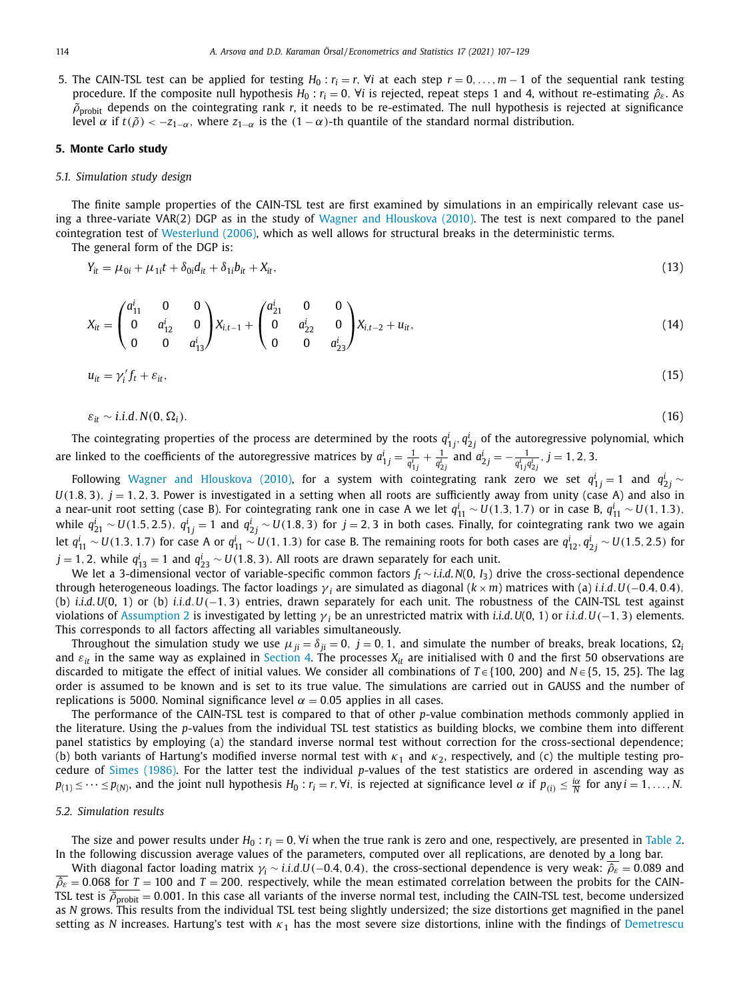<span id="page-8-0"></span>5. The CAIN-TSL test can be applied for testing *H*<sup>0</sup> : *ri* = *r*, ∀*i* at each step *r* = 0, . . ., *m* − 1 of the sequential rank testing procedure. If the composite null hypothesis  $H_0: r_i = 0$ ,  $\forall i$  is rejected, repeat steps 1 and 4, without re-estimating  $\hat{\rho}_{\varepsilon}$ . As  $\tilde{\rho}_{\text{probit}}$  depends on the cointegrating rank r, it needs to be re-estimated. The null hypothesis is rejected at significance level α if *t*( $\tilde{ρ}$ ) < −*z*<sub>1−α</sub>, where *z*<sub>1−α</sub> is the (1 − α)-th quantile of the standard normal distribution.

## **5. Monte Carlo study**

#### *5.1. Simulation study design*

The finite sample properties of the CAIN-TSL test are first examined by simulations in an empirically relevant case using a three-variate VAR(2) DGP as in the study of Wagner and [Hlouskova](#page-23-0) (2010). The test is next compared to the panel cointegration test of [Westerlund](#page-23-0) (2006), which as well allows for structural breaks in the deterministic terms.

The general form of the DGP is:

$$
Y_{it} = \mu_{0i} + \mu_{1i}t + \delta_{0i}d_{it} + \delta_{1i}b_{it} + X_{it},
$$
\n(13)

$$
X_{it} = \begin{pmatrix} a_{11}^i & 0 & 0 \\ 0 & a_{12}^i & 0 \\ 0 & 0 & a_{13}^i \end{pmatrix} X_{i,t-1} + \begin{pmatrix} a_{21}^i & 0 & 0 \\ 0 & a_{22}^i & 0 \\ 0 & 0 & a_{23}^i \end{pmatrix} X_{i,t-2} + u_{it},
$$
(14)

$$
u_{it} = \gamma_i' f_t + \varepsilon_{it}, \tag{15}
$$

$$
\varepsilon_{it} \sim i.i.d. N(0, \Omega_i). \tag{16}
$$

The cointegrating properties of the process are determined by the roots  $q_{1j}^i, q_{2j}^i$  of the autoregressive polynomial, which are linked to the coefficients of the autoregressive matrices by  $a^i_{1j}=\frac{1}{q^i_{1j}}+\frac{1}{q^i_{2j}}$  and  $a^i_{2j}=-\frac{1}{q^i_{1j}q^i_{2j}}$ ,  $j=1,2,3$ .

Following Wagner and [Hlouskova](#page-23-0) (2010), for a system with cointegrating rank zero we set  $q_{1j}^i=1$  and  $q_{2j}^i\sim$  $U(1.8, 3)$ ,  $j = 1, 2, 3$ . Power is investigated in a setting when all roots are sufficiently away from unity (case A) and also in a near-unit root setting (case B). For cointegrating rank one in case A we let  $q_{11}^i \sim U(1.3, 1.7)$  or in case B,  $q_{11}^i \sim U(1, 1.3)$ , while  $q^i_{21}\sim U(1.5,2.5)$ ,  $q^i_{1j}=1$  and  $q^i_{2j}\sim U(1.8,3)$  for  $j=2,3$  in both cases. Finally, for cointegrating rank two we again let  $q_{11}^i\sim$  *U*(1.3, 1.7) for case A or  $q_{11}^i\sim$  *U*(1, 1.3) for case B. The remaining roots for both cases are  $q_{12}^i, q_{2j}^i\sim$  *U*(1.5, 2.5) for *j* = 1, 2, while  $q_{13}^i$  = 1 and  $q_{23}^i$  ∼ *U*(1.8, 3). All roots are drawn separately for each unit.

We let a 3-dimensional vector of variable-specific common factors *ft* ∼ *i*.*i*.*d*. *N*(0, *I*3) drive the cross-sectional dependence through heterogeneous loadings. The factor loadings  $\gamma_i$  are simulated as diagonal ( $k \times m$ ) matrices with (a) *i.i.d.*  $U(-0.4, 0.4)$ , (b) *i*.*i*.*d*.*U*(0, 1) or (b) *i*.*i*.*d*.*U*(−1, 3) entries, drawn separately for each unit. The robustness of the CAIN-TSL test against violations of [Assumption](#page-5-0) 2 is investigated by letting γ *<sup>i</sup>* be an unrestricted matrix with *i*.*i*.*d*.*U*(0, 1) or *i*.*i*.*d*.*U*(−1, 3) elements. This corresponds to all factors affecting all variables simultaneously.

Throughout the simulation study we use  $\mu_{ij} = \delta_{ij} = 0$ ,  $j = 0, 1$ , and simulate the number of breaks, break locations,  $\Omega_i$ and  $\varepsilon_{it}$  in the same way as explained in [Section](#page-6-0) 4. The processes  $X_{it}$  are initialised with 0 and the first 50 observations are discarded to mitigate the effect of initial values. We consider all combinations of *T* ∈ {100, 200} and *N* ∈ {5, 15, 25}. The lag order is assumed to be known and is set to its true value. The simulations are carried out in GAUSS and the number of replications is 5000. Nominal significance level  $\alpha = 0.05$  applies in all cases.

The performance of the CAIN-TSL test is compared to that of other *p*-value combination methods commonly applied in the literature. Using the *p*-values from the individual TSL test statistics as building blocks, we combine them into different panel statistics by employing (a) the standard inverse normal test without correction for the cross-sectional dependence; (b) both variants of Hartung's modified inverse normal test with  $\kappa_1$  and  $\kappa_2$ , respectively, and (c) the multiple testing procedure of Simes [\(1986\).](#page-23-0) For the latter test the individual *p*-values of the test statistics are ordered in ascending way as  $p_{(1)} \leq \cdots \leq p_{(N)}$ , and the joint null hypothesis  $H_0: r_i = r$ ,  $\forall i$ , is rejected at significance level  $\alpha$  if  $p_{(i)} \leq \frac{i\alpha}{N}$  for any  $i = 1, \ldots, N$ .

#### *5.2. Simulation results*

The size and power results under  $H_0$ :  $r_i = 0$ ,  $\forall i$  when the true rank is zero and one, respectively, are presented in [Table](#page-9-0) 2. In the following discussion average values of the parameters, computed over all replications, are denoted by a long bar.

With diagonal factor loading matrix  $\gamma_i \sim i.i.d.U(-0.4, 0.4)$ , the cross-sectional dependence is very weak:  $\hat{\rho}_{\varepsilon} = 0.089$  and  $\hat{\rho}_{\varepsilon}=0.068$  for  $T=100$  and  $T=200$ , respectively, while the mean estimated correlation between the probits for the CAIN-TSL test is  $\overline{\rho}_{\text{probit}} = 0.001$ . In this case all variants of the inverse normal test, including the CAIN-TSL test, become undersized as *N* grows. This results from the individual TSL test being slightly undersized; the size distortions get magnified in the panel setting as *N* increases. Hartung's test with  $\kappa_1$  has the most severe size distortions, inline with the findings of [Demetrescu](#page-22-0)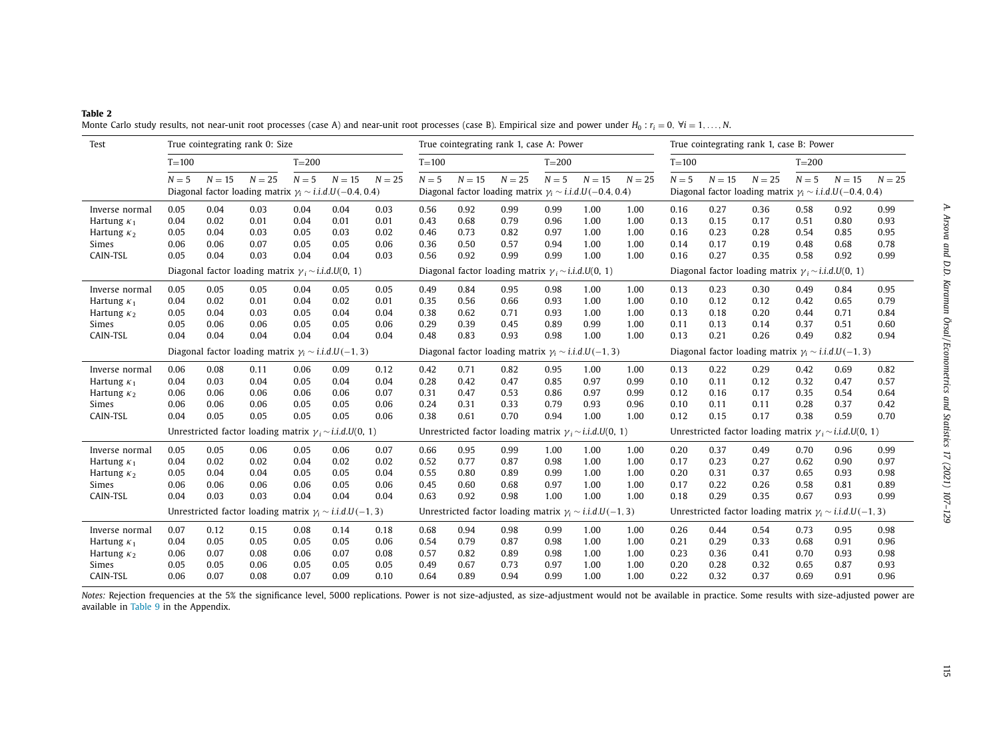<span id="page-9-0"></span>

| <b>Table 2</b>                                                                                                                                                                |  |  |
|-------------------------------------------------------------------------------------------------------------------------------------------------------------------------------|--|--|
| Monte Carlo study results, not near-unit root processes (case A) and near-unit root processes (case B). Empirical size and power under $H_0: r_i = 0$ , $\forall i = 1,, N$ . |  |  |

| Test               | True cointegrating rank 0: Size                              |          |          |           |                                                                   | True cointegrating rank 1, case A: Power                     |                                                                  |          |                                                                   | True cointegrating rank 1, case B: Power                         |        |                                                              |                                                               |          |                                                                   |           |        |          |
|--------------------|--------------------------------------------------------------|----------|----------|-----------|-------------------------------------------------------------------|--------------------------------------------------------------|------------------------------------------------------------------|----------|-------------------------------------------------------------------|------------------------------------------------------------------|--------|--------------------------------------------------------------|---------------------------------------------------------------|----------|-------------------------------------------------------------------|-----------|--------|----------|
|                    | $T = 100$                                                    |          |          | $T = 200$ |                                                                   |                                                              | $T = 100$                                                        |          |                                                                   | $T = 200$                                                        |        |                                                              | $T = 100$                                                     |          |                                                                   | $T = 200$ |        |          |
|                    | $N=5$                                                        | $N = 15$ | $N = 25$ | $N=5$     | $N=15$                                                            | $N = 25$                                                     | $N=5$                                                            | $N = 15$ | $N = 25$                                                          | $N=5$                                                            | $N=15$ | $N = 25$                                                     | $N=5$                                                         | $N = 15$ | $N = 25$                                                          | $N=5$     | $N=15$ | $N = 25$ |
|                    |                                                              |          |          |           | Diagonal factor loading matrix $\gamma_i \sim i.i.d.U(-0.4, 0.4)$ |                                                              |                                                                  |          | Diagonal factor loading matrix $\gamma_i \sim i.i.d.U(-0.4, 0.4)$ |                                                                  |        |                                                              |                                                               |          | Diagonal factor loading matrix $\gamma_i \sim i.i.d.U(-0.4, 0.4)$ |           |        |          |
| Inverse normal     | 0.05                                                         | 0.04     | 0.03     | 0.04      | 0.04                                                              | 0.03                                                         | 0.56                                                             | 0.92     | 0.99                                                              | 0.99                                                             | 1.00   | 1.00                                                         | 0.16                                                          | 0.27     | 0.36                                                              | 0.58      | 0.92   | 0.99     |
| Hartung $\kappa_1$ | 0.04                                                         | 0.02     | 0.01     | 0.04      | 0.01                                                              | 0.01                                                         | 0.43                                                             | 0.68     | 0.79                                                              | 0.96                                                             | 1.00   | 1.00                                                         | 0.13                                                          | 0.15     | 0.17                                                              | 0.51      | 0.80   | 0.93     |
| Hartung $\kappa_2$ | 0.05                                                         | 0.04     | 0.03     | 0.05      | 0.03                                                              | 0.02                                                         | 0.46                                                             | 0.73     | 0.82                                                              | 0.97                                                             | 1.00   | 1.00                                                         | 0.16                                                          | 0.23     | 0.28                                                              | 0.54      | 0.85   | 0.95     |
| Simes              | 0.06                                                         | 0.06     | 0.07     | 0.05      | 0.05                                                              | 0.06                                                         | 0.36                                                             | 0.50     | 0.57                                                              | 0.94                                                             | 1.00   | 1.00                                                         | 0.14                                                          | 0.17     | 0.19                                                              | 0.48      | 0.68   | 0.78     |
| CAIN-TSL           | 0.05                                                         | 0.04     | 0.03     | 0.04      | 0.04                                                              | 0.03                                                         | 0.56                                                             | 0.92     | 0.99                                                              | 0.99                                                             | 1.00   | 1.00                                                         | 0.16                                                          | 0.27     | 0.35                                                              | 0.58      | 0.92   | 0.99     |
|                    | Diagonal factor loading matrix $\gamma_i \sim i.i.d.U(0, 1)$ |          |          |           |                                                                   | Diagonal factor loading matrix $\gamma_i \sim i.i.d.U(0, 1)$ |                                                                  |          |                                                                   |                                                                  |        | Diagonal factor loading matrix $\gamma_i \sim i.i.d.U(0, 1)$ |                                                               |          |                                                                   |           |        |          |
| Inverse normal     | 0.05                                                         | 0.05     | 0.05     | 0.04      | 0.05                                                              | 0.05                                                         | 0.49                                                             | 0.84     | 0.95                                                              | 0.98                                                             | 1.00   | 1.00                                                         | 0.13                                                          | 0.23     | 0.30                                                              | 0.49      | 0.84   | 0.95     |
| Hartung $\kappa_1$ | 0.04                                                         | 0.02     | 0.01     | 0.04      | 0.02                                                              | 0.01                                                         | 0.35                                                             | 0.56     | 0.66                                                              | 0.93                                                             | 1.00   | 1.00                                                         | 0.10                                                          | 0.12     | 0.12                                                              | 0.42      | 0.65   | 0.79     |
| Hartung $\kappa_2$ | 0.05                                                         | 0.04     | 0.03     | 0.05      | 0.04                                                              | 0.04                                                         | 0.38                                                             | 0.62     | 0.71                                                              | 0.93                                                             | 1.00   | 1.00                                                         | 0.13                                                          | 0.18     | 0.20                                                              | 0.44      | 0.71   | 0.84     |
| Simes              | 0.05                                                         | 0.06     | 0.06     | 0.05      | 0.05                                                              | 0.06                                                         | 0.29                                                             | 0.39     | 0.45                                                              | 0.89                                                             | 0.99   | 1.00                                                         | 0.11                                                          | 0.13     | 0.14                                                              | 0.37      | 0.51   | 0.60     |
| CAIN-TSL           | 0.04                                                         | 0.04     | 0.04     | 0.04      | 0.04                                                              | 0.04                                                         | 0.48                                                             | 0.83     | 0.93                                                              | 0.98                                                             | 1.00   | 1.00                                                         | 0.13                                                          | 0.21     | 0.26                                                              | 0.49      | 0.82   | 0.94     |
|                    |                                                              |          |          |           | Diagonal factor loading matrix $\gamma_i \sim i.i.d.U(-1, 3)$     |                                                              |                                                                  |          | Diagonal factor loading matrix $\gamma_i \sim i.i.d.U(-1,3)$      |                                                                  |        |                                                              | Diagonal factor loading matrix $\gamma_i \sim i.i.d.U(-1, 3)$ |          |                                                                   |           |        |          |
| Inverse normal     | 0.06                                                         | 0.08     | 0.11     | 0.06      | 0.09                                                              | 0.12                                                         | 0.42                                                             | 0.71     | 0.82                                                              | 0.95                                                             | 1.00   | 1.00                                                         | 0.13                                                          | 0.22     | 0.29                                                              | 0.42      | 0.69   | 0.82     |
| Hartung $\kappa_1$ | 0.04                                                         | 0.03     | 0.04     | 0.05      | 0.04                                                              | 0.04                                                         | 0.28                                                             | 0.42     | 0.47                                                              | 0.85                                                             | 0.97   | 0.99                                                         | 0.10                                                          | 0.11     | 0.12                                                              | 0.32      | 0.47   | 0.57     |
| Hartung $\kappa_2$ | 0.06                                                         | 0.06     | 0.06     | 0.06      | 0.06                                                              | 0.07                                                         | 0.31                                                             | 0.47     | 0.53                                                              | 0.86                                                             | 0.97   | 0.99                                                         | 0.12                                                          | 0.16     | 0.17                                                              | 0.35      | 0.54   | 0.64     |
| Simes              | 0.06                                                         | 0.06     | 0.06     | 0.05      | 0.05                                                              | 0.06                                                         | 0.24                                                             | 0.31     | 0.33                                                              | 0.79                                                             | 0.93   | 0.96                                                         | 0.10                                                          | 0.11     | 0.11                                                              | 0.28      | 0.37   | 0.42     |
| CAIN-TSL           | 0.04                                                         | 0.05     | 0.05     | 0.05      | 0.05                                                              | 0.06                                                         | 0.38                                                             | 0.61     | 0.70                                                              | 0.94                                                             | 1.00   | 1.00                                                         | 0.12                                                          | 0.15     | 0.17                                                              | 0.38      | 0.59   | 0.70     |
|                    |                                                              |          |          |           | Unrestricted factor loading matrix $\gamma_i \sim i.i.d.U(0, 1)$  |                                                              | Unrestricted factor loading matrix $\gamma_i \sim i.i.d.U(0, 1)$ |          |                                                                   | Unrestricted factor loading matrix $\gamma_i \sim i.i.d.U(0, 1)$ |        |                                                              |                                                               |          |                                                                   |           |        |          |
| Inverse normal     | 0.05                                                         | 0.05     | 0.06     | 0.05      | 0.06                                                              | 0.07                                                         | 0.66                                                             | 0.95     | 0.99                                                              | 1.00                                                             | 1.00   | 1.00                                                         | 0.20                                                          | 0.37     | 0.49                                                              | 0.70      | 0.96   | 0.99     |
| Hartung $\kappa_1$ | 0.04                                                         | 0.02     | 0.02     | 0.04      | 0.02                                                              | 0.02                                                         | 0.52                                                             | 0.77     | 0.87                                                              | 0.98                                                             | 1.00   | 1.00                                                         | 0.17                                                          | 0.23     | 0.27                                                              | 0.62      | 0.90   | 0.97     |
| Hartung $\kappa_2$ | 0.05                                                         | 0.04     | 0.04     | 0.05      | 0.05                                                              | 0.04                                                         | 0.55                                                             | 0.80     | 0.89                                                              | 0.99                                                             | 1.00   | 1.00                                                         | 0.20                                                          | 0.31     | 0.37                                                              | 0.65      | 0.93   | 0.98     |
| Simes              | 0.06                                                         | 0.06     | 0.06     | 0.06      | 0.05                                                              | 0.06                                                         | 0.45                                                             | 0.60     | 0.68                                                              | 0.97                                                             | 1.00   | 1.00                                                         | 0.17                                                          | 0.22     | 0.26                                                              | 0.58      | 0.81   | 0.89     |
| CAIN-TSL           | 0.04                                                         | 0.03     | 0.03     | 0.04      | 0.04                                                              | 0.04                                                         | 0.63                                                             | 0.92     | 0.98                                                              | 1.00                                                             | 1.00   | 1.00                                                         | 0.18                                                          | 0.29     | 0.35                                                              | 0.67      | 0.93   | 0.99     |
|                    |                                                              |          |          |           | Unrestricted factor loading matrix $\gamma_i \sim i.i.d.U(-1,3)$  |                                                              |                                                                  |          | Unrestricted factor loading matrix $\gamma_i \sim i.i.d.U(-1,3)$  |                                                                  |        |                                                              |                                                               |          | Unrestricted factor loading matrix $\gamma_i \sim i.i.d.U(-1, 3)$ |           |        |          |
| Inverse normal     | 0.07                                                         | 0.12     | 0.15     | 0.08      | 0.14                                                              | 0.18                                                         | 0.68                                                             | 0.94     | 0.98                                                              | 0.99                                                             | 1.00   | 1.00                                                         | 0.26                                                          | 0.44     | 0.54                                                              | 0.73      | 0.95   | 0.98     |
| Hartung $\kappa_1$ | 0.04                                                         | 0.05     | 0.05     | 0.05      | 0.05                                                              | 0.06                                                         | 0.54                                                             | 0.79     | 0.87                                                              | 0.98                                                             | 1.00   | 1.00                                                         | 0.21                                                          | 0.29     | 0.33                                                              | 0.68      | 0.91   | 0.96     |
| Hartung $\kappa_2$ | 0.06                                                         | 0.07     | 0.08     | 0.06      | 0.07                                                              | 0.08                                                         | 0.57                                                             | 0.82     | 0.89                                                              | 0.98                                                             | 1.00   | 1.00                                                         | 0.23                                                          | 0.36     | 0.41                                                              | 0.70      | 0.93   | 0.98     |
| Simes              | 0.05                                                         | 0.05     | 0.06     | 0.05      | 0.05                                                              | 0.05                                                         | 0.49                                                             | 0.67     | 0.73                                                              | 0.97                                                             | 1.00   | 1.00                                                         | 0.20                                                          | 0.28     | 0.32                                                              | 0.65      | 0.87   | 0.93     |
| CAIN-TSL           | 0.06                                                         | 0.07     | 0.08     | 0.07      | 0.09                                                              | 0.10                                                         | 0.64                                                             | 0.89     | 0.94                                                              | 0.99                                                             | 1.00   | 1.00                                                         | 0.22                                                          | 0.32     | 0.37                                                              | 0.69      | 0.91   | 0.96     |

Notes: Rejection frequencies at the 5% the significance level, 5000 replications. Power is not size-adjusted, as size-adjustment would not be available in practice. Some results with size-adjusted power are available in [Table](#page-18-0) 9 in the Appendix.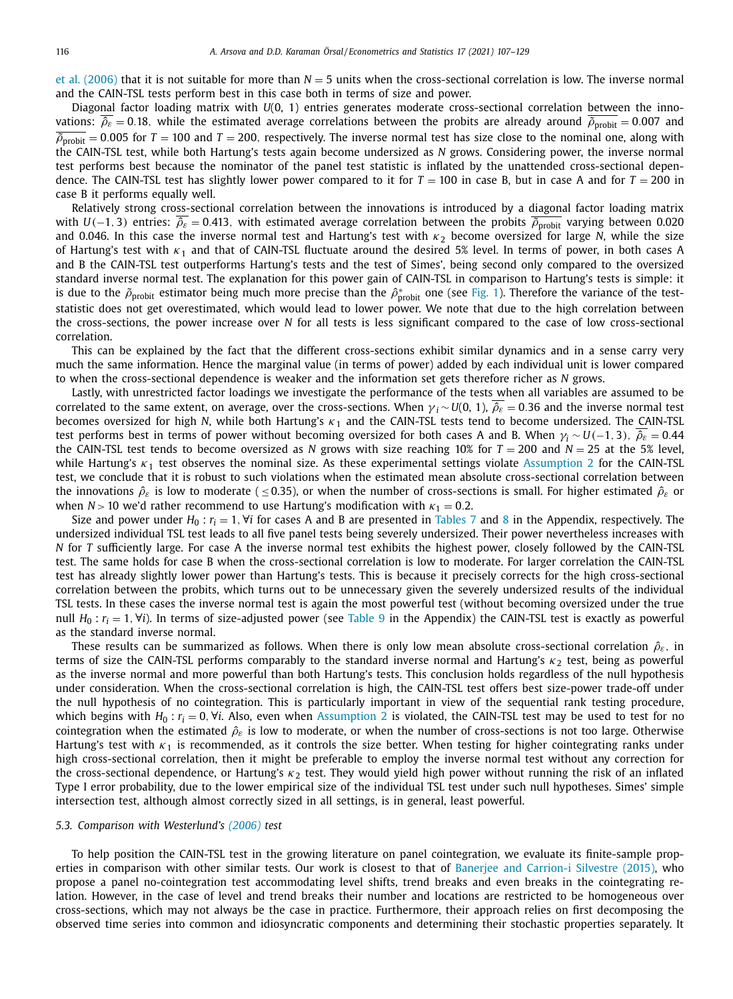<span id="page-10-0"></span>et al. [\(2006\)](#page-22-0) that it is not suitable for more than *N* = 5 units when the cross-sectional correlation is low. The inverse normal and the CAIN-TSL tests perform best in this case both in terms of size and power.

Diagonal factor loading matrix with *U*(0, 1) entries generates moderate cross-sectional correlation between the innovations:  $\hat{\rho}_{\varepsilon} = 0.18$ , while the estimated average correlations between the probits are already around  $\hat{\rho}_{\text{probit}} = 0.007$  and  $\overline{\hat{\rho}}_{\text{probit}} = 0.005$  for  $T = 100$  and  $T = 200$ , respectively. The inverse normal test has size close to the nominal one, along with the CAIN-TSL test, while both Hartung's tests again become undersized as *N* grows. Considering power, the inverse normal test performs best because the nominator of the panel test statistic is inflated by the unattended cross-sectional dependence. The CAIN-TSL test has slightly lower power compared to it for  $T = 100$  in case B, but in case A and for  $T = 200$  in case B it performs equally well.

Relatively strong cross-sectional correlation between the innovations is introduced by a diagonal factor loading matrix with  $U(-1, 3)$  entries:  $\hat{\rho}_{\varepsilon} = 0.413$ , with estimated average correlation between the probits  $\hat{\rho}_{\text{probit}}$  varying between 0.020 and 0.046. In this case the inverse normal test and Hartung's test with  $\kappa_2$  become oversized for large *N*, while the size of Hartung's test with  $\kappa_1$  and that of CAIN-TSL fluctuate around the desired 5% level. In terms of power, in both cases A and B the CAIN-TSL test outperforms Hartung's tests and the test of Simes', being second only compared to the oversized standard inverse normal test. The explanation for this power gain of CAIN-TSL in comparison to Hartung's tests is simple: it is due to the  $\tilde\rho_{\rm{probit}}$  estimator being much more precise than the  $\hat\rho^*_{\rm{probit}}$  one (see [Fig.](#page-4-0) 1). Therefore the variance of the teststatistic does not get overestimated, which would lead to lower power. We note that due to the high correlation between the cross-sections, the power increase over *N* for all tests is less significant compared to the case of low cross-sectional correlation.

This can be explained by the fact that the different cross-sections exhibit similar dynamics and in a sense carry very much the same information. Hence the marginal value (in terms of power) added by each individual unit is lower compared to when the cross-sectional dependence is weaker and the information set gets therefore richer as *N* grows.

Lastly, with unrestricted factor loadings we investigate the performance of the tests when all variables are assumed to be correlated to the same extent, on average, over the cross-sections. When  $\gamma_i \sim U(0, 1)$ ,  $\hat{\beta}_{\varepsilon} = 0.36$  and the inverse normal test becomes oversized for high *N*, while both Hartung's κ<sub>1</sub> and the CAIN-TSL tests tend to become undersized. The CAIN-TSL test performs best in terms of power without becoming oversized for both cases A and B. When  $\gamma_i \sim U(-1, 3)$ ,  $\hat{\rho}_{\varepsilon} = 0.44$ the CAIN-TSL test tends to become oversized as *N* grows with size reaching 10% for  $T = 200$  and  $N = 25$  at the 5% level, while Hartung's  $\kappa_1$  test observes the nominal size. As these experimental settings violate [Assumption](#page-5-0) 2 for the CAIN-TSL test, we conclude that it is robust to such violations when the estimated mean absolute cross-sectional correlation between the innovations  $\hat{\rho}_{\varepsilon}$  is low to moderate (  $\leq$  0.35), or when the number of cross-sections is small. For higher estimated  $\hat{\rho}_{\varepsilon}$  or when  $N > 10$  we'd rather recommend to use Hartung's modification with  $\kappa_1 = 0.2$ .

Size and power under  $H_0: r_i = 1$ ,  $\forall i$  for cases A and B are presented in [Tables](#page-16-0) 7 and [8](#page-17-0) in the Appendix, respectively. The undersized individual TSL test leads to all five panel tests being severely undersized. Their power nevertheless increases with *N* for *T* sufficiently large. For case A the inverse normal test exhibits the highest power, closely followed by the CAIN-TSL test. The same holds for case B when the cross-sectional correlation is low to moderate. For larger correlation the CAIN-TSL test has already slightly lower power than Hartung's tests. This is because it precisely corrects for the high cross-sectional correlation between the probits, which turns out to be unnecessary given the severely undersized results of the individual TSL tests. In these cases the inverse normal test is again the most powerful test (without becoming oversized under the true null  $H_0$ :  $r_i = 1$ ,  $V_i$ ). In terms of size-adjusted power (see [Table](#page-18-0) 9 in the Appendix) the CAIN-TSL test is exactly as powerful as the standard inverse normal.

These results can be summarized as follows. When there is only low mean absolute cross-sectional correlation  $\hat{\rho}_{\varepsilon}$ , in terms of size the CAIN-TSL performs comparably to the standard inverse normal and Hartung's  $\kappa_2$  test, being as powerful as the inverse normal and more powerful than both Hartung's tests. This conclusion holds regardless of the null hypothesis under consideration. When the cross-sectional correlation is high, the CAIN-TSL test offers best size-power trade-off under the null hypothesis of no cointegration. This is particularly important in view of the sequential rank testing procedure, which begins with  $H_0: r_i = 0$ ,  $\forall i$ . Also, even when [Assumption](#page-5-0) 2 is violated, the CAIN-TSL test may be used to test for no cointegration when the estimated  $\hat{\rho}_{\varepsilon}$  is low to moderate, or when the number of cross-sections is not too large. Otherwise Hartung's test with  $\kappa_1$  is recommended, as it controls the size better. When testing for higher cointegrating ranks under high cross-sectional correlation, then it might be preferable to employ the inverse normal test without any correction for the cross-sectional dependence, or Hartung's  $\kappa_2$  test. They would yield high power without running the risk of an inflated Type I error probability, due to the lower empirical size of the individual TSL test under such null hypotheses. Simes' simple intersection test, although almost correctly sized in all settings, is in general, least powerful.

#### *5.3. Comparison with Westerlund's [\(2006\)](#page-23-0) test*

To help position the CAIN-TSL test in the growing literature on panel cointegration, we evaluate its finite-sample properties in comparison with other similar tests. Our work is closest to that of Banerjee and [Carrion-i](#page-22-0) Silvestre (2015), who propose a panel no-cointegration test accommodating level shifts, trend breaks and even breaks in the cointegrating relation. However, in the case of level and trend breaks their number and locations are restricted to be homogeneous over cross-sections, which may not always be the case in practice. Furthermore, their approach relies on first decomposing the observed time series into common and idiosyncratic components and determining their stochastic properties separately. It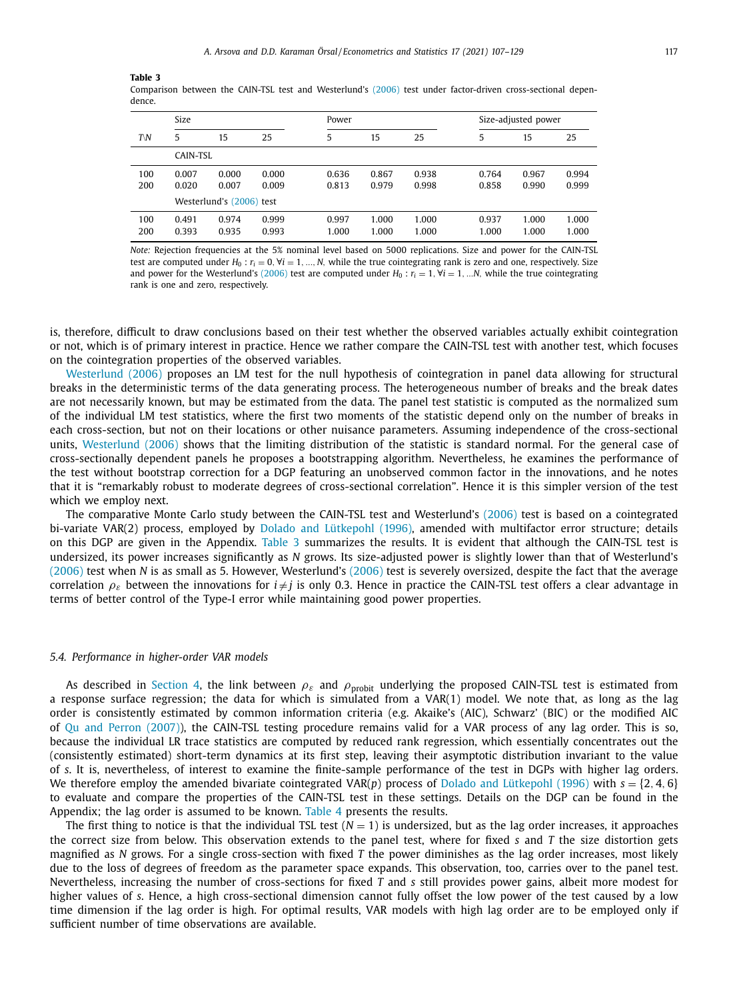#### <span id="page-11-0"></span>**Table 3**

| Comparison between the CAIN-TSL test and Westerlund's (2006) test under factor-driven cross-sectional depen- |  |  |  |  |
|--------------------------------------------------------------------------------------------------------------|--|--|--|--|
| dence.                                                                                                       |  |  |  |  |

|     | Size     |                          |       | Power |       |       |       | Size-adjusted power |       |  |
|-----|----------|--------------------------|-------|-------|-------|-------|-------|---------------------|-------|--|
| TN  | 5        | 15                       | 25    | 5     | 15    | 25    | 5     | 15                  | 25    |  |
|     | CAIN-TSL |                          |       |       |       |       |       |                     |       |  |
| 100 | 0.007    | 0.000                    | 0.000 | 0.636 | 0.867 | 0.938 | 0.764 | 0.967               | 0.994 |  |
| 200 | 0.020    | 0.007                    | 0.009 | 0.813 | 0.979 | 0.998 | 0.858 | 0.990               | 0.999 |  |
|     |          | Westerlund's (2006) test |       |       |       |       |       |                     |       |  |
| 100 | 0.491    | 0.974                    | 0.999 | 0.997 | 1.000 | 1.000 | 0.937 | 1.000               | 1.000 |  |
| 200 | 0.393    | 0.935                    | 0.993 | 1.000 | 1.000 | 1.000 | 1.000 | 1.000               | 1.000 |  |

*Note:* Rejection frequencies at the 5% nominal level based on 5000 replications. Size and power for the CAIN-TSL test are computed under  $H_0: r_i = 0$ ,  $\forall i = 1, ..., N$ , while the true cointegrating rank is zero and one, respectively. Size and power for the Westerlund's [\(2006\)](#page-23-0) test are computed under  $H_0$ :  $r_i = 1$ ,  $\forall i = 1,...N$ , while the true cointegrating rank is one and zero, respectively.

is, therefore, difficult to draw conclusions based on their test whether the observed variables actually exhibit cointegration or not, which is of primary interest in practice. Hence we rather compare the CAIN-TSL test with another test, which focuses on the cointegration properties of the observed variables.

[Westerlund](#page-23-0) (2006) proposes an LM test for the null hypothesis of cointegration in panel data allowing for structural breaks in the deterministic terms of the data generating process. The heterogeneous number of breaks and the break dates are not necessarily known, but may be estimated from the data. The panel test statistic is computed as the normalized sum of the individual LM test statistics, where the first two moments of the statistic depend only on the number of breaks in each cross-section, but not on their locations or other nuisance parameters. Assuming independence of the cross-sectional units, [Westerlund](#page-23-0) (2006) shows that the limiting distribution of the statistic is standard normal. For the general case of cross-sectionally dependent panels he proposes a bootstrapping algorithm. Nevertheless, he examines the performance of the test without bootstrap correction for a DGP featuring an unobserved common factor in the innovations, and he notes that it is "remarkably robust to moderate degrees of cross-sectional correlation". Hence it is this simpler version of the test which we employ next.

The comparative Monte Carlo study between the CAIN-TSL test and Westerlund's [\(2006\)](#page-23-0) test is based on a cointegrated bi-variate VAR(2) process, employed by Dolado and [Lütkepohl](#page-22-0) (1996), amended with multifactor error structure; details on this DGP are given in the Appendix. Table 3 summarizes the results. It is evident that although the CAIN-TSL test is undersized, its power increases significantly as *N* grows. Its size-adjusted power is slightly lower than that of Westerlund's [\(2006\)](#page-23-0) test when *N* is as small as 5. However, Westerlund's [\(2006\)](#page-23-0) test is severely oversized, despite the fact that the average correlation  $\rho_{\varepsilon}$  between the innovations for  $i \neq j$  is only 0.3. Hence in practice the CAIN-TSL test offers a clear advantage in terms of better control of the Type-I error while maintaining good power properties.

#### *5.4. Performance in higher-order VAR models*

As described in [Section](#page-6-0) 4, the link between  $\rho_{\varepsilon}$  and  $\rho_{\text{probit}}$  underlying the proposed CAIN-TSL test is estimated from a response surface regression; the data for which is simulated from a VAR(1) model. We note that, as long as the lag order is consistently estimated by common information criteria (e.g. Akaike's (AIC), Schwarz' (BIC) or the modified AIC of Qu and Perron [\(2007\)\)](#page-23-0), the CAIN-TSL testing procedure remains valid for a VAR process of any lag order. This is so, because the individual LR trace statistics are computed by reduced rank regression, which essentially concentrates out the (consistently estimated) short-term dynamics at its first step, leaving their asymptotic distribution invariant to the value of *s*. It is, nevertheless, of interest to examine the finite-sample performance of the test in DGPs with higher lag orders. We therefore employ the amended bivariate cointegrated VAR( $p$ ) process of Dolado and [Lütkepohl](#page-22-0) (1996) with  $s = \{2, 4, 6\}$ to evaluate and compare the properties of the CAIN-TSL test in these settings. Details on the DGP can be found in the Appendix; the lag order is assumed to be known. [Table](#page-12-0) 4 presents the results.

The first thing to notice is that the individual TSL test  $(N = 1)$  is undersized, but as the lag order increases, it approaches the correct size from below. This observation extends to the panel test, where for fixed *s* and *T* the size distortion gets magnified as *N* grows. For a single cross-section with fixed *T* the power diminishes as the lag order increases, most likely due to the loss of degrees of freedom as the parameter space expands. This observation, too, carries over to the panel test. Nevertheless, increasing the number of cross-sections for fixed *T* and *s* still provides power gains, albeit more modest for higher values of *s*. Hence, a high cross-sectional dimension cannot fully offset the low power of the test caused by a low time dimension if the lag order is high. For optimal results, VAR models with high lag order are to be employed only if sufficient number of time observations are available.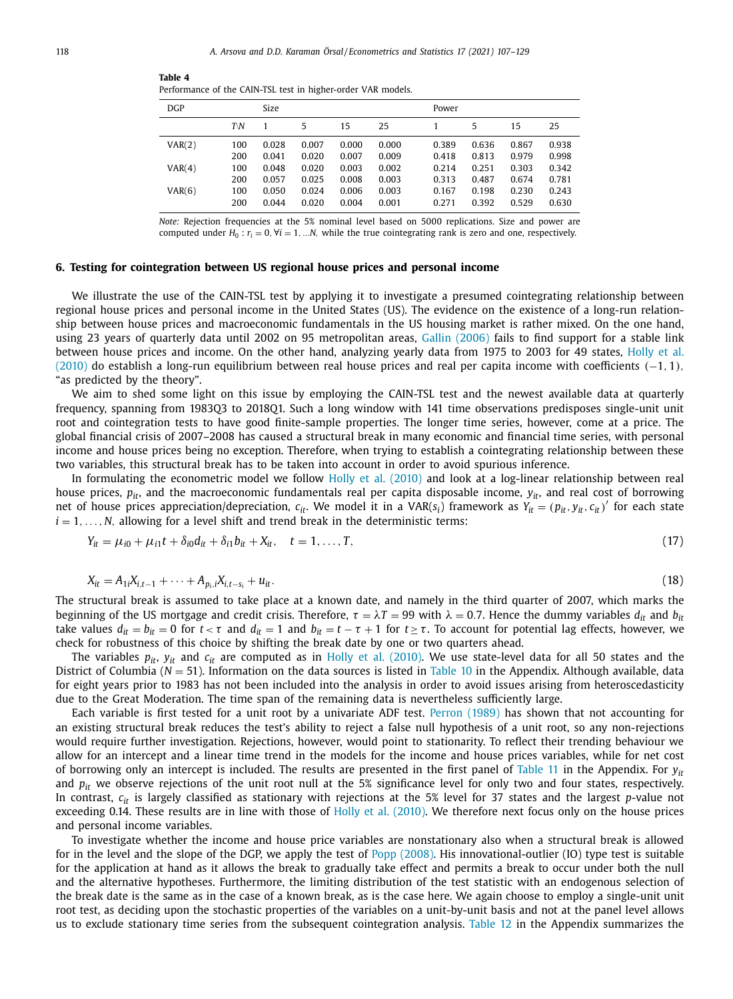| <b>DGP</b> |     | Size  |       |       |       | Power |       |       |       |  |
|------------|-----|-------|-------|-------|-------|-------|-------|-------|-------|--|
|            | TN  |       | 5     | 15    | 25    |       | 5     | 15    | 25    |  |
| VAR(2)     | 100 | 0.028 | 0.007 | 0.000 | 0.000 | 0.389 | 0.636 | 0.867 | 0.938 |  |
|            | 200 | 0.041 | 0.020 | 0.007 | 0.009 | 0.418 | 0.813 | 0.979 | 0.998 |  |
| VAR(4)     | 100 | 0.048 | 0.020 | 0.003 | 0.002 | 0.214 | 0.251 | 0.303 | 0.342 |  |
|            | 200 | 0.057 | 0.025 | 0.008 | 0.003 | 0.313 | 0.487 | 0.674 | 0.781 |  |
| VAR(6)     | 100 | 0.050 | 0.024 | 0.006 | 0.003 | 0.167 | 0.198 | 0.230 | 0.243 |  |
|            | 200 | 0.044 | 0.020 | 0.004 | 0.001 | 0.271 | 0.392 | 0.529 | 0.630 |  |

<span id="page-12-0"></span>**Table 4** Performance of the CAIN-TSL test in higher-order VAR models.

*Note:* Rejection frequencies at the 5% nominal level based on 5000 replications. Size and power are computed under  $H_0$ :  $r_i = 0$ ,  $\forall i = 1, ...N$ , while the true cointegrating rank is zero and one, respectively.

## **6. Testing for cointegration between US regional house prices and personal income**

We illustrate the use of the CAIN-TSL test by applying it to investigate a presumed cointegrating relationship between regional house prices and personal income in the United States (US). The evidence on the existence of a long-run relationship between house prices and macroeconomic fundamentals in the US housing market is rather mixed. On the one hand, using 23 years of quarterly data until 2002 on 95 metropolitan areas, Gallin [\(2006\)](#page-22-0) fails to find support for a stable link between house prices and income. On the other hand, analyzing yearly data from 1975 to 2003 for 49 states, Holly et al.  $(2010)$  do establish a long-run [equilibrium](#page-23-0) between real house prices and real per capita income with coefficients  $(-1, 1)$ , "as predicted by the theory".

We aim to shed some light on this issue by employing the CAIN-TSL test and the newest available data at quarterly frequency, spanning from 1983Q3 to 2018Q1. Such a long window with 141 time observations predisposes single-unit unit root and cointegration tests to have good finite-sample properties. The longer time series, however, come at a price. The global financial crisis of 2007–2008 has caused a structural break in many economic and financial time series, with personal income and house prices being no exception. Therefore, when trying to establish a cointegrating relationship between these two variables, this structural break has to be taken into account in order to avoid spurious inference.

In formulating the econometric model we follow Holly et al. [\(2010\)](#page-23-0) and look at a log-linear relationship between real house prices, *pit*, and the macroeconomic fundamentals real per capita disposable income, *yit*, and real cost of borrowing net of house prices appreciation/depreciation,  $c_{it}$ . We model it in a VAR( $s_i$ ) framework as  $Y_{it} = (p_{it}, y_{it}, c_{it})'$  for each state  $i = 1, \ldots, N$ , allowing for a level shift and trend break in the deterministic terms:

$$
Y_{it} = \mu_{i0} + \mu_{i1}t + \delta_{i0}d_{it} + \delta_{i1}b_{it} + X_{it}, \quad t = 1, \dots, T,
$$
\n(17)

$$
X_{it} = A_{1i}X_{i,t-1} + \dots + A_{p_i,i}X_{i,t-s_i} + u_{it}.
$$
\n(18)

The structural break is assumed to take place at a known date, and namely in the third quarter of 2007, which marks the beginning of the US mortgage and credit crisis. Therefore,  $\tau = \lambda T = 99$  with  $\lambda = 0.7$ . Hence the dummy variables  $d_{it}$  and  $b_{it}$ take values  $d_{it} = b_{it} = 0$  for  $t < \tau$  and  $d_{it} = 1$  and  $b_{it} = t - \tau + 1$  for  $t \geq \tau$ . To account for potential lag effects, however, we check for robustness of this choice by shifting the break date by one or two quarters ahead.

The variables  $p_{it}$ ,  $y_{it}$  and  $c_{it}$  are computed as in Holly et al. [\(2010\).](#page-23-0) We use state-level data for all 50 states and the District of Columbia (*N* = 51). Information on the data sources is listed in [Table](#page-19-0) 10 in the Appendix. Although available, data for eight years prior to 1983 has not been included into the analysis in order to avoid issues arising from heteroscedasticity due to the Great Moderation. The time span of the remaining data is nevertheless sufficiently large.

Each variable is first tested for a unit root by a univariate ADF test. [Perron](#page-23-0) (1989) has shown that not accounting for an existing structural break reduces the test's ability to reject a false null hypothesis of a unit root, so any non-rejections would require further investigation. Rejections, however, would point to stationarity. To reflect their trending behaviour we allow for an intercept and a linear time trend in the models for the income and house prices variables, while for net cost of borrowing only an intercept is included. The results are presented in the first panel of [Table](#page-20-0) 11 in the Appendix. For  $y_{it}$ and  $p_{it}$  we observe rejections of the unit root null at the 5% significance level for only two and four states, respectively. In contrast,  $c_{it}$  is largely classified as stationary with rejections at the 5% level for 37 states and the largest *p*-value not exceeding 0.14. These results are in line with those of Holly et al. [\(2010\).](#page-23-0) We therefore next focus only on the house prices and personal income variables.

To investigate whether the income and house price variables are nonstationary also when a structural break is allowed for in the level and the slope of the DGP, we apply the test of Popp [\(2008\).](#page-23-0) His innovational-outlier (IO) type test is suitable for the application at hand as it allows the break to gradually take effect and permits a break to occur under both the null and the alternative hypotheses. Furthermore, the limiting distribution of the test statistic with an endogenous selection of the break date is the same as in the case of a known break, as is the case here. We again choose to employ a single-unit unit root test, as deciding upon the stochastic properties of the variables on a unit-by-unit basis and not at the panel level allows us to exclude stationary time series from the subsequent cointegration analysis. [Table](#page-21-0) 12 in the Appendix summarizes the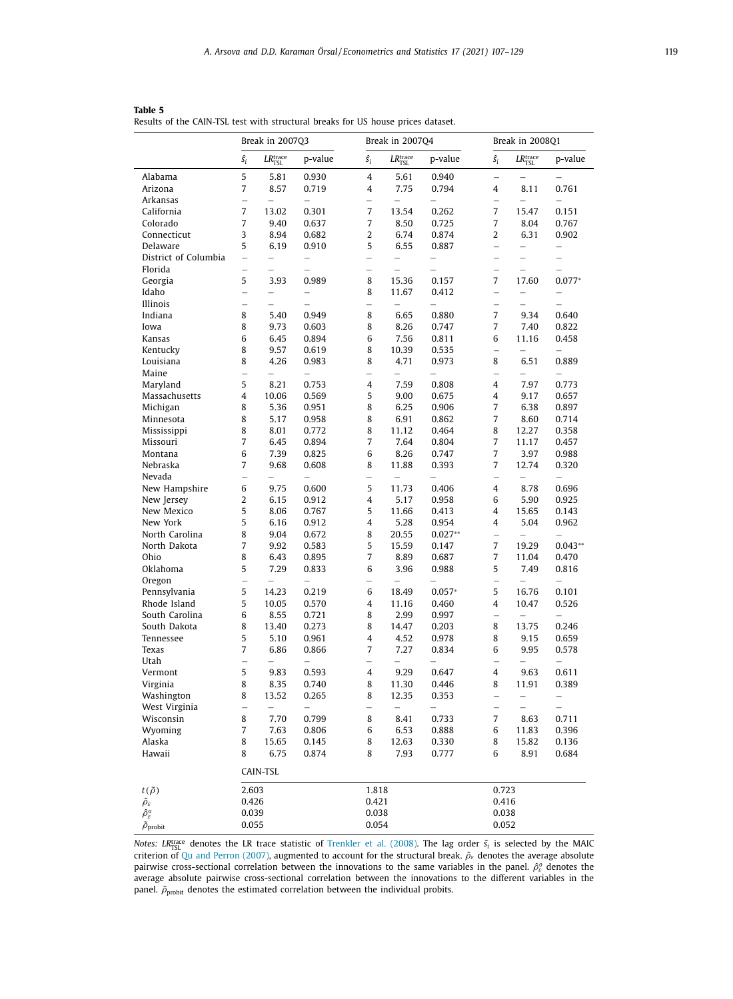|                                |                          | Break in 2007Q3            |                          |                          | Break in 2007Q4            |                          |                          | Break in 2008Q1            |                          |
|--------------------------------|--------------------------|----------------------------|--------------------------|--------------------------|----------------------------|--------------------------|--------------------------|----------------------------|--------------------------|
|                                | $\hat{s_i}$              | $LR_{\rm TSL}^{\rm trace}$ | p-value                  | $\hat{s_i}$              | $LR_{\rm TSL}^{\rm trace}$ | p-value                  | $\hat{s_i}$              | $LR_{\rm TSL}^{\rm trace}$ | p-value                  |
| Alabama                        | 5                        | 5.81                       | 0.930                    | $\overline{4}$           | 5.61                       | 0.940                    | $\overline{\phantom{0}}$ |                            |                          |
| Arizona                        | 7                        | 8.57                       | 0.719                    | 4                        | 7.75                       | 0.794                    | 4                        | 8.11                       | 0.761                    |
| Arkansas                       | $\overline{\phantom{0}}$ |                            |                          |                          |                            |                          |                          |                            |                          |
| California                     | 7                        | 13.02                      | 0.301                    | $\overline{7}$           | 13.54                      | 0.262                    | $\overline{7}$           | 15.47                      | 0.151                    |
| Colorado                       | 7                        | 9.40                       | 0.637                    | $\overline{7}$           | 8.50                       | 0.725                    | 7                        | 8.04                       | 0.767                    |
| Connecticut                    | 3                        | 8.94                       | 0.682                    | $\overline{2}$           | 6.74                       | 0.874                    | $\overline{2}$           | 6.31                       | 0.902                    |
| Delaware                       | 5                        | 6.19                       | 0.910                    | 5                        | 6.55                       | 0.887                    | $\overline{\phantom{0}}$ |                            | $\overline{\phantom{0}}$ |
| District of Columbia           |                          | $\overline{\phantom{0}}$   | $\overline{\phantom{0}}$ | $\overline{\phantom{0}}$ | $\overline{\phantom{0}}$   | $\overline{\phantom{0}}$ | $\overline{\phantom{0}}$ | $\overline{\phantom{0}}$   | $\qquad \qquad -$        |
| Florida                        | $\overline{a}$           | $\overline{\phantom{0}}$   | $\overline{a}$           | $\equiv$                 | $\overline{a}$             | $\overline{a}$           | $\equiv$                 | L.                         | $\overline{\phantom{0}}$ |
| Georgia                        | 5                        | 3.93                       | 0.989                    | 8                        | 15.36                      | 0.157                    | $\overline{7}$           | 17.60                      | $0.077*$                 |
| Idaho                          | $\overline{a}$           | $\overline{\phantom{0}}$   | $\overline{\phantom{0}}$ | 8                        | 11.67                      | 0.412                    | $\overline{\phantom{0}}$ | $\overline{\phantom{0}}$   | $\overline{\phantom{0}}$ |
| Illinois                       | ۰                        | $\overline{\phantom{0}}$   |                          | $\overline{\phantom{0}}$ |                            |                          |                          |                            | $\overline{\phantom{0}}$ |
| Indiana                        | 8                        | 5.40                       | 0.949                    | 8                        | 6.65                       | 0.880                    | $\overline{7}$           | 9.34                       | 0.640                    |
| Iowa                           | 8                        | 9.73                       | 0.603                    | 8                        | 8.26                       | 0.747                    | $\overline{7}$           | 7.40                       | 0.822                    |
| Kansas                         | 6                        | 6.45                       | 0.894                    | 6                        | 7.56                       | 0.811                    | 6                        | 11.16                      | 0.458                    |
| Kentucky                       | 8                        | 9.57                       | 0.619                    | 8                        | 10.39                      | 0.535                    |                          |                            |                          |
| Louisiana                      | 8                        | 4.26                       | 0.983                    | 8                        | 4.71                       | 0.973                    | 8                        | 6.51                       | 0.889                    |
| Maine                          | $\overline{a}$           | $\overline{a}$             | $\equiv$                 | $\equiv$                 | $\overline{a}$             | $\overline{a}$           | $\equiv$                 | $\equiv$                   | $\equiv$                 |
| Maryland                       | 5                        | 8.21                       | 0.753                    | $\overline{4}$           | 7.59                       | 0.808                    | 4                        | 7.97                       | 0.773                    |
| Massachusetts                  | 4                        | 10.06                      | 0.569                    | 5                        | 9.00                       | 0.675                    | 4                        | 9.17                       | 0.657                    |
| Michigan                       | 8                        | 5.36                       | 0.951                    | 8                        | 6.25                       | 0.906                    | $\overline{7}$           | 6.38                       | 0.897                    |
| Minnesota                      | 8                        | 5.17                       | 0.958                    | 8                        | 6.91                       | 0.862                    | 7                        | 8.60                       | 0.714                    |
| Mississippi                    | 8                        | 8.01                       | 0.772                    | 8                        | 11.12                      | 0.464                    | 8                        | 12.27                      | 0.358                    |
| Missouri                       | $\overline{7}$           | 6.45                       | 0.894                    | $\overline{7}$           | 7.64                       | 0.804                    | $\overline{7}$           | 11.17                      | 0.457                    |
| Montana                        | 6                        | 7.39                       | 0.825                    | 6                        | 8.26                       | 0.747                    | 7                        | 3.97                       | 0.988                    |
| Nebraska                       | 7                        | 9.68                       | 0.608                    | 8                        | 11.88                      | 0.393                    | 7                        | 12.74                      | 0.320                    |
| Nevada                         | $\overline{\phantom{0}}$ | $\overline{\phantom{0}}$   | $\equiv$                 | $\overline{\phantom{0}}$ | $\overline{\phantom{0}}$   |                          | $\overline{\phantom{0}}$ | $\overline{\phantom{0}}$   | $\overline{\phantom{0}}$ |
| New Hampshire                  | 6                        | 9.75                       | 0.600                    | 5                        | 11.73                      | 0.406                    | $\overline{\mathbf{4}}$  | 8.78                       | 0.696                    |
| New Jersey                     | 2                        | 6.15                       | 0.912                    | $\overline{4}$           | 5.17                       | 0.958                    | 6                        | 5.90                       | 0.925                    |
| New Mexico                     | 5                        | 8.06                       | 0.767                    | 5                        | 11.66                      | 0.413                    | 4                        | 15.65                      | 0.143                    |
| New York                       | 5                        | 6.16                       | 0.912                    | $\overline{4}$           | 5.28                       | 0.954                    | 4                        | 5.04                       | 0.962                    |
| North Carolina                 | 8                        | 9.04                       | 0.672                    | 8                        | 20.55                      | $0.027**$                | $\overline{\phantom{0}}$ | $\overline{\phantom{0}}$   | $\overline{\phantom{0}}$ |
| North Dakota                   | $\overline{7}$           | 9.92                       | 0.583                    | 5                        | 15.59                      | 0.147                    | $\overline{7}$           | 19.29                      | $0.043**$                |
| Ohio                           | 8                        | 6.43                       | 0.895                    | $\overline{7}$           | 8.89                       | 0.687                    | 7                        | 11.04                      | 0.470                    |
| Oklahoma                       | 5                        | 7.29                       | 0.833                    | 6                        | 3.96                       | 0.988                    | 5                        | 7.49                       | 0.816                    |
| Oregon                         | $\overline{\phantom{0}}$ | $\overline{\phantom{0}}$   | L.                       | L.                       | $\overline{\phantom{0}}$   |                          | $\overline{\phantom{0}}$ | $\overline{\phantom{0}}$   | $\equiv$                 |
| Pennsylvania                   | 5                        | 14.23                      | 0.219                    | 6                        | 18.49                      | $0.057*$                 | 5                        | 16.76                      | 0.101                    |
| Rhode Island                   | 5                        | 10.05                      | 0.570                    | $\overline{4}$           | 11.16                      | 0.460                    | 4                        | 10.47                      | 0.526                    |
| South Carolina                 | 6                        | 8.55                       | 0.721                    | 8                        | 2.99                       | 0.997                    | $\overline{\phantom{0}}$ | $\overline{\phantom{0}}$   |                          |
| South Dakota                   | 8                        | 13.40                      | 0.273                    | 8                        | 14.47                      | 0.203                    | 8                        | 13.75                      | 0.246                    |
| Tennessee                      | 5                        | 5.10                       | 0.961                    | 4                        | 4.52                       | 0.978                    | 8                        | 9.15                       | 0.659                    |
| Texas                          | 7                        | 6.86                       | 0.866                    | $\overline{7}$           | 7.27                       | 0.834                    | 6                        | 9.95                       | 0.578                    |
| Utah                           | $\overline{\phantom{0}}$ |                            |                          |                          |                            |                          |                          |                            |                          |
| Vermont                        | 5                        | 9.83                       | 0.593                    | 4                        | 9.29                       | 0.647                    | 4                        | 9.63                       | 0.611                    |
| Virginia                       | 8                        | 8.35                       | 0.740                    | 8                        | 11.30                      | 0.446                    | 8                        | 11.91                      | 0.389                    |
| Washington                     | 8                        | 13.52                      | 0.265                    | 8                        | 12.35                      | 0.353                    | $\overline{\phantom{0}}$ | $\overline{\phantom{0}}$   | $\qquad \qquad -$        |
| West Virginia                  | L.                       |                            |                          | L.                       |                            |                          | $\equiv$                 | $\overline{\phantom{a}}$   | $\overline{\phantom{0}}$ |
| Wisconsin                      | 8                        | 7.70                       | 0.799                    | 8                        | 8.41                       | 0.733                    | 7                        | 8.63                       | 0.711                    |
| Wyoming                        | 7                        | 7.63                       | 0.806                    | 6                        | 6.53                       | 0.888                    | 6                        | 11.83                      | 0.396                    |
| Alaska                         | 8                        | 15.65                      | 0.145                    | 8                        | 12.63                      | 0.330                    | 8                        | 15.82                      | 0.136                    |
| Hawaii                         | 8                        | 6.75                       | 0.874                    | 8                        | 7.93                       | 0.777                    | 6                        | 8.91                       | 0.684                    |
|                                |                          | CAIN-TSL                   |                          |                          |                            |                          |                          |                            |                          |
| $t(\tilde{\rho})$              | 2.603                    |                            |                          | 1.818                    |                            |                          | 0.723                    |                            |                          |
| $\widehat{\rho}_{\varepsilon}$ | 0.426                    |                            |                          | 0.421                    |                            |                          | 0.416                    |                            |                          |
| $\hat{\rho}^o_\varepsilon$     | 0.039                    |                            |                          | 0.038                    |                            |                          | 0.038                    |                            |                          |
| $\tilde{\rho}_{\rm{probit}}$   | 0.055                    |                            |                          | 0.054                    |                            |                          | 0.052                    |                            |                          |

<span id="page-13-0"></span>**Table 5** Results of the CAIN-TSL test with structural breaks for US house prices dataset.

*Notes: LR<sup>trace</sup>* denotes the LR trace statistic of [Trenkler](#page-23-0) et al. (2008). The lag order  $\hat{s}_i$  is selected by the MAIC criterion of Qu and Perron [\(2007\),](#page-23-0) augmented to account for the structural break.  $\hat{\rho}_\varepsilon$  denotes the average absolute pairwise cross-sectional correlation between the innovations to the same variables in the panel.  $\hat{\rho}_e^o$  denotes the average absolute pairwise cross-sectional correlation between the innovations to the different variables in the panel.  $\tilde{\rho}_{\rm{probit}}$  denotes the estimated correlation between the individual probits.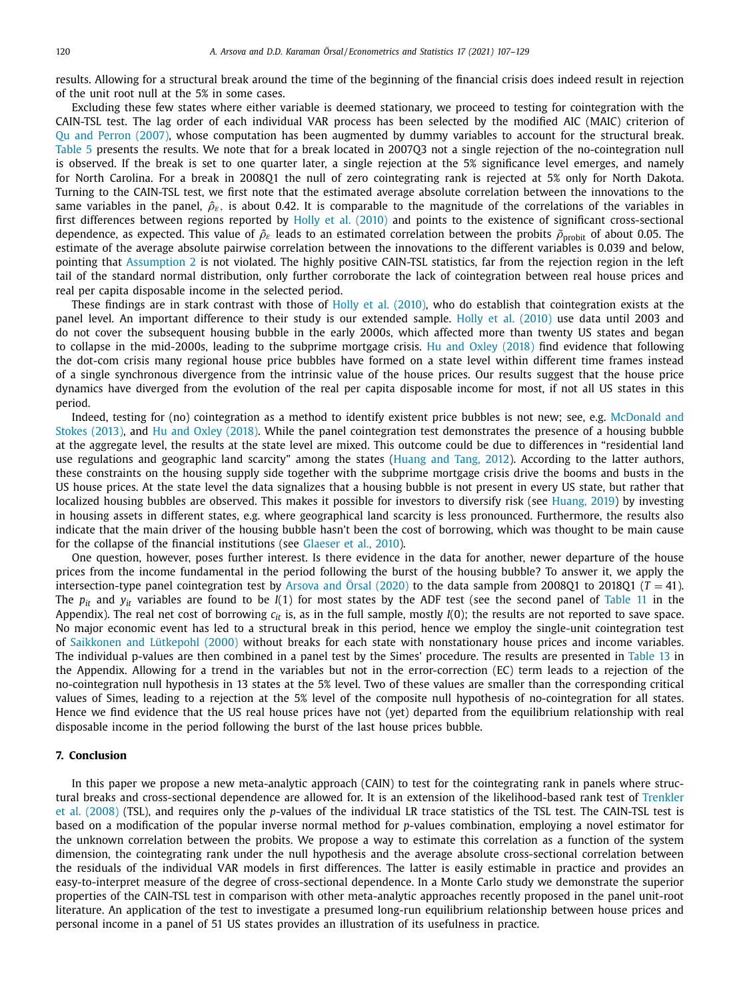results. Allowing for a structural break around the time of the beginning of the financial crisis does indeed result in rejection of the unit root null at the 5% in some cases.

Excluding these few states where either variable is deemed stationary, we proceed to testing for cointegration with the CAIN-TSL test. The lag order of each individual VAR process has been selected by the modified AIC (MAIC) criterion of Qu and Perron [\(2007\),](#page-23-0) whose computation has been augmented by dummy variables to account for the structural break. [Table](#page-13-0) 5 presents the results. We note that for a break located in 2007Q3 not a single rejection of the no-cointegration null is observed. If the break is set to one quarter later, a single rejection at the 5% significance level emerges, and namely for North Carolina. For a break in 2008Q1 the null of zero cointegrating rank is rejected at 5% only for North Dakota. Turning to the CAIN-TSL test, we first note that the estimated average absolute correlation between the innovations to the same variables in the panel,  $\hat{\rho}_{s}$ , is about 0.42. It is comparable to the magnitude of the correlations of the variables in first differences between regions reported by Holly et al. [\(2010\)](#page-23-0) and points to the existence of significant cross-sectional dependence, as expected. This value of  $\hat{\rho}_{\varepsilon}$  leads to an estimated correlation between the probits  $\tilde{\rho}_{\text{probit}}$  of about 0.05. The estimate of the average absolute pairwise correlation between the innovations to the different variables is 0.039 and below, pointing that [Assumption](#page-5-0) 2 is not violated. The highly positive CAIN-TSL statistics, far from the rejection region in the left tail of the standard normal distribution, only further corroborate the lack of cointegration between real house prices and real per capita disposable income in the selected period.

These findings are in stark contrast with those of Holly et al. [\(2010\),](#page-23-0) who do establish that cointegration exists at the panel level. An important difference to their study is our extended sample. Holly et al. [\(2010\)](#page-23-0) use data until 2003 and do not cover the subsequent housing bubble in the early 2000s, which affected more than twenty US states and began to collapse in the mid-2000s, leading to the subprime mortgage crisis. Hu and Oxley [\(2018\)](#page-23-0) find evidence that following the dot-com crisis many regional house price bubbles have formed on a state level within different time frames instead of a single synchronous divergence from the intrinsic value of the house prices. Our results suggest that the house price dynamics have diverged from the evolution of the real per capita disposable income for most, if not all US states in this period.

Indeed, testing for (no) cointegration as a method to identify existent price bubbles is not new; see, e.g. McDonald and Stokes (2013), and Hu and Oxley [\(2018\).](#page-23-0) While the panel cointegration test [demonstrates](#page-23-0) the presence of a housing bubble at the aggregate level, the results at the state level are mixed. This outcome could be due to differences in "residential land use regulations and geographic land scarcity" among the states [\(Huang](#page-23-0) and Tang, 2012). According to the latter authors, these constraints on the housing supply side together with the subprime mortgage crisis drive the booms and busts in the US house prices. At the state level the data signalizes that a housing bubble is not present in every US state, but rather that localized housing bubbles are observed. This makes it possible for investors to diversify risk (see [Huang,](#page-23-0) 2019) by investing in housing assets in different states, e.g. where geographical land scarcity is less pronounced. Furthermore, the results also indicate that the main driver of the housing bubble hasn't been the cost of borrowing, which was thought to be main cause for the collapse of the financial institutions (see [Glaeser](#page-22-0) et al., 2010).

One question, however, poses further interest. Is there evidence in the data for another, newer departure of the house prices from the income fundamental in the period following the burst of the housing bubble? To answer it, we apply the intersection-type panel cointegration test by [Arsova](#page-22-0) and Örsal (2020) to the data sample from 2008Q1 to 2018Q1 ( $T = 41$ ). The *pit* and *yit* variables are found to be *I*(1) for most states by the ADF test (see the second panel of [Table](#page-20-0) 11 in the Appendix). The real net cost of borrowing  $c_{it}$  is, as in the full sample, mostly  $I(0)$ ; the results are not reported to save space. No major economic event has led to a structural break in this period, hence we employ the single-unit cointegration test of [Saikkonen](#page-23-0) and Lütkepohl (2000) without breaks for each state with nonstationary house prices and income variables. The individual p-values are then combined in a panel test by the Simes' procedure. The results are presented in [Table](#page-22-0) 13 in the Appendix. Allowing for a trend in the variables but not in the error-correction (EC) term leads to a rejection of the no-cointegration null hypothesis in 13 states at the 5% level. Two of these values are smaller than the corresponding critical values of Simes, leading to a rejection at the 5% level of the composite null hypothesis of no-cointegration for all states. Hence we find evidence that the US real house prices have not (yet) departed from the equilibrium relationship with real disposable income in the period following the burst of the last house prices bubble.

## **7. Conclusion**

In this paper we propose a new meta-analytic approach (CAIN) to test for the cointegrating rank in panels where structural breaks and cross-sectional dependence are allowed for. It is an extension of the [likelihood-based](#page-23-0) rank test of Trenkler et al. (2008) (TSL), and requires only the *p*-values of the individual LR trace statistics of the TSL test. The CAIN-TSL test is based on a modification of the popular inverse normal method for *p*-values combination, employing a novel estimator for the unknown correlation between the probits. We propose a way to estimate this correlation as a function of the system dimension, the cointegrating rank under the null hypothesis and the average absolute cross-sectional correlation between the residuals of the individual VAR models in first differences. The latter is easily estimable in practice and provides an easy-to-interpret measure of the degree of cross-sectional dependence. In a Monte Carlo study we demonstrate the superior properties of the CAIN-TSL test in comparison with other meta-analytic approaches recently proposed in the panel unit-root literature. An application of the test to investigate a presumed long-run equilibrium relationship between house prices and personal income in a panel of 51 US states provides an illustration of its usefulness in practice.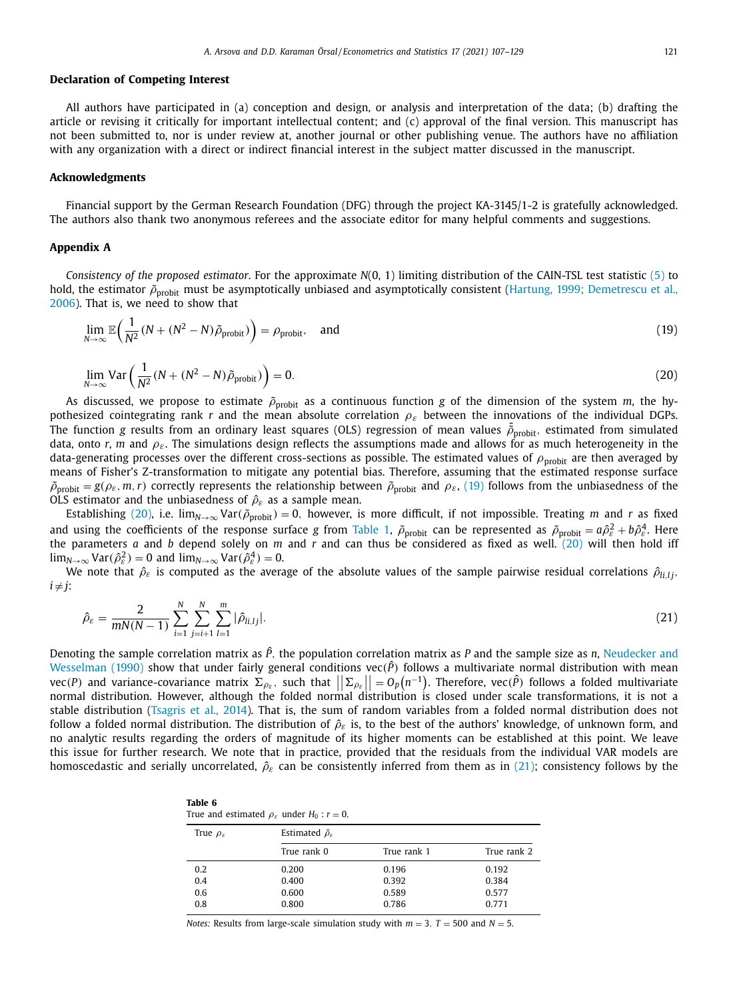#### <span id="page-15-0"></span>**Declaration of Competing Interest**

All authors have participated in (a) conception and design, or analysis and interpretation of the data; (b) drafting the article or revising it critically for important intellectual content; and (c) approval of the final version. This manuscript has not been submitted to, nor is under review at, another journal or other publishing venue. The authors have no affiliation with any organization with a direct or indirect financial interest in the subject matter discussed in the manuscript.

#### **Acknowledgments**

Financial support by the German Research Foundation (DFG) through the project KA-3145/1-2 is gratefully acknowledged. The authors also thank two anonymous referees and the associate editor for many helpful comments and suggestions.

## **Appendix A**

*Consistency of the proposed estimator*. For the approximate *N*(0, 1) limiting distribution of the CAIN-TSL test statistic [\(5\)](#page-4-0) to hold, the estimator  $\tilde{\rho}_{probit}$  must be [asymptotically](#page-23-0) unbiased and asymptotically consistent (Hartung, 1999; Demetrescu et al., 2006). That is, we need to show that

$$
\lim_{N \to \infty} \mathbb{E}\left(\frac{1}{N^2}(N + (N^2 - N)\tilde{\rho}_{\text{probit}})\right) = \rho_{\text{probit}}, \quad \text{and} \tag{19}
$$

$$
\lim_{N \to \infty} \text{Var}\left(\frac{1}{N^2} (N + (N^2 - N)\tilde{\rho}_{\text{probit}})\right) = 0. \tag{20}
$$

As discussed, we propose to estimate  $\tilde{\rho}_{probit}$  as a continuous function *g* of the dimension of the system *m*, the hypothesized cointegrating rank *r* and the mean absolute correlation  $\rho_{\varepsilon}$  between the innovations of the individual DGPs. The function *g* results from an ordinary least squares (OLS) regression of mean values  $\tilde{\rho}_{\text{probit}}$ , estimated from simulated data, onto *r*, *m* and  $\rho_{\varepsilon}$ . The simulations design reflects the assumptions made and allows for as much heterogeneity in the data-generating processes over the different cross-sections as possible. The estimated values of  $\rho_{\rm{probit}}$  are then averaged by means of Fisher's Z-transformation to mitigate any potential bias. Therefore, assuming that the estimated response surface  $\tilde{\rho}_{\text{probit}} = g(\rho_{\varepsilon}, m, r)$  correctly represents the relationship between  $\tilde{\rho}_{\text{probit}}$  and  $\rho_{\varepsilon}$ , (19) follows from the unbiasedness of the OLS estimator and the unbiasedness of  $\hat{\rho}_{\varepsilon}$  as a sample mean.

Establishing (20), i.e.  $\lim_{N\to\infty} \text{Var}(\tilde{\rho}_{\text{probit}}) = 0$ , however, is more difficult, if not impossible. Treating *m* and *r* as fixed and using the coefficients of the response surface *g* from [Table](#page-7-0) 1,  $\tilde{\rho}_{\rm{probit}}$  can be represented as  $\tilde{\rho}_{\rm{probit}} = a\hat{\rho}_{\varepsilon}^2 + b\hat{\rho}_{\varepsilon}^4$ . Here the parameters *a* and *b* depend solely on *m* and *r* and can thus be considered as fixed as well. (20) will then hold iff  $\lim_{N\to\infty} \text{Var}(\hat{\rho}_{\varepsilon}^2) = 0$  and  $\lim_{N\to\infty} \text{Var}(\hat{\rho}_{\varepsilon}^4) = 0$ .

We note that  $\hat{\rho}_{\varepsilon}$  is computed as the average of the absolute values of the sample pairwise residual correlations  $\hat{\rho}_{ij,j}$ ,  $i \neq j$ :

$$
\hat{\rho}_{\varepsilon} = \frac{2}{mN(N-1)} \sum_{i=1}^{N} \sum_{j=i+1}^{N} \sum_{l=1}^{m} |\hat{\rho}_{li,lj}|.
$$
\n(21)

Denoting the sample correlation matrix as *P*ˆ, the population correlation matrix as *P* and the sample size as *n*, Neudecker and Wesselman (1990) show that under fairly general conditions vec( $\hat{P}$ ) follows a [multivariate](#page-23-0) normal distribution with mean  $vec(P)$  and variance-covariance matrix  $\Sigma_{\rho_{\varepsilon}}$ , such that  $||\Sigma_{\rho_{\varepsilon}}|| = O_p(n^{-1})$ . Therefore,  $vec(P)$  follows a folded multivariate normal distribution. However, although the folded normal distribution is closed under scale transformations, it is not a<br>normal distribution. However, although the folded normal distribution is closed under scale transfor stable distribution [\(Tsagris](#page-23-0) et al., 2014). That is, the sum of random variables from a folded normal distribution does not follow a folded normal distribution. The distribution of  $\hat{\rho}_{\varepsilon}$  is, to the best of the authors' knowledge, of unknown form, and no analytic results regarding the orders of magnitude of its higher moments can be established at this point. We leave this issue for further research. We note that in practice, provided that the residuals from the individual VAR models are homoscedastic and serially uncorrelated,  $\hat{\rho}_{\varepsilon}$  can be consistently inferred from them as in (21); consistency follows by the

| Table 6                                                         |  |
|-----------------------------------------------------------------|--|
| True and estimated $\rho_{\varepsilon}$ under $H_0$ : $r = 0$ . |  |

| True $\rho_{\varepsilon}$ | Estimated $\hat{\rho}_{\varepsilon}$ |             |             |  |  |  |  |  |  |
|---------------------------|--------------------------------------|-------------|-------------|--|--|--|--|--|--|
|                           | True rank 0                          | True rank 1 | True rank 2 |  |  |  |  |  |  |
| 0.2                       | 0.200                                | 0.196       | 0.192       |  |  |  |  |  |  |
| 0.4                       | 0.400                                | 0.392       | 0.384       |  |  |  |  |  |  |
| 0.6                       | 0.600                                | 0.589       | 0.577       |  |  |  |  |  |  |
| 0.8                       | 0.800                                | 0.786       | 0.771       |  |  |  |  |  |  |

*Notes:* Results from large-scale simulation study with  $m = 3$ ,  $T = 500$  and  $N = 5$ .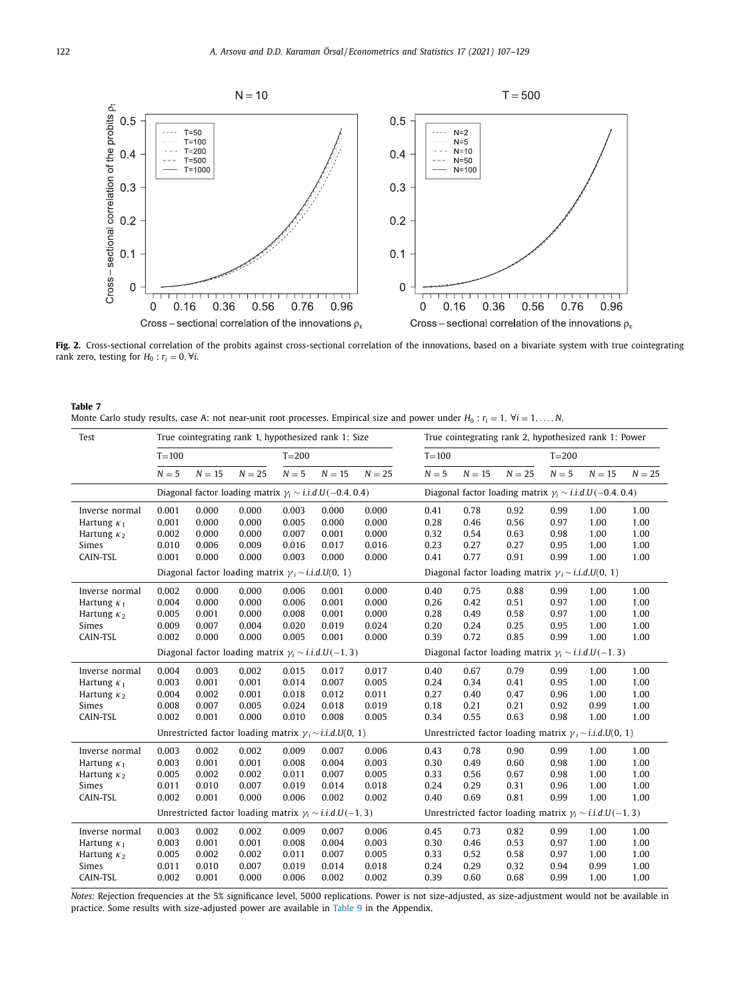<span id="page-16-0"></span>

Fig. 2. Cross-sectional correlation of the probits against cross-sectional correlation of the innovations, based on a bivariate system with true cointegrating rank zero, testing for  $H_0$  :  $r_i = 0$ ,  $\forall i$ .

| Table 7                                                                                                                             |  |
|-------------------------------------------------------------------------------------------------------------------------------------|--|
| Monte Carlo study results, case A: not near-unit root processes. Empirical size and power under $H_0: r_i = 1, \forall i = 1,, N$ . |  |

| Test               |           |          | True cointegrating rank 1, hypothesized rank 1: Size              |           |          |          | True cointegrating rank 2, hypothesized rank 1: Power             |                                                                  |                                                                  |           |          |          |  |
|--------------------|-----------|----------|-------------------------------------------------------------------|-----------|----------|----------|-------------------------------------------------------------------|------------------------------------------------------------------|------------------------------------------------------------------|-----------|----------|----------|--|
|                    | $T = 100$ |          |                                                                   | $T = 200$ |          |          | $T = 100$                                                         |                                                                  |                                                                  | $T = 200$ |          |          |  |
|                    | $N = 5$   | $N = 15$ | $N = 25$                                                          | $N=5$     | $N = 15$ | $N = 25$ | $N=5$                                                             | $N = 15$                                                         | $N = 25$                                                         | $N = 5$   | $N = 15$ | $N = 25$ |  |
|                    |           |          | Diagonal factor loading matrix $\gamma_i \sim i.i.d.U(-0.4, 0.4)$ |           |          |          | Diagonal factor loading matrix $\gamma_i \sim i.i.d.U(-0.4, 0.4)$ |                                                                  |                                                                  |           |          |          |  |
| Inverse normal     | 0.001     | 0.000    | 0.000                                                             | 0.003     | 0.000    | 0.000    | 0.41                                                              | 0.78                                                             | 0.92                                                             | 0.99      | 1.00     | 1.00     |  |
| Hartung $\kappa_1$ | 0.001     | 0.000    | 0.000                                                             | 0.005     | 0.000    | 0.000    | 0.28                                                              | 0.46                                                             | 0.56                                                             | 0.97      | 1.00     | 1.00     |  |
| Hartung $\kappa_2$ | 0.002     | 0.000    | 0.000                                                             | 0.007     | 0.001    | 0.000    | 0.32                                                              | 0.54                                                             | 0.63                                                             | 0.98      | 1.00     | 1.00     |  |
| Simes              | 0.010     | 0.006    | 0.009                                                             | 0.016     | 0.017    | 0.016    | 0.23                                                              | 0.27                                                             | 0.27                                                             | 0.95      | 1.00     | 1.00     |  |
| CAIN-TSL           | 0.001     | 0.000    | 0.000                                                             | 0.003     | 0.000    | 0.000    | 0.41                                                              | 0.77                                                             | 0.91                                                             | 0.99      | 1.00     | 1.00     |  |
|                    |           |          | Diagonal factor loading matrix $\gamma_i \sim i.i.d.U(0, 1)$      |           |          |          |                                                                   |                                                                  | Diagonal factor loading matrix $\gamma_i \sim i.i.d.U(0, 1)$     |           |          |          |  |
| Inverse normal     | 0.002     | 0.000    | 0.000                                                             | 0.006     | 0.001    | 0.000    | 0.40                                                              | 0.75                                                             | 0.88                                                             | 0.99      | 1.00     | 1.00     |  |
| Hartung $\kappa_1$ | 0.004     | 0.000    | 0.000                                                             | 0.006     | 0.001    | 0.000    | 0.26                                                              | 0.42                                                             | 0.51                                                             | 0.97      | 1.00     | 1.00     |  |
| Hartung $\kappa_2$ | 0.005     | 0.001    | 0.000                                                             | 0.008     | 0.001    | 0.000    | 0.28                                                              | 0.49                                                             | 0.58                                                             | 0.97      | 1.00     | 1.00     |  |
| Simes              | 0.009     | 0.007    | 0.004                                                             | 0.020     | 0.019    | 0.024    | 0.20                                                              | 0.24                                                             | 0.25                                                             | 0.95      | 1.00     | 1.00     |  |
| CAIN-TSL           | 0.002     | 0.000    | 0.000                                                             | 0.005     | 0.001    | 0.000    | 0.39                                                              | 0.72                                                             | 0.85                                                             | 0.99      | 1.00     | 1.00     |  |
|                    |           |          | Diagonal factor loading matrix $\gamma_i \sim i.i.d.U(-1,3)$      |           |          |          |                                                                   |                                                                  | Diagonal factor loading matrix $\gamma_i \sim i.i.d.U(-1,3)$     |           |          |          |  |
| Inverse normal     | 0.004     | 0.003    | 0.002                                                             | 0.015     | 0.017    | 0.017    | 0.40                                                              | 0.67                                                             | 0.79                                                             | 0.99      | 1.00     | 1.00     |  |
| Hartung $\kappa_1$ | 0.003     | 0.001    | 0.001                                                             | 0.014     | 0.007    | 0.005    | 0.24                                                              | 0.34                                                             | 0.41                                                             | 0.95      | 1.00     | 1.00     |  |
| Hartung $\kappa_2$ | 0.004     | 0.002    | 0.001                                                             | 0.018     | 0.012    | 0.011    | 0.27                                                              | 0.40                                                             | 0.47                                                             | 0.96      | 1.00     | 1.00     |  |
| Simes              | 0.008     | 0.007    | 0.005                                                             | 0.024     | 0.018    | 0.019    | 0.18                                                              | 0.21                                                             | 0.21                                                             | 0.92      | 0.99     | 1.00     |  |
| CAIN-TSL           | 0.002     | 0.001    | 0.000                                                             | 0.010     | 0.008    | 0.005    | 0.34                                                              | 0.55                                                             | 0.63                                                             | 0.98      | 1.00     | 1.00     |  |
|                    |           |          | Unrestricted factor loading matrix $\gamma_i \sim i.i.d.U(0, 1)$  |           |          |          |                                                                   | Unrestricted factor loading matrix $\gamma_i \sim i.i.d.U(0, 1)$ |                                                                  |           |          |          |  |
| Inverse normal     | 0.003     | 0.002    | 0.002                                                             | 0.009     | 0.007    | 0.006    | 0.43                                                              | 0.78                                                             | 0.90                                                             | 0.99      | 1.00     | 1.00     |  |
| Hartung $\kappa_1$ | 0.003     | 0.001    | 0.001                                                             | 0.008     | 0.004    | 0.003    | 0.30                                                              | 0.49                                                             | 0.60                                                             | 0.98      | 1.00     | 1.00     |  |
| Hartung $\kappa_2$ | 0.005     | 0.002    | 0.002                                                             | 0.011     | 0.007    | 0.005    | 0.33                                                              | 0.56                                                             | 0.67                                                             | 0.98      | 1.00     | 1.00     |  |
| Simes              | 0.011     | 0.010    | 0.007                                                             | 0.019     | 0.014    | 0.018    | 0.24                                                              | 0.29                                                             | 0.31                                                             | 0.96      | 1.00     | 1.00     |  |
| CAIN-TSL           | 0.002     | 0.001    | 0.000                                                             | 0.006     | 0.002    | 0.002    | 0.40                                                              | 0.69                                                             | 0.81                                                             | 0.99      | 1.00     | 1.00     |  |
|                    |           |          | Unrestricted factor loading matrix $\gamma_i \sim i.i.d.U(-1,3)$  |           |          |          |                                                                   |                                                                  | Unrestricted factor loading matrix $\gamma_i \sim i.i.d.U(-1,3)$ |           |          |          |  |
| Inverse normal     | 0.003     | 0.002    | 0.002                                                             | 0.009     | 0.007    | 0.006    | 0.45                                                              | 0.73                                                             | 0.82                                                             | 0.99      | 1.00     | 1.00     |  |
| Hartung $\kappa_1$ | 0.003     | 0.001    | 0.001                                                             | 0.008     | 0.004    | 0.003    | 0.30                                                              | 0.46                                                             | 0.53                                                             | 0.97      | 1.00     | 1.00     |  |
| Hartung $\kappa_2$ | 0.005     | 0.002    | 0.002                                                             | 0.011     | 0.007    | 0.005    | 0.33                                                              | 0.52                                                             | 0.58                                                             | 0.97      | 1.00     | 1.00     |  |
| Simes              | 0.011     | 0.010    | 0.007                                                             | 0.019     | 0.014    | 0.018    | 0.24                                                              | 0.29                                                             | 0.32                                                             | 0.94      | 0.99     | 1.00     |  |
| CAIN-TSL           | 0.002     | 0.001    | 0.000                                                             | 0.006     | 0.002    | 0.002    | 0.39                                                              | 0.60                                                             | 0.68                                                             | 0.99      | 1.00     | 1.00     |  |
|                    |           |          |                                                                   |           |          |          |                                                                   |                                                                  |                                                                  |           |          |          |  |

*Notes:* Rejection frequencies at the 5% significance level, 5000 replications. Power is not size-adjusted, as size-adjustment would not be available in practice. Some results with size-adjusted power are available in [Table](#page-18-0) 9 in the Appendix.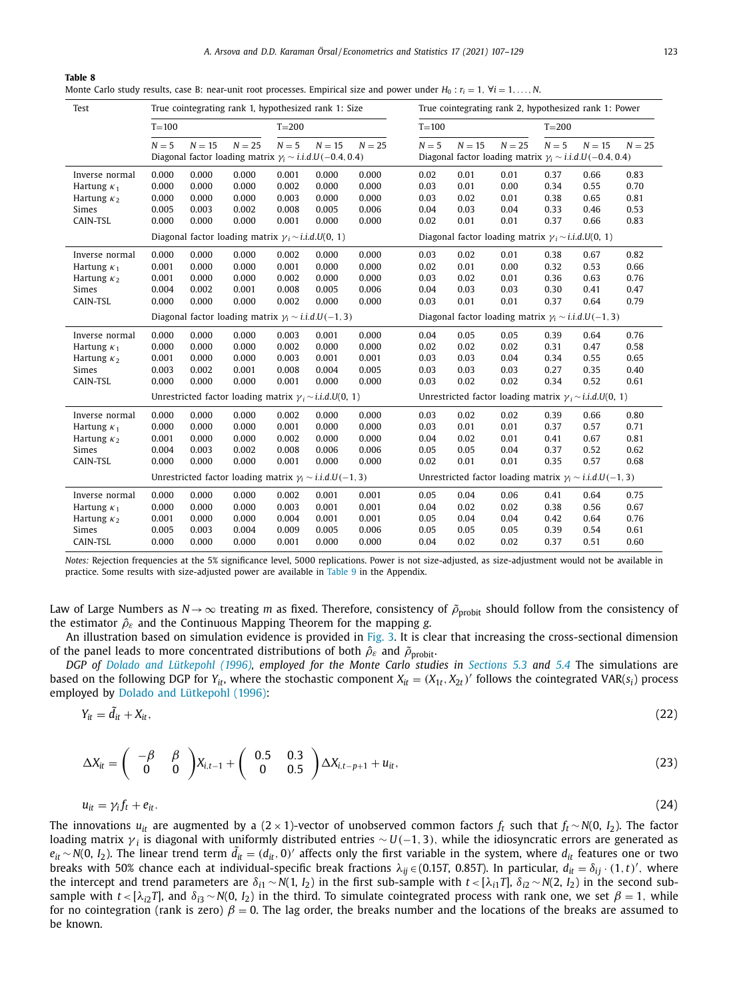*A. Arsova and D.D. Karaman Örsal / Econometrics and Statistics 17 (2021) 107–129* 123

#### <span id="page-17-0"></span>**Table 8**

Monte Carlo study results, case B: near-unit root processes. Empirical size and power under  $H_0: r_i = 1, \forall i = 1, \ldots, N$ .

| Test                                                                            | True cointegrating rank 1, hypothesized rank 1: Size |                                           |                                                                                                           |                                           |                                           |                                           |                                      | True cointegrating rank 2, hypothesized rank 1: Power            |                                                                                                      |                                      |                                      |                                      |  |  |
|---------------------------------------------------------------------------------|------------------------------------------------------|-------------------------------------------|-----------------------------------------------------------------------------------------------------------|-------------------------------------------|-------------------------------------------|-------------------------------------------|--------------------------------------|------------------------------------------------------------------|------------------------------------------------------------------------------------------------------|--------------------------------------|--------------------------------------|--------------------------------------|--|--|
|                                                                                 | $T = 100$                                            |                                           |                                                                                                           | $T = 200$                                 |                                           |                                           | $T = 100$                            |                                                                  |                                                                                                      | $T = 200$                            |                                      |                                      |  |  |
|                                                                                 | $N=5$                                                | $N = 15$                                  | $N = 25$<br>Diagonal factor loading matrix $\gamma_i \sim i.i.d.U(-0.4, 0.4)$                             | $N=5$                                     | $N = 15$                                  | $N = 25$                                  | $N = 5$                              | $N = 15$                                                         | $N = 25$<br>Diagonal factor loading matrix $\gamma_i \sim i.i.d.U(-0.4, 0.4)$                        | $N=5$                                | $N = 15$                             | $N = 25$                             |  |  |
| Inverse normal<br>Hartung $\kappa_1$<br>Hartung $\kappa_2$<br>Simes<br>CAIN-TSL | 0.000<br>0.000<br>0.000<br>0.005<br>0.000            | 0.000<br>0.000<br>0.000<br>0.003<br>0.000 | 0.000<br>0.000<br>0.000<br>0.002<br>0.000<br>Diagonal factor loading matrix $\gamma_i \sim i.i.d.U(0, 1)$ | 0.001<br>0.002<br>0.003<br>0.008<br>0.001 | 0.000<br>0.000<br>0.000<br>0.005<br>0.000 | 0.000<br>0.000<br>0.000<br>0.006<br>0.000 | 0.02<br>0.03<br>0.03<br>0.04<br>0.02 | 0.01<br>0.01<br>0.02<br>0.03<br>0.01                             | 0.01<br>0.00<br>0.01<br>0.04<br>0.01<br>Diagonal factor loading matrix $\gamma_i \sim i.i.d.U(0, 1)$ | 0.37<br>0.34<br>0.38<br>0.33<br>0.37 | 0.66<br>0.55<br>0.65<br>0.46<br>0.66 | 0.83<br>0.70<br>0.81<br>0.53<br>0.83 |  |  |
| Inverse normal<br>Hartung $\kappa_1$<br>Hartung $\kappa_2$<br>Simes<br>CAIN-TSL | 0.000<br>0.001<br>0.001<br>0.004<br>0.000            | 0.000<br>0.000<br>0.000<br>0.002<br>0.000 | 0.000<br>0.000<br>0.000<br>0.001<br>0.000                                                                 | 0.002<br>0.001<br>0.002<br>0.008<br>0.002 | 0.000<br>0.000<br>0.000<br>0.005<br>0.000 | 0.000<br>0.000<br>0.000<br>0.006<br>0.000 | 0.03<br>0.02<br>0.03<br>0.04<br>0.03 | 0.02<br>0.01<br>0.02<br>0.03<br>0.01                             | 0.01<br>0.00<br>0.01<br>0.03<br>0.01                                                                 | 0.38<br>0.32<br>0.36<br>0.30<br>0.37 | 0.67<br>0.53<br>0.63<br>0.41<br>0.64 | 0.82<br>0.66<br>0.76<br>0.47<br>0.79 |  |  |
|                                                                                 |                                                      |                                           | Diagonal factor loading matrix $\gamma_i \sim i.i.d.U(-1, 3)$                                             |                                           |                                           |                                           |                                      |                                                                  | Diagonal factor loading matrix $\gamma_i \sim i.i.d.U(-1,3)$                                         |                                      |                                      |                                      |  |  |
| Inverse normal<br>Hartung $\kappa_1$<br>Hartung $\kappa_2$<br>Simes<br>CAIN-TSL | 0.000<br>0.000<br>0.001<br>0.003<br>0.000            | 0.000<br>0.000<br>0.000<br>0.002<br>0.000 | 0.000<br>0.000<br>0.000<br>0.001<br>0.000                                                                 | 0.003<br>0.002<br>0.003<br>0.008<br>0.001 | 0.001<br>0.000<br>0.001<br>0.004<br>0.000 | 0.000<br>0.000<br>0.001<br>0.005<br>0.000 | 0.04<br>0.02<br>0.03<br>0.03<br>0.03 | 0.05<br>0.02<br>0.03<br>0.03<br>0.02                             | 0.05<br>0.02<br>0.04<br>0.03<br>0.02                                                                 | 0.39<br>0.31<br>0.34<br>0.27<br>0.34 | 0.64<br>0.47<br>0.55<br>0.35<br>0.52 | 0.76<br>0.58<br>0.65<br>0.40<br>0.61 |  |  |
|                                                                                 |                                                      |                                           | Unrestricted factor loading matrix $\gamma_i \sim i.i.d.U(0, 1)$                                          |                                           |                                           |                                           |                                      | Unrestricted factor loading matrix $\gamma_i \sim i.i.d.U(0, 1)$ |                                                                                                      |                                      |                                      |                                      |  |  |
| Inverse normal<br>Hartung $\kappa_1$<br>Hartung $\kappa_2$<br>Simes<br>CAIN-TSL | 0.000<br>0.000<br>0.001<br>0.004<br>0.000            | 0.000<br>0.000<br>0.000<br>0.003<br>0.000 | 0.000<br>0.000<br>0.000<br>0.002<br>0.000                                                                 | 0.002<br>0.001<br>0.002<br>0.008<br>0.001 | 0.000<br>0.000<br>0.000<br>0.006<br>0.000 | 0.000<br>0.000<br>0.000<br>0.006<br>0.000 | 0.03<br>0.03<br>0.04<br>0.05<br>0.02 | 0.02<br>0.01<br>0.02<br>0.05<br>0.01                             | 0.02<br>0.01<br>0.01<br>0.04<br>0.01                                                                 | 0.39<br>0.37<br>0.41<br>0.37<br>0.35 | 0.66<br>0.57<br>0.67<br>0.52<br>0.57 | 0.80<br>0.71<br>0.81<br>0.62<br>0.68 |  |  |
|                                                                                 |                                                      |                                           | Unrestricted factor loading matrix $\gamma_i \sim i.i.d.U(-1, 3)$                                         |                                           |                                           |                                           |                                      |                                                                  | Unrestricted factor loading matrix $\gamma_i \sim i.i.d.U(-1,3)$                                     |                                      |                                      |                                      |  |  |
| Inverse normal<br>Hartung $\kappa_1$<br>Hartung $\kappa_2$<br>Simes<br>CAIN-TSL | 0.000<br>0.000<br>0.001<br>0.005<br>0.000            | 0.000<br>0.000<br>0.000<br>0.003<br>0.000 | 0.000<br>0.000<br>0.000<br>0.004<br>0.000                                                                 | 0.002<br>0.003<br>0.004<br>0.009<br>0.001 | 0.001<br>0.001<br>0.001<br>0.005<br>0.000 | 0.001<br>0.001<br>0.001<br>0.006<br>0.000 | 0.05<br>0.04<br>0.05<br>0.05<br>0.04 | 0.04<br>0.02<br>0.04<br>0.05<br>0.02                             | 0.06<br>0.02<br>0.04<br>0.05<br>0.02                                                                 | 0.41<br>0.38<br>0.42<br>0.39<br>0.37 | 0.64<br>0.56<br>0.64<br>0.54<br>0.51 | 0.75<br>0.67<br>0.76<br>0.61<br>0.60 |  |  |

*Notes:* Rejection frequencies at the 5% significance level, 5000 replications. Power is not size-adjusted, as size-adjustment would not be available in practice. Some results with size-adjusted power are available in [Table](#page-18-0) 9 in the Appendix.

Law of Large Numbers as *N*→  $\infty$  treating *m* as fixed. Therefore, consistency of  $\tilde{\rho}_{\text{probit}}$  should follow from the consistency of the estimator  $\hat{\rho}_{\varepsilon}$  and the Continuous Mapping Theorem for the mapping *g*.

An illustration based on simulation evidence is provided in [Fig.](#page-18-0) 3. It is clear that increasing the cross-sectional dimension of the panel leads to more concentrated distributions of both  $\hat{\rho}_{\varepsilon}$  and  $\tilde{\rho}_{\text{probit}}$ .

DGP of Dolado and [Lütkepohl](#page-22-0) (1996), employed for the Monte Carlo studies in [Sections](#page-10-0) 5.3 and [5.4](#page-11-0) The simulations are based on the following DGP for  $Y_{it}$ , where the stochastic component  $X_{it} = (X_{1t}, X_{2t})'$  follows the cointegrated VAR( $s_i$ ) process employed by Dolado and [Lütkepohl](#page-22-0) (1996):

$$
Y_{it} = \tilde{d}_{it} + X_{it}, \tag{22}
$$

$$
\Delta X_{it} = \begin{pmatrix} -\beta & \beta \\ 0 & 0 \end{pmatrix} X_{i,t-1} + \begin{pmatrix} 0.5 & 0.3 \\ 0 & 0.5 \end{pmatrix} \Delta X_{i,t-p+1} + u_{it}, \qquad (23)
$$

$$
u_{it} = \gamma_i f_t + e_{it}. \tag{24}
$$

The innovations  $u_{it}$  are augmented by a (2 × 1)-vector of unobserved common factors  $f_t$  such that  $f_t \sim N(0, I_2)$ . The factor loading matrix γ *<sup>i</sup>* is diagonal with uniformly distributed entries ∼ *U*(−1, 3), while the idiosyncratic errors are generated as  $e_{it}$  ∼ *N*(0, *I*<sub>2</sub>). The linear trend term  $\tilde{d}_{it} = (d_{it}, 0)'$  affects only the first variable in the system, where  $d_{it}$  features one or two breaks with 50% chance each at individual-specific break fractions  $\lambda_{ij} \in (0.157, 0.857)$ . In particular,  $d_{it} = \delta_{ij} \cdot (1, t)'$ , where the intercept and trend parameters are  $δ<sub>i1</sub> ∼ N(1, I<sub>2</sub>)$  in the first sub-sample with  $t < [λ<sub>i1</sub>T]$ ,  $δ<sub>i2</sub> ∼ N(2, I<sub>2</sub>)$  in the second subsample with  $t < [\lambda_{i2}T]$ , and  $\delta_{i3} \sim N(0, I_2)$  in the third. To simulate cointegrated process with rank one, we set  $\beta = 1$ , while for no cointegration (rank is zero)  $\beta = 0$ . The lag order, the breaks number and the locations of the breaks are assumed to be known.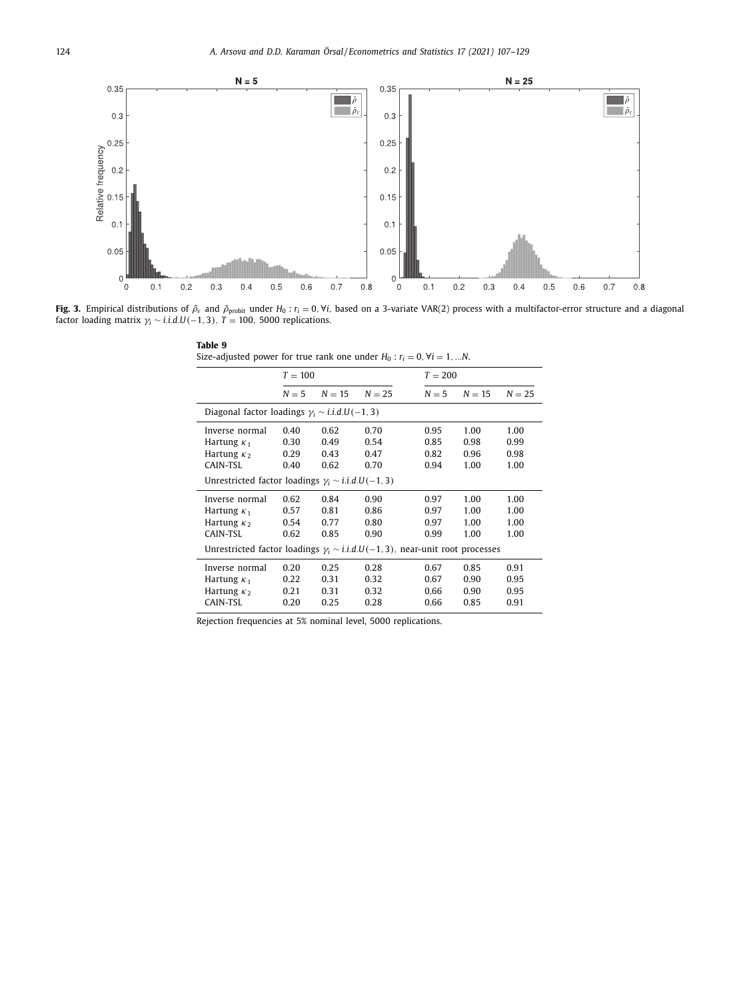<span id="page-18-0"></span>

**Fig. 3.** Empirical distributions of  $\hat{\rho}_{\varepsilon}$  and  $\tilde{\rho}_{\text{probit}}$  under  $H_0: r_i = 0, \forall i$ , based on a 3-variate VAR(2) process with a multifactor-error structure and a diagonal factor loading matrix  $\gamma_i \sim i.i.d.U(-1,3)$ ,  $T = 100$ , 5000 replications.

| Size-adjusted power for true rank one under $H_0$ : $r_i = 0$ , $\forall i = 1,N$ .   |           |          |          |       |           |          |  |  |  |  |  |
|---------------------------------------------------------------------------------------|-----------|----------|----------|-------|-----------|----------|--|--|--|--|--|
|                                                                                       | $T = 100$ |          |          |       | $T = 200$ |          |  |  |  |  |  |
|                                                                                       | $N = 5$   | $N = 15$ | $N = 25$ | $N=5$ | $N = 15$  | $N = 25$ |  |  |  |  |  |
| Diagonal factor loadings $\gamma_i \sim i.i.d.U(-1,3)$                                |           |          |          |       |           |          |  |  |  |  |  |
| Inverse normal                                                                        | 0.40      | 0.62     | 0.70     | 0.95  | 1.00      | 1.00     |  |  |  |  |  |
| Hartung $\kappa_1$                                                                    | 0.30      | 0.49     | 0.54     | 0.85  | 0.98      | 0.99     |  |  |  |  |  |
| Hartung $\kappa_2$                                                                    | 0.29      | 0.43     | 0.47     | 0.82  | 0.96      | 0.98     |  |  |  |  |  |
| CAIN-TSL                                                                              | 0.40      | 0.62     | 0.70     | 0.94  | 1.00      | 1.00     |  |  |  |  |  |
| Unrestricted factor loadings $\gamma_i \sim i.i.d.U(-1,3)$                            |           |          |          |       |           |          |  |  |  |  |  |
| Inverse normal                                                                        | 0.62      | 0.84     | 0.90     | 0.97  | 1.00      | 1.00     |  |  |  |  |  |
| Hartung $\kappa_1$                                                                    | 0.57      | 0.81     | 0.86     | 0.97  | 1.00      | 1.00     |  |  |  |  |  |
| Hartung $\kappa_2$                                                                    | 0.54      | 0.77     | 0.80     | 0.97  | 1.00      | 1.00     |  |  |  |  |  |
| CAIN-TSL                                                                              | 0.62      | 0.85     | 0.90     | 0.99  | 1.00      | 1.00     |  |  |  |  |  |
| Unrestricted factor loadings $\gamma_i \sim i.i.d.U(-1,3)$ , near-unit root processes |           |          |          |       |           |          |  |  |  |  |  |
| Inverse normal                                                                        | 0.20      | 0.25     | 0.28     | 0.67  | 0.85      | 0.91     |  |  |  |  |  |
| Hartung $\kappa_1$                                                                    | 0.22      | 0.31     | 0.32     | 0.67  | 0.90      | 0.95     |  |  |  |  |  |
| Hartung $\kappa_2$                                                                    | 0.21      | 0.31     | 0.32     | 0.66  | 0.90      | 0.95     |  |  |  |  |  |
| CAIN-TSL                                                                              | 0.20      | 0.25     | 0.28     | 0.66  | 0.85      | 0.91     |  |  |  |  |  |
|                                                                                       |           |          |          |       |           |          |  |  |  |  |  |

Rejection frequencies at 5% nominal level, 5000 replications.

**Table 9**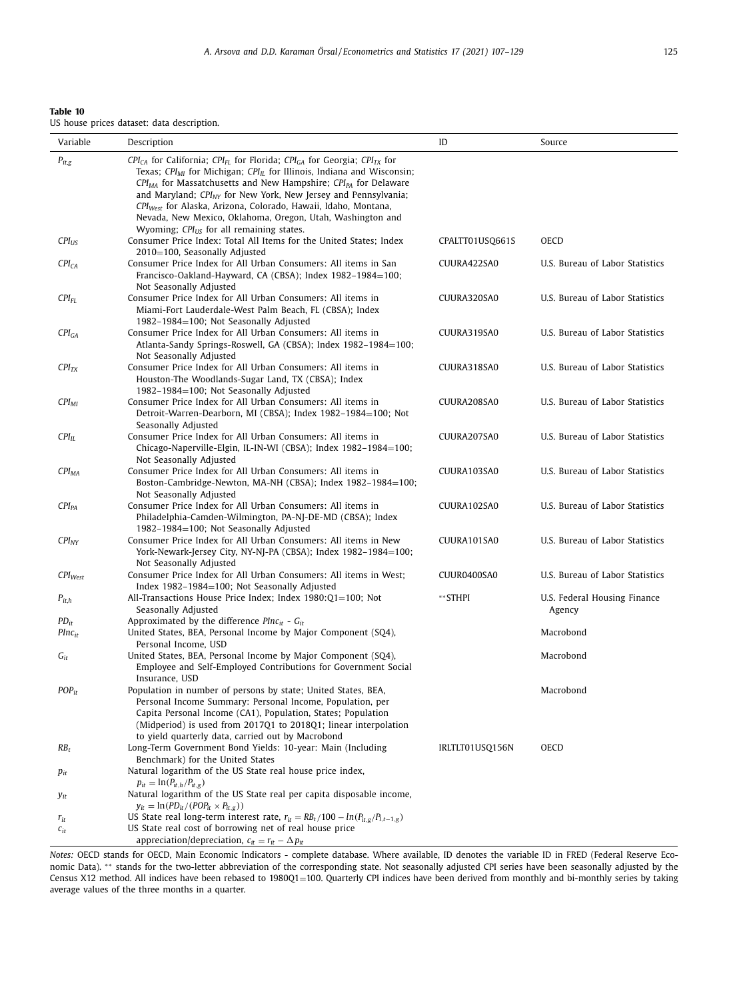<span id="page-19-0"></span>

| Table 10 |  |                                            |
|----------|--|--------------------------------------------|
|          |  | US house prices dataset: data description. |

| Variable                 | Description                                                                                                                                                                                                                                                                                                                                                                                                                                                                                      | ID              | Source                                 |
|--------------------------|--------------------------------------------------------------------------------------------------------------------------------------------------------------------------------------------------------------------------------------------------------------------------------------------------------------------------------------------------------------------------------------------------------------------------------------------------------------------------------------------------|-----------------|----------------------------------------|
| $P_{it,g}$               | $CPI_{CA}$ for California; $CPI_{FL}$ for Florida; $CPI_{GA}$ for Georgia; $CPI_{TX}$ for<br>Texas; CPI <sub>MI</sub> for Michigan; CPI <sub>IL</sub> for Illinois, Indiana and Wisconsin;<br>$CPI_{MA}$ for Massatchusetts and New Hampshire; $CPI_{PA}$ for Delaware<br>and Maryland; CPI <sub>NY</sub> for New York, New Jersey and Pennsylvania;<br>CPI <sub>West</sub> for Alaska, Arizona, Colorado, Hawaii, Idaho, Montana,<br>Nevada, New Mexico, Oklahoma, Oregon, Utah, Washington and |                 |                                        |
| $CPI_{US}$               | Wyoming; $CPI_{US}$ for all remaining states.<br>Consumer Price Index: Total All Items for the United States; Index<br>2010=100, Seasonally Adjusted                                                                                                                                                                                                                                                                                                                                             | CPALTT01USQ661S | OECD                                   |
| CPI <sub>CA</sub>        | Consumer Price Index for All Urban Consumers: All items in San<br>Francisco-Oakland-Hayward, CA (CBSA); Index 1982-1984=100;<br>Not Seasonally Adjusted                                                                                                                                                                                                                                                                                                                                          | CUURA422SA0     | U.S. Bureau of Labor Statistics        |
| $CPI_{FL}$               | Consumer Price Index for All Urban Consumers: All items in<br>Miami-Fort Lauderdale-West Palm Beach, FL (CBSA); Index<br>1982-1984=100; Not Seasonally Adjusted                                                                                                                                                                                                                                                                                                                                  | CUURA320SA0     | U.S. Bureau of Labor Statistics        |
| CPI <sub>GA</sub>        | Consumer Price Index for All Urban Consumers: All items in<br>Atlanta-Sandy Springs-Roswell, GA (CBSA); Index 1982–1984=100;<br>Not Seasonally Adjusted                                                                                                                                                                                                                                                                                                                                          | CUURA319SA0     | U.S. Bureau of Labor Statistics        |
| $CPI_{TX}$               | Consumer Price Index for All Urban Consumers: All items in<br>Houston-The Woodlands-Sugar Land, TX (CBSA); Index<br>1982-1984=100; Not Seasonally Adjusted                                                                                                                                                                                                                                                                                                                                       | CUURA318SA0     | U.S. Bureau of Labor Statistics        |
| $CPI_{MI}$               | Consumer Price Index for All Urban Consumers: All items in<br>Detroit-Warren-Dearborn, MI (CBSA); Index 1982–1984=100; Not<br>Seasonally Adjusted                                                                                                                                                                                                                                                                                                                                                | CUURA208SA0     | U.S. Bureau of Labor Statistics        |
| $CPI_{IL}$               | Consumer Price Index for All Urban Consumers: All items in<br>Chicago-Naperville-Elgin, IL-IN-WI (CBSA); Index 1982–1984=100;<br>Not Seasonally Adjusted                                                                                                                                                                                                                                                                                                                                         | CUURA207SA0     | U.S. Bureau of Labor Statistics        |
| CPI <sub>MA</sub>        | Consumer Price Index for All Urban Consumers: All items in<br>Boston-Cambridge-Newton, MA-NH (CBSA); Index 1982-1984=100;<br>Not Seasonally Adjusted                                                                                                                                                                                                                                                                                                                                             | CUURA103SA0     | U.S. Bureau of Labor Statistics        |
| $CPI_{PA}$               | Consumer Price Index for All Urban Consumers: All items in<br>Philadelphia-Camden-Wilmington, PA-NJ-DE-MD (CBSA); Index<br>1982-1984=100; Not Seasonally Adjusted                                                                                                                                                                                                                                                                                                                                | CUURA102SA0     | U.S. Bureau of Labor Statistics        |
| $CPI_{NY}$               | Consumer Price Index for All Urban Consumers: All items in New<br>York-Newark-Jersey City, NY-NJ-PA (CBSA); Index 1982–1984=100;<br>Not Seasonally Adjusted                                                                                                                                                                                                                                                                                                                                      | CUURA101SA0     | U.S. Bureau of Labor Statistics        |
| $CPI_{West}$             | Consumer Price Index for All Urban Consumers: All items in West;<br>Index 1982-1984=100; Not Seasonally Adjusted                                                                                                                                                                                                                                                                                                                                                                                 | CUUR0400SA0     | U.S. Bureau of Labor Statistics        |
| $P_{it,h}$               | All-Transactions House Price Index; Index 1980:Q1=100; Not<br>Seasonally Adjusted                                                                                                                                                                                                                                                                                                                                                                                                                | **STHPI         | U.S. Federal Housing Finance<br>Agency |
| $PD_{it}$<br>$PInc_{it}$ | Approximated by the difference PInc <sub>it</sub> - $G_{it}$<br>United States, BEA, Personal Income by Major Component (SQ4),<br>Personal Income, USD                                                                                                                                                                                                                                                                                                                                            |                 | Macrobond                              |
| $G_{it}$                 | United States, BEA, Personal Income by Major Component (SQ4),<br>Employee and Self-Employed Contributions for Government Social<br>Insurance, USD                                                                                                                                                                                                                                                                                                                                                |                 | Macrobond                              |
| $POP_{it}$               | Population in number of persons by state; United States, BEA,<br>Personal Income Summary: Personal Income, Population, per<br>Capita Personal Income (CA1), Population, States; Population<br>(Midperiod) is used from 2017Q1 to 2018Q1; linear interpolation<br>to yield quarterly data, carried out by Macrobond                                                                                                                                                                               |                 | Macrobond                              |
| $RB_t$                   | Long-Term Government Bond Yields: 10-year: Main (Including<br>Benchmark) for the United States                                                                                                                                                                                                                                                                                                                                                                                                   | IRLTLT01USQ156N | <b>OECD</b>                            |
| $p_{it}$                 | Natural logarithm of the US State real house price index,<br>$p_{it} = \ln (P_{it,h}/P_{it,g})$                                                                                                                                                                                                                                                                                                                                                                                                  |                 |                                        |
| <b>y</b> <sub>it</sub>   | Natural logarithm of the US State real per capita disposable income,<br>$y_{it} = \ln(PD_{it}/(POP_{it} \times P_{it,g}))$                                                                                                                                                                                                                                                                                                                                                                       |                 |                                        |
| $r_{it}$<br>$c_{it}$     | US State real long-term interest rate, $r_{it} = RB_t/100 - ln(P_{it,g}/P_{i,t-1,g})$<br>US State real cost of borrowing net of real house price<br>appreciation/depreciation, $c_{it} = r_{it} - \Delta p_{it}$                                                                                                                                                                                                                                                                                 |                 |                                        |

*Notes:* OECD stands for OECD, Main Economic Indicators - complete database. Where available, ID denotes the variable ID in FRED (Federal Reserve Economic Data). ∗∗ stands for the two-letter abbreviation of the corresponding state. Not seasonally adjusted CPI series have been seasonally adjusted by the Census X12 method. All indices have been rebased to 1980Q1=100. Quarterly CPI indices have been derived from monthly and bi-monthly series by taking average values of the three months in a quarter.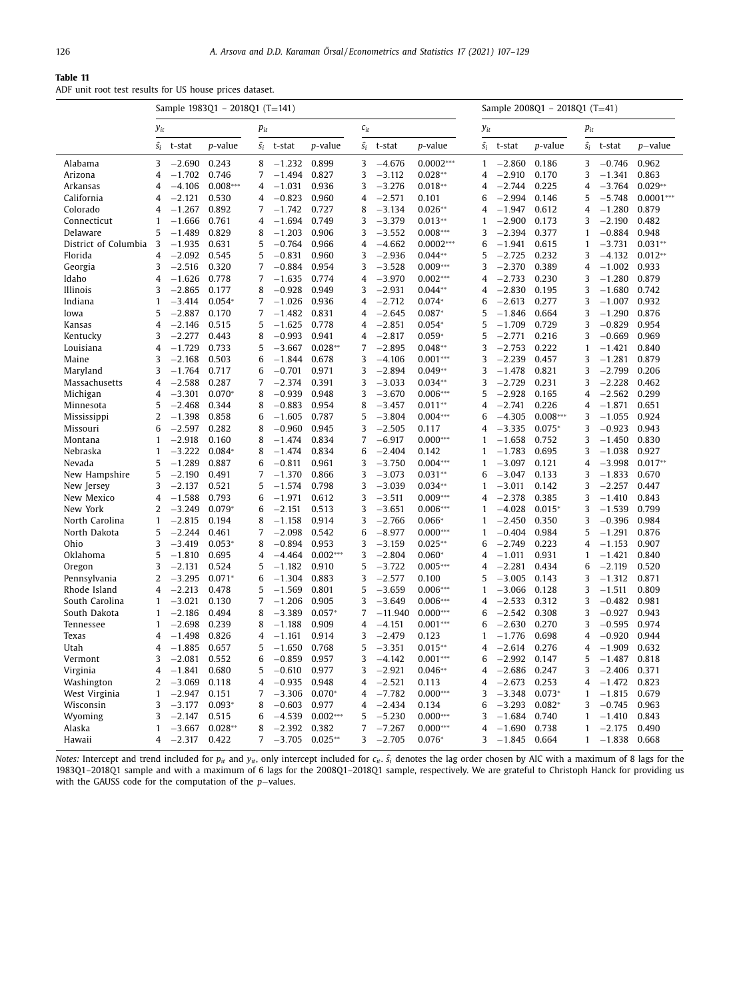#### <span id="page-20-0"></span>**Table 11**

ADF unit root test results for US house prices dataset.

|                      | Sample 1983Q1 - 2018Q1 (T=141) |          |            |                |          |                 |             |           | Sample 2008Q1 - 2018Q1 (T=41) |             |          |                 |                |          |             |
|----------------------|--------------------------------|----------|------------|----------------|----------|-----------------|-------------|-----------|-------------------------------|-------------|----------|-----------------|----------------|----------|-------------|
|                      | $y_{it}$                       |          |            | $p_{it}$       |          |                 | $c_{it}$    |           |                               | $y_{it}$    |          |                 | $p_{it}$       |          |             |
|                      | $\hat{s_i}$                    | t-stat   | p-value    | $\hat{S}_i$    | t-stat   | <i>p</i> -value | $\hat{S}_i$ | t-stat    | p-value                       | $\hat{s_i}$ | t-stat   | <i>p</i> -value | $\hat{s_i}$    | t-stat   | $p$ -value  |
| Alabama              | 3                              | $-2.690$ | 0.243      | 8              | $-1.232$ | 0.899           | 3           | $-4.676$  | $0.0002***$                   | 1           | $-2.860$ | 0.186           | 3              | $-0.746$ | 0.962       |
| Arizona              | 4                              | $-1.702$ | 0.746      | 7              | $-1.494$ | 0.827           | 3           | $-3.112$  | $0.028**$                     | 4           | $-2.910$ | 0.170           | 3              | $-1.341$ | 0.863       |
| Arkansas             | 4                              | $-4.106$ | $0.008***$ | $\overline{4}$ | $-1.031$ | 0.936           | 3           | $-3.276$  | $0.018**$                     | 4           | $-2.744$ | 0.225           | $\overline{4}$ | $-3.764$ | $0.029**$   |
| California           | 4                              | $-2.121$ | 0.530      | 4              | $-0.823$ | 0.960           | 4           | $-2.571$  | 0.101                         | 6           | $-2.994$ | 0.146           | 5              | $-5.748$ | $0.0001***$ |
| Colorado             | 4                              | $-1.267$ | 0.892      | 7              | $-1.742$ | 0.727           | 8           | $-3.134$  | $0.026**$                     | 4           | $-1.947$ | 0.612           | $\overline{4}$ | $-1.280$ | 0.879       |
| Connecticut          | 1                              | $-1.666$ | 0.761      | $\overline{4}$ | $-1.694$ | 0.749           | 3           | $-3.379$  | $0.013**$                     | 1           | $-2.900$ | 0.173           | 3              | $-2.190$ | 0.482       |
| Delaware             | 5                              | $-1.489$ | 0.829      | 8              | $-1.203$ | 0.906           | 3           | $-3.552$  | $0.008***$                    | 3           | $-2.394$ | 0.377           | $\mathbf{1}$   | $-0.884$ | 0.948       |
| District of Columbia | 3                              | $-1.935$ | 0.631      | 5              | $-0.764$ | 0.966           | 4           | $-4.662$  | $0.0002***$                   | 6           | $-1.941$ | 0.615           | 1              | $-3.731$ | $0.031**$   |
| Florida              | 4                              | $-2.092$ | 0.545      | 5              | $-0.831$ | 0.960           | 3           | $-2.936$  | $0.044**$                     | 5           | $-2.725$ | 0.232           | 3              | $-4.132$ | $0.012**$   |
| Georgia              | 3                              | $-2.516$ | 0.320      | 7              | $-0.884$ | 0.954           | 3           | $-3.528$  | $0.009***$                    | 3           | $-2.370$ | 0.389           | $\overline{4}$ | $-1.002$ | 0.933       |
| Idaho                | 4                              | $-1.626$ | 0.778      | 7              | $-1.635$ | 0.774           | 4           | $-3.970$  | $0.002***$                    | 4           | $-2.733$ | 0.230           | 3              | $-1.280$ | 0.879       |
| Illinois             | 3                              | $-2.865$ | 0.177      | 8              | $-0.928$ | 0.949           | 3           | $-2.931$  | $0.044**$                     | 4           | $-2.830$ | 0.195           | 3              | $-1.680$ | 0.742       |
| Indiana              | $\mathbf{1}$                   | $-3.414$ | $0.054*$   | 7              | $-1.026$ | 0.936           | 4           | $-2.712$  | $0.074*$                      | 6           | $-2.613$ | 0.277           | 3              | $-1.007$ | 0.932       |
| Iowa                 | 5                              | $-2.887$ | 0.170      | 7              | $-1.482$ | 0.831           | 4           | $-2.645$  | $0.087*$                      | 5           | $-1.846$ | 0.664           | 3              | $-1.290$ | 0.876       |
| Kansas               | 4                              | $-2.146$ | 0.515      | 5              | $-1.625$ | 0.778           | 4           | $-2.851$  | $0.054*$                      | 5           | $-1.709$ | 0.729           | 3              | $-0.829$ | 0.954       |
| Kentucky             | 3                              | $-2.277$ | 0.443      | 8              | $-0.993$ | 0.941           | 4           | $-2.817$  | $0.059*$                      | 5           | $-2.771$ | 0.216           | 3              | $-0.669$ | 0.969       |
| Louisiana            | 4                              | $-1.729$ | 0.733      | 5              | $-3.667$ | $0.028**$       | 7           | $-2.895$  | $0.048**$                     | 3           | $-2.753$ | 0.222           | 1              | $-1.421$ | 0.840       |
| Maine                | 3                              | $-2.168$ | 0.503      | 6              | $-1.844$ | 0.678           | 3           | $-4.106$  | $0.001***$                    | 3           | $-2.239$ | 0.457           | 3              | $-1.281$ | 0.879       |
| Maryland             | 3                              | $-1.764$ | 0.717      | 6              | $-0.701$ | 0.971           | 3           | $-2.894$  | $0.049**$                     | 3           | $-1.478$ | 0.821           | 3              | $-2.799$ | 0.206       |
| Massachusetts        | 4                              | $-2.588$ | 0.287      | 7              | $-2.374$ | 0.391           | 3           | $-3.033$  | $0.034**$                     | 3           | $-2.729$ | 0.231           | 3              | $-2.228$ | 0.462       |
| Michigan             | 4                              | $-3.301$ | $0.070*$   | 8              | $-0.939$ | 0.948           | 3           | $-3.670$  | $0.006***$                    | 5           | $-2.928$ | 0.165           | $\overline{4}$ | $-2.562$ | 0.299       |
| Minnesota            | 5                              | $-2.468$ | 0.344      | 8              | $-0.883$ | 0.954           | 8           | $-3.457$  | $0.011**$                     | 4           | $-2.741$ | 0.226           | $\overline{4}$ | $-1.871$ | 0.651       |
| Mississippi          | 2                              | $-1.398$ | 0.858      | 6              | $-1.605$ | 0.787           | 5           | $-3.804$  | $0.004***$                    | 6           | $-4.305$ | $0.008***$      | 3              | $-1.055$ | 0.924       |
| Missouri             | 6                              | $-2.597$ | 0.282      | 8              | $-0.960$ | 0.945           | 3           | $-2.505$  | 0.117                         | 4           | $-3.335$ | $0.075*$        | 3              | $-0.923$ | 0.943       |
|                      |                                |          |            |                |          |                 | 7           |           |                               | 1           |          |                 |                |          |             |
| Montana              | $\mathbf{1}$                   | $-2.918$ | 0.160      | 8              | $-1.474$ | 0.834           |             | $-6.917$  | $0.000***$                    |             | $-1.658$ | 0.752           | 3              | $-1.450$ | 0.830       |
| Nebraska             | 1                              | $-3.222$ | $0.084*$   | 8              | $-1.474$ | 0.834           | 6           | $-2.404$  | 0.142                         | 1           | $-1.783$ | 0.695           | 3              | $-1.038$ | 0.927       |
| Nevada               | 5                              | $-1.289$ | 0.887      | 6              | $-0.811$ | 0.961           | 3           | $-3.750$  | $0.004***$                    | 1           | $-3.097$ | 0.121           | 4              | $-3.998$ | $0.017**$   |
| New Hampshire        | 5                              | $-2.190$ | 0.491      | 7              | $-1.370$ | 0.866           | 3           | $-3.073$  | $0.031**$                     | 6           | $-3.047$ | 0.133           | 3              | $-1.833$ | 0.670       |
| New Jersey           | 3                              | $-2.137$ | 0.521      | 5              | $-1.574$ | 0.798           | 3           | $-3.039$  | $0.034**$                     | 1           | $-3.011$ | 0.142           | 3              | $-2.257$ | 0.447       |
| New Mexico           | 4                              | $-1.588$ | 0.793      | 6              | $-1.971$ | 0.612           | 3           | $-3.511$  | $0.009***$                    | 4           | $-2.378$ | 0.385           | 3              | $-1.410$ | 0.843       |
| New York             | $\overline{2}$                 | $-3.249$ | $0.079*$   | 6              | $-2.151$ | 0.513           | 3           | $-3.651$  | $0.006***$                    | 1           | $-4.028$ | $0.015*$        | 3              | $-1.539$ | 0.799       |
| North Carolina       | 1                              | $-2.815$ | 0.194      | 8              | $-1.158$ | 0.914           | 3           | $-2.766$  | $0.066*$                      | 1           | $-2.450$ | 0.350           | 3              | $-0.396$ | 0.984       |
| North Dakota         | 5                              | $-2.244$ | 0.461      | 7              | $-2.098$ | 0.542           | 6           | $-8.977$  | $0.000***$                    | 1           | $-0.404$ | 0.984           | 5              | $-1.291$ | 0.876       |
| Ohio                 | 3                              | $-3.419$ | $0.053*$   | 8              | $-0.894$ | 0.953           | 3           | $-3.159$  | $0.025**$                     | 6           | $-2.749$ | 0.223           | $\overline{4}$ | $-1.153$ | 0.907       |
| Oklahoma             | 5                              | $-1.810$ | 0.695      | $\overline{4}$ | $-4.464$ | $0.002***$      | 3           | $-2.804$  | $0.060*$                      | 4           | $-1.011$ | 0.931           | 1              | $-1.421$ | 0.840       |
| Oregon               | 3                              | $-2.131$ | 0.524      | 5              | $-1.182$ | 0.910           | 5           | $-3.722$  | $0.005***$                    | 4           | $-2.281$ | 0.434           | 6              | $-2.119$ | 0.520       |
| Pennsylvania         | $\overline{2}$                 | $-3.295$ | $0.071*$   | 6              | $-1.304$ | 0.883           | 3           | $-2.577$  | 0.100                         | 5           | $-3.005$ | 0.143           | 3              | $-1.312$ | 0.871       |
| Rhode Island         | 4                              | $-2.213$ | 0.478      | 5              | $-1.569$ | 0.801           | 5           | $-3.659$  | $0.006***$                    | 1           | $-3.066$ | 0.128           | 3              | $-1.511$ | 0.809       |
| South Carolina       | 1                              | $-3.021$ | 0.130      | 7              | $-1.206$ | 0.905           | 3           | $-3.649$  | $0.006***$                    | 4           | $-2.533$ | 0.312           | 3              | $-0.482$ | 0.981       |
| South Dakota         | $\mathbf{1}$                   | $-2.186$ | 0.494      | 8              | $-3.389$ | $0.057*$        | 7           | $-11.940$ | $0.000***$                    | 6           | $-2.542$ | 0.308           | 3              | $-0.927$ | 0.943       |
| Tennessee            | $\mathbf{1}$                   | $-2.698$ | 0.239      | 8              | $-1.188$ | 0.909           | 4           | $-4.151$  | $0.001***$                    | 6           | $-2.630$ | 0.270           | 3              | $-0.595$ | 0.974       |
| Texas                | 4                              | $-1.498$ | 0.826      | 4              | $-1.161$ | 0.914           | 3           | $-2.479$  | 0.123                         | 1           | $-1.776$ | 0.698           | 4              | $-0.920$ | 0.944       |
| Utah                 | 4                              | $-1.885$ | 0.657      | 5              | $-1.650$ | 0.768           | 5           | $-3.351$  | $0.015**$                     | 4           | $-2.614$ | 0.276           | $\overline{4}$ | $-1.909$ | 0.632       |
| Vermont              | 3                              | $-2.081$ | 0.552      | 6              | $-0.859$ | 0.957           | 3           | $-4.142$  | $0.001***$                    | 6           | $-2.992$ | 0.147           | 5              | $-1.487$ | 0.818       |
| Virginia             | 4                              | $-1.841$ | 0.680      | 5              | $-0.610$ | 0.977           | 3           | $-2.921$  | $0.046**$                     | 4           | $-2.686$ | 0.247           | 3              | $-2.406$ | 0.371       |
| Washington           | 2                              | $-3.069$ | 0.118      | 4              | $-0.935$ | 0.948           | 4           | $-2.521$  | 0.113                         | 4           | $-2.673$ | 0.253           | 4              | $-1.472$ | 0.823       |
| West Virginia        | $\mathbf{1}$                   | $-2.947$ | 0.151      | 7              | $-3.306$ | $0.070*$        | 4           | $-7.782$  | $0.000***$                    | 3           | $-3.348$ | $0.073*$        | 1              | $-1.815$ | 0.679       |
| Wisconsin            | 3                              | $-3.177$ | $0.093*$   | 8              | $-0.603$ | 0.977           | 4           | $-2.434$  | 0.134                         | 6           | $-3.293$ | $0.082*$        | 3              | $-0.745$ | 0.963       |
|                      | 3                              | $-2.147$ | 0.515      | 6              | $-4.539$ | $0.002***$      | 5           | $-5.230$  | $0.000***$                    | 3           | $-1.684$ | 0.740           | $\mathbf{1}$   | $-1.410$ | 0.843       |
| Wyoming<br>Alaska    | $\mathbf{1}$                   | $-3.667$ | $0.028**$  | 8              | $-2.392$ | 0.382           | 7           | $-7.267$  | $0.000***$                    | 4           | $-1.690$ | 0.738           | 1              | $-2.175$ | 0.490       |
|                      | 4                              |          | 0.422      | 7              |          | $0.025**$       | 3           |           | $0.076*$                      | 3           |          | 0.664           | $\mathbf{1}$   |          |             |
| Hawaii               |                                | $-2.317$ |            |                | $-3.705$ |                 |             | $-2.705$  |                               |             | $-1.845$ |                 |                | $-1.838$ | 0.668       |

*Notes:* Intercept and trend included for *p<sub>it</sub>* and *y<sub>it</sub>*, only intercept included for *c<sub>it</sub>*.  $\hat{s}_i$  denotes the lag order chosen by AIC with a maximum of 8 lags for the 1983Q1–2018Q1 sample and with a maximum of 6 lags for the 2008Q1–2018Q1 sample, respectively. We are grateful to Christoph Hanck for providing us with the GAUSS code for the computation of the *p*−values.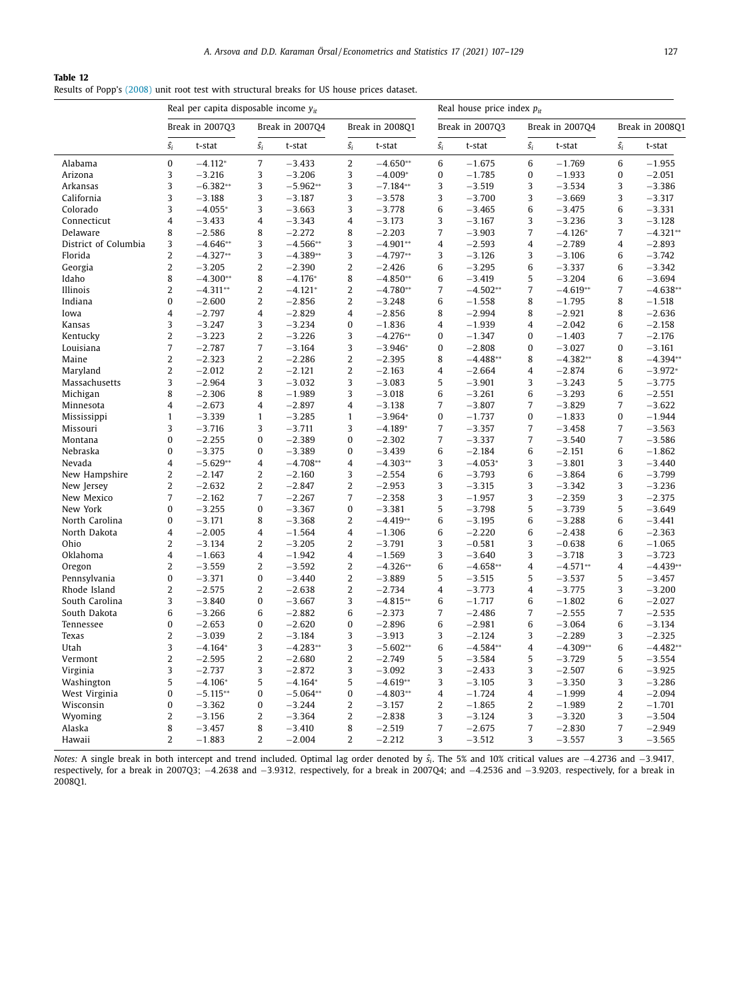#### <span id="page-21-0"></span>**Table 12**

Results of Popp's [\(2008\)](#page-23-0) unit root test with structural breaks for US house prices dataset.

|                      |                | Real per capita disposable income $y_{it}$ |                |                 |                |                 | Real house price index $p_{it}$ |                 |                 |            |                |                 |
|----------------------|----------------|--------------------------------------------|----------------|-----------------|----------------|-----------------|---------------------------------|-----------------|-----------------|------------|----------------|-----------------|
|                      |                | Break in 2007Q3                            |                | Break in 2007Q4 |                | Break in 2008Q1 |                                 | Break in 2007Q3 | Break in 2007Q4 |            |                | Break in 2008Q1 |
|                      | $\hat{s_i}$    | t-stat                                     | $\hat{s_i}$    | t-stat          | $\hat{s_i}$    | t-stat          | $\hat{s_i}$                     | t-stat          | $\hat{s_i}$     | t-stat     | $\hat{s_i}$    | t-stat          |
| Alabama              | $\mathbf{0}$   | $-4.112*$                                  | $\overline{7}$ | $-3.433$        | $\overline{2}$ | $-4.650**$      | 6                               | $-1.675$        | 6               | $-1.769$   | 6              | $-1.955$        |
| Arizona              | 3              | $-3.216$                                   | 3              | $-3.206$        | 3              | $-4.009*$       | $\bf{0}$                        | $-1.785$        | $\mathbf{0}$    | $-1.933$   | $\bf{0}$       | $-2.051$        |
| <b>Arkansas</b>      | 3              | $-6.382**$                                 | 3              | $-5.962**$      | 3              | $-7.184**$      | 3                               | $-3.519$        | 3               | $-3.534$   | 3              | $-3.386$        |
| California           | 3              | $-3.188$                                   | 3              | $-3.187$        | 3              | $-3.578$        | 3                               | $-3.700$        | 3               | $-3.669$   | 3              | $-3.317$        |
| Colorado             | 3              | $-4.055*$                                  | 3              | $-3.663$        | 3              | $-3.778$        | 6                               | $-3.465$        | 6               | $-3.475$   | 6              | $-3.331$        |
| Connecticut          | 4              | $-3.433$                                   | $\overline{4}$ | $-3.343$        | 4              | $-3.173$        | 3                               | $-3.167$        | 3               | $-3.236$   | 3              | $-3.128$        |
| Delaware             | 8              | $-2.586$                                   | 8              | $-2.272$        | 8              | $-2.203$        | $\overline{7}$                  | $-3.903$        | $\overline{7}$  | $-4.126*$  | 7              | $-4.321**$      |
| District of Columbia | 3              | $-4.646**$                                 | 3              | $-4.566**$      | 3              | $-4.901**$      | $\overline{4}$                  | $-2.593$        | $\overline{4}$  | $-2.789$   | $\overline{4}$ | $-2.893$        |
| Florida              | $\overline{2}$ | $-4.327**$                                 | 3              | $-4.389**$      | 3              | $-4.797**$      | 3                               | $-3.126$        | 3               | $-3.106$   | 6              | $-3.742$        |
| Georgia              | 2              | $-3.205$                                   | $\overline{2}$ | $-2.390$        | $\overline{2}$ | $-2.426$        | 6                               | $-3.295$        | 6               | $-3.337$   | 6              | $-3.342$        |
| Idaho                | 8              | $-4.300**$                                 | 8              | $-4.176*$       | 8              | $-4.850**$      | 6                               | $-3.419$        | 5               | $-3.204$   | 6              | $-3.694$        |
| Illinois             | $\overline{2}$ | $-4.311**$                                 | $\overline{2}$ | $-4.121*$       | $\overline{2}$ | $-4.780**$      | $\overline{7}$                  | $-4.502**$      | $\overline{7}$  | $-4.619**$ | $\overline{7}$ | $-4.638**$      |
| Indiana              | 0              | $-2.600$                                   | $\overline{c}$ | $-2.856$        | 2              | $-3.248$        | 6                               | $-1.558$        | 8               | $-1.795$   | 8              | $-1.518$        |
| Iowa                 | $\overline{4}$ | $-2.797$                                   | $\overline{4}$ | $-2.829$        | $\overline{4}$ | $-2.856$        | 8                               | $-2.994$        | 8               | $-2.921$   | 8              | $-2.636$        |
| Kansas               | 3              | $-3.247$                                   | 3              | $-3.234$        | 0              | $-1.836$        | $\overline{4}$                  | $-1.939$        | 4               | $-2.042$   | 6              | $-2.158$        |
| Kentucky             | $\overline{2}$ | $-3.223$                                   | $\overline{2}$ | $-3.226$        | 3              | $-4.276**$      | $\bf{0}$                        | $-1.347$        | $\bf{0}$        | $-1.403$   | $\overline{7}$ | $-2.176$        |
| Louisiana            | $\overline{7}$ | $-2.787$                                   | $\overline{7}$ | $-3.164$        | 3              | $-3.946*$       | $\pmb{0}$                       | $-2.808$        | $\bf{0}$        | $-3.027$   | $\bf{0}$       | $-3.161$        |
| Maine                | $\overline{2}$ | $-2.323$                                   | $\overline{2}$ | $-2.286$        | $\overline{2}$ | $-2.395$        | 8                               | $-4.488**$      | 8               | $-4.382**$ | 8              | $-4.394**$      |
| Maryland             | 2              | $-2.012$                                   | $\overline{c}$ | $-2.121$        | 2              | $-2.163$        | $\overline{4}$                  | $-2.664$        | 4               | $-2.874$   | 6              | $-3.972*$       |
| Massachusetts        | 3              | $-2.964$                                   | 3              | $-3.032$        | 3              | $-3.083$        | 5                               | $-3.901$        | 3               | $-3.243$   | 5              | $-3.775$        |
| Michigan             | 8              | $-2.306$                                   | 8              | $-1.989$        | 3              | $-3.018$        | 6                               | $-3.261$        | 6               | $-3.293$   | 6              | $-2.551$        |
| Minnesota            | $\overline{4}$ | $-2.673$                                   | $\overline{4}$ | $-2.897$        | $\overline{4}$ | $-3.138$        | $\overline{7}$                  | $-3.807$        | $\overline{7}$  | $-3.829$   | $\overline{7}$ | $-3.622$        |
| Mississippi          | $\mathbf{1}$   | $-3.339$                                   | $\mathbf{1}$   | $-3.285$        | $\mathbf{1}$   | $-3.964*$       | $\bf{0}$                        | $-1.737$        | $\bf{0}$        | $-1.833$   | $\bf{0}$       | $-1.944$        |
| Missouri             | 3              | $-3.716$                                   | 3              | $-3.711$        | 3              | $-4.189*$       | $\overline{7}$                  | $-3.357$        | $\overline{7}$  | $-3.458$   | $\overline{7}$ | $-3.563$        |
| Montana              | $\bf{0}$       | $-2.255$                                   | $\bf{0}$       | $-2.389$        | $\bf{0}$       | $-2.302$        | $\overline{7}$                  | $-3.337$        | $\overline{7}$  | $-3.540$   | 7              | $-3.586$        |
| Nebraska             | $\bf{0}$       | $-3.375$                                   | $\bf{0}$       | $-3.389$        | $\bf{0}$       | $-3.439$        | 6                               | $-2.184$        | 6               | $-2.151$   | 6              | $-1.862$        |
| Nevada               | $\overline{4}$ | $-5.629**$                                 | $\overline{4}$ | $-4.708**$      | $\overline{4}$ | $-4.303**$      | 3                               | $-4.053*$       | 3               | $-3.801$   | 3              | $-3.440$        |
| New Hampshire        | 2              | $-2.147$                                   | $\overline{c}$ | $-2.160$        | 3              | $-2.554$        | 6                               | $-3.793$        | 6               | $-3.864$   | 6              | $-3.799$        |
| New Jersey           | $\overline{2}$ | $-2.632$                                   | $\overline{2}$ | $-2.847$        | $\overline{2}$ | $-2.953$        | 3                               | $-3.315$        | 3               | $-3.342$   | 3              | $-3.236$        |
| New Mexico           | $\overline{7}$ | $-2.162$                                   | $\overline{7}$ | $-2.267$        | $\overline{7}$ | $-2.358$        | 3                               | $-1.957$        | 3               | $-2.359$   | 3              | $-2.375$        |
| New York             | $\bf{0}$       | $-3.255$                                   | $\bf{0}$       | $-3.367$        | $\mathbf{0}$   | $-3.381$        | 5                               | $-3.798$        | 5               | $-3.739$   | 5              | $-3.649$        |
| North Carolina       | $\bf{0}$       | $-3.171$                                   | 8              | $-3.368$        | 2              | $-4.419**$      | 6                               | $-3.195$        | 6               | $-3.288$   | 6              | $-3.441$        |
| North Dakota         | $\overline{4}$ | $-2.005$                                   | $\overline{4}$ | $-1.564$        | $\overline{4}$ | $-1.306$        | 6                               | $-2.220$        | 6               | $-2.438$   | 6              | $-2.363$        |
| Ohio                 | 2              | $-3.134$                                   | $\overline{c}$ | $-3.205$        | $\overline{2}$ | $-3.791$        | 3                               | $-0.581$        | 3               | $-0.638$   | 6              | $-1.065$        |
| Oklahoma             | $\overline{4}$ | $-1.663$                                   | $\overline{4}$ | $-1.942$        | $\overline{4}$ | $-1.569$        | 3                               | $-3.640$        | 3               | $-3.718$   | 3              | $-3.723$        |
| Oregon               | $\overline{2}$ | $-3.559$                                   | $\overline{2}$ | $-3.592$        | $\overline{2}$ | $-4.326**$      | 6                               | $-4.658**$      | 4               | $-4.571**$ | $\overline{4}$ | $-4.439**$      |
| Pennsylvania         | $\mathbf{0}$   | $-3.371$                                   | $\pmb{0}$      | $-3.440$        | $\overline{2}$ | $-3.889$        | 5                               | $-3.515$        | 5               | $-3.537$   | 5              | $-3.457$        |
| Rhode Island         | 2              | $-2.575$                                   | $\overline{2}$ | $-2.638$        | $\overline{2}$ | $-2.734$        | $\overline{4}$                  | $-3.773$        | $\overline{4}$  | $-3.775$   | 3              | $-3.200$        |
| South Carolina       | 3              | $-3.840$                                   | 0              | $-3.667$        | 3              | $-4.815**$      | 6                               | $-1.717$        | 6               | $-1.802$   | 6              | $-2.027$        |
| South Dakota         | 6              | $-3.266$                                   | 6              | $-2.882$        | 6              | $-2.373$        | $\overline{7}$                  | $-2.486$        | $\overline{7}$  | $-2.555$   | 7              | $-2.535$        |
| Tennessee            | $\bf{0}$       | $-2.653$                                   | $\bf{0}$       | $-2.620$        | $\bf{0}$       | $-2.896$        | 6                               | $-2.981$        | 6               | $-3.064$   | 6              | $-3.134$        |
| Texas                | $\overline{c}$ | $-3.039$                                   | $\overline{2}$ | $-3.184$        | 3              | $-3.913$        | 3                               | $-2.124$        | 3               | $-2.289$   | 3              | $-2.325$        |
| Utah                 | 3              | $-4.164*$                                  | 3              | $-4.283**$      | 3              | $-5.602**$      | 6                               | $-4.584**$      | 4               | $-4.309**$ | 6              | $-4.482**$      |
| Vermont              | $\overline{c}$ | $-2.595$                                   | $\overline{2}$ | $-2.680$        | $\overline{2}$ | $-2.749$        | 5                               | $-3.584$        | 5               | $-3.729$   | 5              | $-3.554$        |
| Virginia             | 3              | $-2.737$                                   | 3              | $-2.872$        | 3              | $-3.092$        | 3                               | $-2.433$        | 3               | $-2.507$   | 6              | $-3.925$        |
| Washington           | 5              | $-4.106*$                                  | 5              | $-4.164*$       | 5              | $-4.619**$      | 3                               | $-3.105$        | 3               | $-3.350$   | 3              | $-3.286$        |
| West Virginia        | 0              | $-5.115**$                                 | $\bf{0}$       | $-5.064**$      | 0              | $-4.803**$      | $\overline{4}$                  | $-1.724$        | $\overline{4}$  | $-1.999$   | $\overline{4}$ | $-2.094$        |
| Wisconsin            | $\mathbf{0}$   | $-3.362$                                   | $\mathbf{0}$   | $-3.244$        | $\overline{2}$ | $-3.157$        | $\overline{2}$                  | $-1.865$        | $\overline{2}$  | $-1.989$   | $\overline{2}$ | $-1.701$        |
| Wyoming              | 2              | $-3.156$                                   | $\overline{c}$ | $-3.364$        | 2              | $-2.838$        | 3                               | $-3.124$        | 3               | $-3.320$   | 3              | $-3.504$        |
| Alaska               | 8              | $-3.457$                                   | 8              | $-3.410$        | 8              | $-2.519$        | $\overline{7}$                  | $-2.675$        | $\overline{7}$  | $-2.830$   | $\overline{7}$ | $-2.949$        |
| Hawaii               | $\overline{2}$ | $-1.883$                                   | $\overline{2}$ | $-2.004$        | $\overline{2}$ | $-2.212$        | 3                               | $-3.512$        | 3               | $-3.557$   | 3              | $-3.565$        |

*Notes:* A single break in both intercept and trend included. Optimal lag order denoted by *s*ˆ*i*. The 5% and 10% critical values are −4.2736 and −3.9417, respectively, for a break in 2007Q3; −4.2638 and −3.9312, respectively, for a break in 2007Q4; and −4.2536 and −3.9203, respectively, for a break in 2008Q1.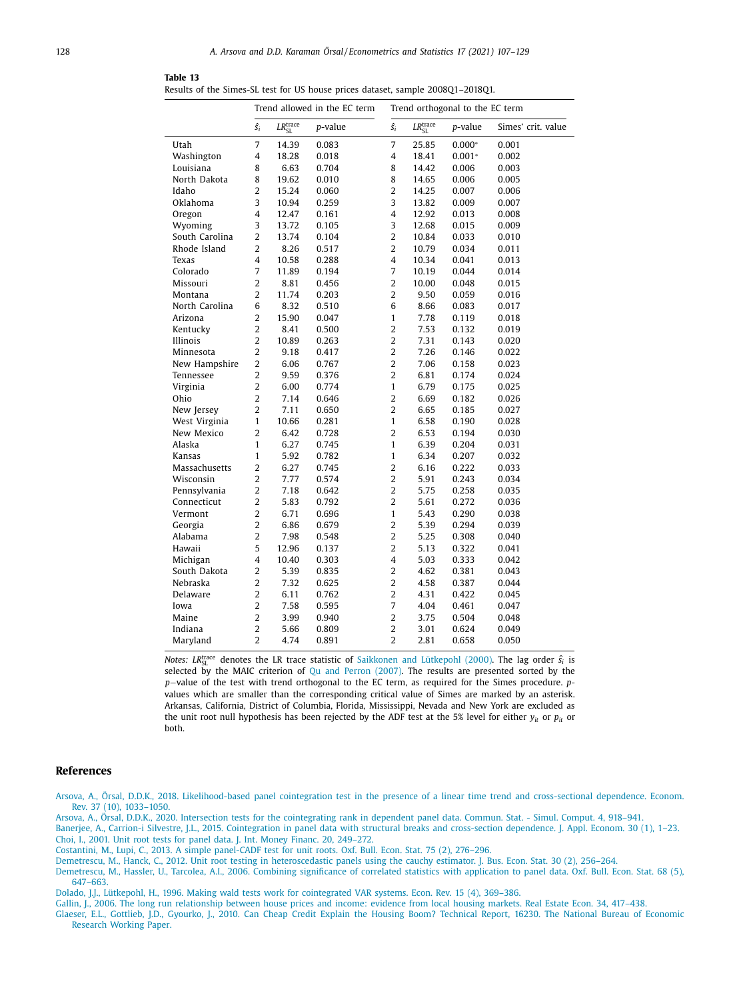|                |                |                           | Trend allowed in the EC term | Trend orthogonal to the EC term |                           |          |                    |  |  |
|----------------|----------------|---------------------------|------------------------------|---------------------------------|---------------------------|----------|--------------------|--|--|
|                | $\hat{s_i}$    | $LR_{\rm SL}^{\rm trace}$ | p-value                      | $\hat{s_i}$                     | $LR_{\rm SL}^{\rm trace}$ | p-value  | Simes' crit. value |  |  |
| Utah           | 7              | 14.39                     | 0.083                        | 7                               | 25.85                     | $0.000*$ | 0.001              |  |  |
| Washington     | 4              | 18.28                     | 0.018                        | 4                               | 18.41                     | $0.001*$ | 0.002              |  |  |
| Louisiana      | 8              | 6.63                      | 0.704                        | 8                               | 14.42                     | 0.006    | 0.003              |  |  |
| North Dakota   | 8              | 19.62                     | 0.010                        | 8                               | 14.65                     | 0.006    | 0.005              |  |  |
| Idaho          | 2              | 15.24                     | 0.060                        | $\overline{2}$                  | 14.25                     | 0.007    | 0.006              |  |  |
| Oklahoma       | 3              | 10.94                     | 0.259                        | 3                               | 13.82                     | 0.009    | 0.007              |  |  |
| Oregon         | 4              | 12.47                     | 0.161                        | $\overline{4}$                  | 12.92                     | 0.013    | 0.008              |  |  |
| Wyoming        | 3              | 13.72                     | 0.105                        | 3                               | 12.68                     | 0.015    | 0.009              |  |  |
| South Carolina | $\overline{2}$ | 13.74                     | 0.104                        | $\overline{2}$                  | 10.84                     | 0.033    | 0.010              |  |  |
| Rhode Island   | $\overline{2}$ | 8.26                      | 0.517                        | $\overline{2}$                  | 10.79                     | 0.034    | 0.011              |  |  |
| Texas          | 4              | 10.58                     | 0.288                        | 4                               | 10.34                     | 0.041    | 0.013              |  |  |
| Colorado       | 7              | 11.89                     | 0.194                        | 7                               | 10.19                     | 0.044    | 0.014              |  |  |
| Missouri       | $\overline{2}$ | 8.81                      | 0.456                        | $\overline{2}$                  | 10.00                     | 0.048    | 0.015              |  |  |
| Montana        | $\overline{2}$ | 11.74                     | 0.203                        | $\overline{2}$                  | 9.50                      | 0.059    | 0.016              |  |  |
| North Carolina | 6              | 8.32                      | 0.510                        | 6                               | 8.66                      | 0.083    | 0.017              |  |  |
| Arizona        | 2              | 15.90                     | 0.047                        | $\mathbf{1}$                    | 7.78                      | 0.119    | 0.018              |  |  |
| Kentucky       | $\overline{2}$ | 8.41                      | 0.500                        | $\overline{2}$                  | 7.53                      | 0.132    | 0.019              |  |  |
| Illinois       | $\overline{2}$ | 10.89                     | 0.263                        | $\overline{2}$                  | 7.31                      | 0.143    | 0.020              |  |  |
| Minnesota      | $\overline{2}$ | 9.18                      | 0.417                        | $\overline{2}$                  | 7.26                      | 0.146    | 0.022              |  |  |
| New Hampshire  | $\overline{2}$ | 6.06                      | 0.767                        | $\overline{2}$                  | 7.06                      | 0.158    | 0.023              |  |  |
| Tennessee      | $\overline{2}$ | 9.59                      | 0.376                        | $\overline{2}$                  | 6.81                      | 0.174    | 0.024              |  |  |
| Virginia       | 2              | 6.00                      | 0.774                        | $\mathbf{1}$                    | 6.79                      | 0.175    | 0.025              |  |  |
| Ohio           | $\overline{2}$ | 7.14                      | 0.646                        | $\overline{2}$                  | 6.69                      | 0.182    | 0.026              |  |  |
| New Jersey     | $\overline{2}$ | 7.11                      | 0.650                        | $\overline{2}$                  | 6.65                      | 0.185    | 0.027              |  |  |
| West Virginia  | $\mathbf{1}$   | 10.66                     | 0.281                        | $\mathbf{1}$                    | 6.58                      | 0.190    | 0.028              |  |  |
| New Mexico     | $\overline{2}$ | 6.42                      | 0.728                        | $\overline{2}$                  | 6.53                      | 0.194    | 0.030              |  |  |
| Alaska         | $\mathbf{1}$   | 6.27                      | 0.745                        | $\mathbf{1}$                    | 6.39                      | 0.204    | 0.031              |  |  |
| Kansas         | $\mathbf{1}$   | 5.92                      | 0.782                        | $\mathbf{1}$                    | 6.34                      | 0.207    | 0.032              |  |  |
| Massachusetts  | $\overline{2}$ | 6.27                      | 0.745                        | $\overline{2}$                  | 6.16                      | 0.222    | 0.033              |  |  |
| Wisconsin      | $\overline{2}$ | 7.77                      | 0.574                        | $\overline{2}$                  | 5.91                      | 0.243    | 0.034              |  |  |
| Pennsylvania   | 2              | 7.18                      | 0.642                        | $\overline{2}$                  | 5.75                      | 0.258    | 0.035              |  |  |
| Connecticut    | $\overline{2}$ | 5.83                      | 0.792                        | $\overline{2}$                  | 5.61                      | 0.272    | 0.036              |  |  |
| Vermont        | $\overline{2}$ | 6.71                      | 0.696                        | $\mathbf{1}$                    | 5.43                      | 0.290    | 0.038              |  |  |
| Georgia        | $\overline{2}$ | 6.86                      | 0.679                        | $\overline{2}$                  | 5.39                      | 0.294    | 0.039              |  |  |
| Alabama        | 2              | 7.98                      | 0.548                        | $\overline{2}$                  | 5.25                      | 0.308    | 0.040              |  |  |
| Hawaii         | 5              | 12.96                     | 0.137                        | $\overline{2}$                  | 5.13                      | 0.322    | 0.041              |  |  |
| Michigan       | 4              | 10.40                     | 0.303                        | 4                               | 5.03                      | 0.333    | 0.042              |  |  |
| South Dakota   | 2              | 5.39                      | 0.835                        | $\overline{2}$                  | 4.62                      | 0.381    | 0.043              |  |  |
| Nebraska       | 2              | 7.32                      | 0.625                        | $\overline{2}$                  | 4.58                      | 0.387    | 0.044              |  |  |
| Delaware       | $\overline{2}$ | 6.11                      | 0.762                        | $\overline{2}$                  | 4.31                      | 0.422    | 0.045              |  |  |
| Iowa           | $\overline{2}$ | 7.58                      | 0.595                        | 7                               | 4.04                      | 0.461    | 0.047              |  |  |
| Maine          | $\overline{2}$ | 3.99                      | 0.940                        | $\overline{2}$                  | 3.75                      | 0.504    | 0.048              |  |  |
| Indiana        | $\overline{2}$ | 5.66                      | 0.809                        | $\overline{2}$                  | 3.01                      | 0.624    | 0.049              |  |  |
| Maryland       | $\overline{2}$ | 4.74                      | 0.891                        | $\overline{2}$                  | 2.81                      | 0.658    | 0.050              |  |  |

<span id="page-22-0"></span>**Table 13** Results of the Simes-SL test for US house prices dataset, sample 2008Q1–2018Q1.

*Notes: LR<sup>trace</sup> denotes the LR trace statistic of [Saikkonen](#page-23-0) and Lütkepohl (2000). The lag order*  $\hat{s_i}$  *is* selected by the MAIC criterion of Qu and Perron [\(2007\).](#page-23-0) The results are presented sorted by the *p*−value of the test with trend orthogonal to the EC term, as required for the Simes procedure. *p*values which are smaller than the corresponding critical value of Simes are marked by an asterisk. Arkansas, California, District of Columbia, Florida, Mississippi, Nevada and New York are excluded as the unit root null hypothesis has been rejected by the ADF test at the 5% level for either  $y_{it}$  or  $p_{it}$  or both.

#### **References**

[Arsova,](http://refhub.elsevier.com/S2452-3062(20)30048-4/sbref0001) A., Örsal, [D.D.K.,](http://refhub.elsevier.com/S2452-3062(20)30048-4/sbref0001) 2018. [Likelihood-based](http://refhub.elsevier.com/S2452-3062(20)30048-4/sbref0001) panel cointegration test in the presence of a linear time trend and cross-sectional dependence. Econom. Rev. 37 (10), 1033–1050.

[Arsova,](http://refhub.elsevier.com/S2452-3062(20)30048-4/sbref0002) A., Örsal, [D.D.K.,](http://refhub.elsevier.com/S2452-3062(20)30048-4/sbref0002) 2020. Intersection tests for the [cointegrating](http://refhub.elsevier.com/S2452-3062(20)30048-4/sbref0002) rank in dependent panel data. Commun. Stat. - Simul. Comput. 4, 918–941.

[Banerjee,](http://refhub.elsevier.com/S2452-3062(20)30048-4/sbref0003) A., Carrion-i [Silvestre,](http://refhub.elsevier.com/S2452-3062(20)30048-4/sbref0003) J.L., 2015. [Cointegration](http://refhub.elsevier.com/S2452-3062(20)30048-4/sbref0003) in panel data with structural breaks and cross-section dependence. J. Appl. Econom. 30 (1), 1–23. [Choi,](http://refhub.elsevier.com/S2452-3062(20)30048-4/sbref0004) I., 2001. Unit root tests for panel data. J. Int. Money Financ. 20, [249–272.](http://refhub.elsevier.com/S2452-3062(20)30048-4/sbref0004)

[Costantini,](http://refhub.elsevier.com/S2452-3062(20)30048-4/sbref0005) M., [Lupi,](http://refhub.elsevier.com/S2452-3062(20)30048-4/sbref0005) C., 2013. A simple [panel-CADF](http://refhub.elsevier.com/S2452-3062(20)30048-4/sbref0005) test for unit roots. Oxf. Bull. Econ. Stat. 75 (2), 276–296.

[Demetrescu,](http://refhub.elsevier.com/S2452-3062(20)30048-4/sbref0006) M., [Hanck,](http://refhub.elsevier.com/S2452-3062(20)30048-4/sbref0006) C., 2012. Unit root testing in [heteroscedastic](http://refhub.elsevier.com/S2452-3062(20)30048-4/sbref0006) panels using the cauchy estimator. J. Bus. Econ. Stat. 30 (2), 256–264.

[Demetrescu,](http://refhub.elsevier.com/S2452-3062(20)30048-4/sbref0007) M., [Hassler,](http://refhub.elsevier.com/S2452-3062(20)30048-4/sbref0007) U., [Tarcolea,](http://refhub.elsevier.com/S2452-3062(20)30048-4/sbref0007) A.I., 2006. Combining significance of correlated statistics with application to panel data. Oxf. Bull. Econ. Stat. 68 (5), 647–663.

[Dolado,](http://refhub.elsevier.com/S2452-3062(20)30048-4/sbref0008) J.J., [Lütkepohl,](http://refhub.elsevier.com/S2452-3062(20)30048-4/sbref0008) H., 1996. Making wald tests work for [cointegrated](http://refhub.elsevier.com/S2452-3062(20)30048-4/sbref0008) VAR systems. Econ. Rev. 15 (4), 369–386.

[Gallin,](http://refhub.elsevier.com/S2452-3062(20)30048-4/sbref0009) J., 2006. The long run [relationship](http://refhub.elsevier.com/S2452-3062(20)30048-4/sbref0009) between house prices and income: evidence from local housing markets. Real Estate Econ. 34, 417–438.<br>[Glaeser,](http://refhub.elsevier.com/S2452-3062(20)30048-4/sbref0010) E.L., [Gottlieb,](http://refhub.elsevier.com/S2452-3062(20)30048-4/sbref0010) J.D., [Gyourko,](http://refhub.elsevier.com/S2452-3062(20)30048-4/sbref0010) J., 2010. Can Cheap Credit Explain th Research Working Paper.